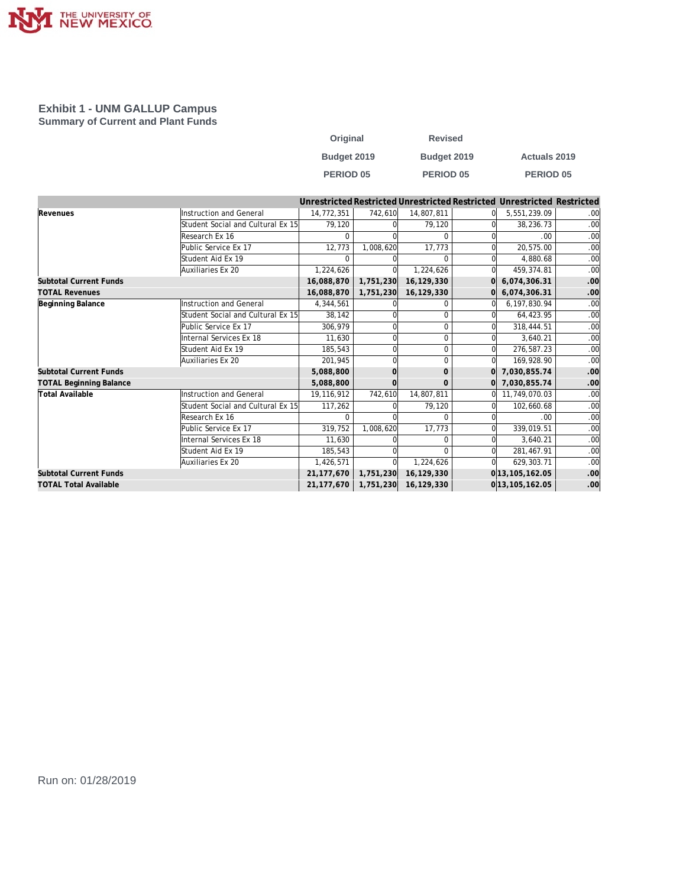

#### **Exhibit 1 - UNM GALLUP Campus Summary of Current and Plant Funds**

| Original         | <b>Revised</b>   |                     |
|------------------|------------------|---------------------|
| Budget 2019      | Budget 2019      | <b>Actuals 2019</b> |
| <b>PERIOD 05</b> | <b>PERIOD 05</b> | <b>PERIOD 05</b>    |

|                                |                                   |              |           |              |          | Unrestricted Restricted Unrestricted Restricted Unrestricted Restricted |     |
|--------------------------------|-----------------------------------|--------------|-----------|--------------|----------|-------------------------------------------------------------------------|-----|
| Revenues                       | Instruction and General           | 14,772,351   | 742,610   | 14,807,811   |          | 5,551,239.09                                                            | .00 |
|                                | Student Social and Cultural Ex 15 | 79.120       |           | 79.120       |          | 38,236.73                                                               | .00 |
|                                | Research Ex 16                    |              |           | $\Omega$     |          | .00                                                                     | .00 |
|                                | Public Service Ex 17              | 12,773       | 1,008,620 | 17,773       |          | 20,575.00                                                               | .00 |
|                                | Student Aid Ex 19                 |              |           | <sup>0</sup> |          | 4.880.68                                                                | .00 |
|                                | Auxiliaries Ex 20                 | 1,224,626    |           | 1,224,626    | Ωl       | 459,374.81                                                              | .00 |
| <b>Subtotal Current Funds</b>  |                                   | 16,088,870   | 1,751,230 | 16,129,330   | ΩI       | 6,074,306.31                                                            | .00 |
| <b>TOTAL Revenues</b>          |                                   | 16,088,870   | 1,751,230 | 16,129,330   |          | 6,074,306.31                                                            | .00 |
| Beginning Balance              | <b>Instruction and General</b>    | 4,344,561    |           | 0            |          | 6,197,830.94                                                            | .00 |
|                                | Student Social and Cultural Ex 15 | 38,142       |           | $\Omega$     |          | 64,423.95                                                               | .00 |
|                                | Public Service Ex 17              | 306.979      |           | $\Omega$     |          | 318,444.51                                                              | .00 |
|                                | Internal Services Ex 18           | 11.630       |           | $\Omega$     |          | 3.640.21                                                                | .00 |
|                                | Student Aid Ex 19                 | 185,543      |           | $\mathbf 0$  | $\Omega$ | 276,587.23                                                              | .00 |
|                                | Auxiliaries Ex 20                 | 201,945      |           | $\Omega$     | 0l       | 169,928.90                                                              | .00 |
| <b>Subtotal Current Funds</b>  |                                   | 5,088,800    |           | $\mathbf{O}$ | $\Omega$ | 7,030,855.74                                                            | .00 |
| <b>TOTAL Beginning Balance</b> |                                   | 5,088,800    |           | $\Omega$     |          | 0 7,030,855.74                                                          | .00 |
| Total Available                | Instruction and General           | 19,116,912   | 742,610   | 14,807,811   | ΩI       | 11,749,070.03                                                           | .00 |
|                                | Student Social and Cultural Ex 15 | 117,262      |           | 79,120       |          | 102,660.68                                                              | .00 |
|                                | Research Ex 16                    |              |           | $\Omega$     |          | .00                                                                     | .00 |
|                                | Public Service Ex 17              | 319,752      | 1,008,620 | 17,773       |          | 339,019.51                                                              | .00 |
|                                | Internal Services Ex 18           | 11,630       |           | $\Omega$     | $\Omega$ | 3,640.21                                                                | .00 |
|                                | Student Aid Ex 19                 | 185,543      |           | $\Omega$     |          | 281,467.91                                                              | .00 |
|                                | Auxiliaries Ex 20                 | 1,426,571    |           | 1,224,626    |          | 629,303.71                                                              | .00 |
| <b>Subtotal Current Funds</b>  |                                   | 21, 177, 670 | 1,751,230 | 16,129,330   |          | 0 13, 105, 162.05                                                       | .00 |
| <b>TOTAL Total Available</b>   |                                   | 21,177,670   | 1,751,230 | 16,129,330   |          | 0 13, 105, 162.05                                                       | .00 |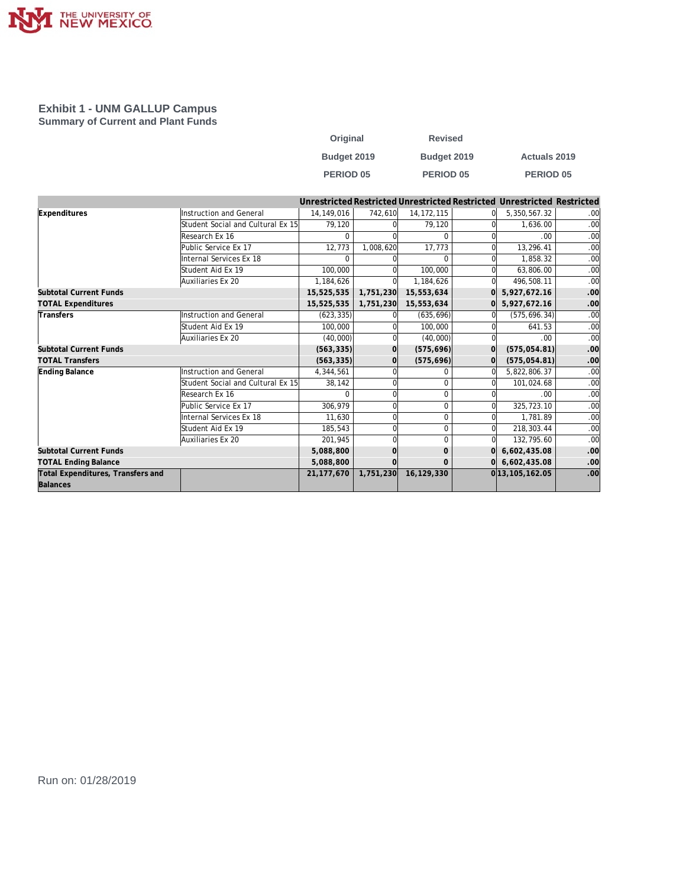

#### **Exhibit 1 - UNM GALLUP Campus Summary of Current and Plant Funds**

| Original         | <b>Revised</b>   |                     |
|------------------|------------------|---------------------|
| Budget 2019      | Budget 2019      | <b>Actuals 2019</b> |
| <b>PERIOD 05</b> | <b>PERIOD 05</b> | <b>PERIOD 05</b>    |

|                                               |                                   |              |           |              |              | Unrestricted Restricted Unrestricted Restricted Unrestricted Restricted |     |
|-----------------------------------------------|-----------------------------------|--------------|-----------|--------------|--------------|-------------------------------------------------------------------------|-----|
| Expenditures                                  | Instruction and General           | 14.149.016   | 742,610   | 14, 172, 115 |              | 5,350,567.32                                                            | .00 |
|                                               | Student Social and Cultural Ex 15 | 79,120       |           | 79,120       |              | 1.636.00                                                                | .00 |
|                                               | Research Ex 16                    |              |           | $\Omega$     |              | .00.                                                                    | .00 |
|                                               | Public Service Ex 17              | 12,773       | 1,008,620 | 17,773       |              | 13,296.41                                                               | .00 |
|                                               | Internal Services Ex 18           | $\Omega$     |           | $\Omega$     |              | 1,858.32                                                                | .00 |
|                                               | Student Aid Ex 19                 | 100,000      |           | 100.000      | Ωl           | 63,806.00                                                               | .00 |
|                                               | Auxiliaries Ex 20                 | 1,184,626    |           | 1,184,626    | ΩI           | 496,508.11                                                              | .00 |
| <b>Subtotal Current Funds</b>                 |                                   | 15,525,535   | 1,751,230 | 15,553,634   | $\Omega$     | 5,927,672.16                                                            | .00 |
| <b>TOTAL Expenditures</b>                     |                                   | 15,525,535   | 1,751,230 | 15,553,634   | $\Omega$     | 5,927,672.16                                                            | .00 |
| Transfers                                     | Instruction and General           | (623, 335)   |           | (635, 696)   | <sup>0</sup> | (575, 696.34)                                                           | .00 |
|                                               | Student Aid Ex 19                 | 100,000      |           | 100,000      | $\Omega$     | 641.53                                                                  | .00 |
|                                               | Auxiliaries Ex 20                 | (40,000)     |           | (40,000)     | $\Omega$     | .00.                                                                    | .00 |
| <b>Subtotal Current Funds</b>                 |                                   | (563, 335)   | 0l        | (575, 696)   | $\Omega$     | (575, 054.81)                                                           | .00 |
| <b>TOTAL Transfers</b>                        |                                   | (563, 335)   | $\Omega$  | (575, 696)   | 0l           | (575, 054.81)                                                           | .00 |
| Ending Balance                                | Instruction and General           | 4,344,561    |           | <sup>0</sup> | $\Omega$     | 5,822,806.37                                                            | .00 |
|                                               | Student Social and Cultural Ex 15 | 38,142       |           | $\Omega$     |              | 101,024.68                                                              | .00 |
|                                               | Research Ex 16                    | U            |           | $\Omega$     |              | .00                                                                     | .00 |
|                                               | Public Service Ex 17              | 306,979      |           | $\Omega$     | <sub>0</sub> | 325,723.10                                                              | .00 |
|                                               | Internal Services Ex 18           | 11,630       |           | $\mathbf 0$  | $\Omega$     | 1.781.89                                                                | .00 |
|                                               | Student Aid Ex 19                 | 185,543      |           | $\mathbf 0$  | 0l           | 218,303.44                                                              | .00 |
|                                               | Auxiliaries Ex 20                 | 201,945      |           | $\Omega$     | $\Omega$     | 132,795.60                                                              | .00 |
| <b>Subtotal Current Funds</b>                 |                                   | 5,088,800    |           | $\mathbf{O}$ | $\Omega$     | 6,602,435.08                                                            | .00 |
| <b>TOTAL Ending Balance</b>                   |                                   | 5,088,800    |           | $\Omega$     |              | $0 $ 6,602,435.08                                                       | .00 |
| Total Expenditures, Transfers and<br>Balances |                                   | 21, 177, 670 | 1,751,230 | 16,129,330   |              | 0 13, 105, 162.05                                                       | .00 |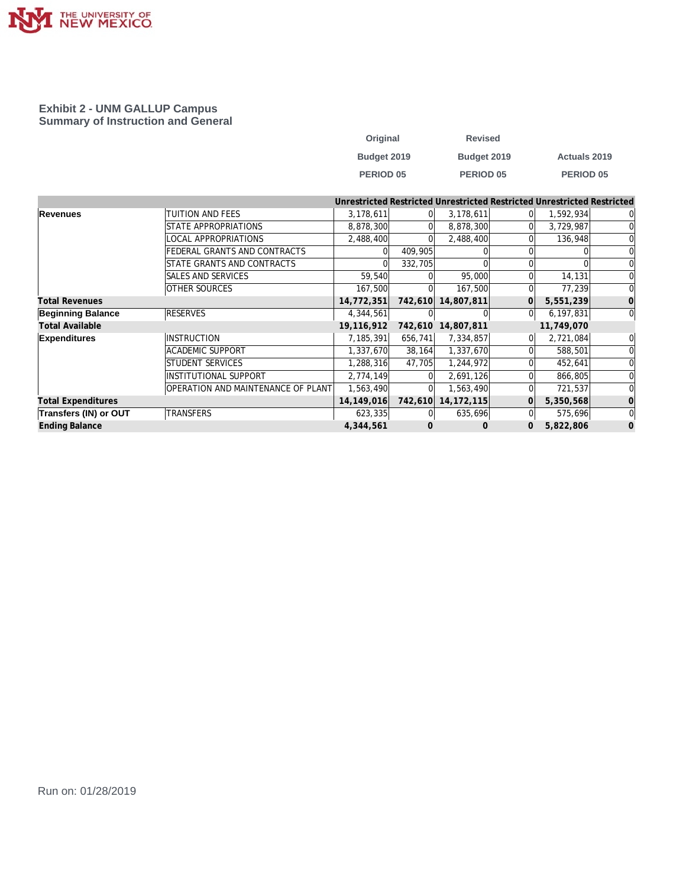

#### **Exhibit 2 - UNM GALLUP Campus Summary of Instruction and General**

| Original    | <b>Revised</b> |                     |
|-------------|----------------|---------------------|
| Budget 2019 | Budget 2019    | <b>Actuals 2019</b> |
| PERIOD 05   | PERIOD 05      | PERIOD 05           |

|                           |                                    |            |          |              |          | Unrestricted Restricted Unrestricted Restricted Unrestricted Restricted |                |
|---------------------------|------------------------------------|------------|----------|--------------|----------|-------------------------------------------------------------------------|----------------|
| Revenues                  | TUITION AND FEES                   | 3,178,611  | $\Omega$ | 3,178,611    | $\Omega$ | 1,592,934                                                               | 0              |
|                           | STATE APPROPRIATIONS               | 8,878,300  |          | 8,878,300    |          | 3,729,987                                                               | $\Omega$       |
|                           | LOCAL APPROPRIATIONS               | 2,488,400  |          | 2,488,400    |          | 136,948                                                                 | $\overline{0}$ |
|                           | FEDERAL GRANTS AND CONTRACTS       |            | 409,905  |              |          |                                                                         | $\overline{0}$ |
|                           | STATE GRANTS AND CONTRACTS         |            | 332,705  |              |          |                                                                         | $\overline{0}$ |
|                           | SALES AND SERVICES                 | 59,540     |          | 95,000       |          | 14,131                                                                  | $\Omega$       |
|                           | <b>OTHER SOURCES</b>               | 167,500    |          | 167,500      |          | 77,239                                                                  | $\Omega$       |
| <b>Total Revenues</b>     |                                    | 14,772,351 | 742,610  | 14,807,811   |          | 5,551,239                                                               | $\vert$ 0      |
| <b>Beginning Balance</b>  | <b>RESERVES</b>                    | 4,344,561  |          |              | $\Omega$ | 6,197,831                                                               | $\overline{0}$ |
| <b>Total Available</b>    |                                    | 19,116,912 | 742,610  | 14,807,811   |          | 11,749,070                                                              |                |
| <b>Expenditures</b>       | INSTRUCTION                        | 7,185,391  | 656,741  | 7,334,857    |          | 2,721,084                                                               | $\overline{0}$ |
|                           | <b>ACADEMIC SUPPORT</b>            | 1,337,670  | 38,164   | 1,337,670    |          | 588,501                                                                 | $\overline{0}$ |
|                           | STUDENT SERVICES                   | 1,288,316  | 47,705   | 1,244,972    |          | 452,641                                                                 | $\Omega$       |
|                           | INSTITUTIONAL SUPPORT              | 2,774,149  |          | 2,691,126    |          | 866,805                                                                 | $\Omega$       |
|                           | OPERATION AND MAINTENANCE OF PLANT | 1,563,490  |          | 1,563,490    |          | 721,537                                                                 | $\Omega$       |
| <b>Total Expenditures</b> |                                    | 14,149,016 | 742,610  | 14, 172, 115 |          | 5,350,568                                                               | $\Omega$       |
| Transfers (IN) or OUT     | <b>TRANSFERS</b>                   | 623,335    |          | 635,696      |          | 575,696                                                                 | $\overline{0}$ |
| <b>Ending Balance</b>     |                                    | 4,344,561  | O        | $\Omega$     |          | 5,822,806                                                               | $\Omega$       |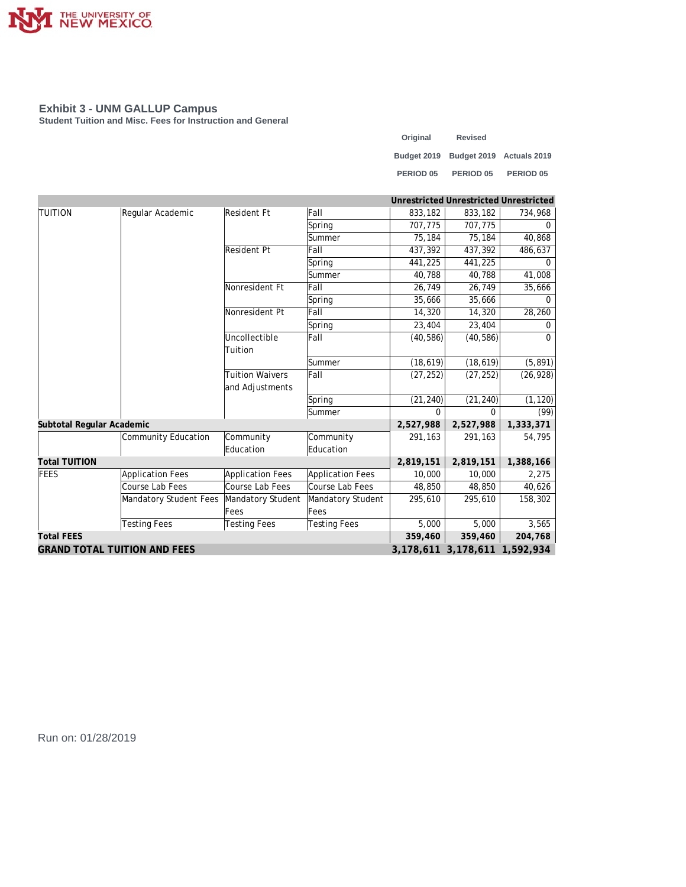

**Student Tuition and Misc. Fees for Instruction and General**

| Original    | <b>Revised</b> |                          |
|-------------|----------------|--------------------------|
| Budget 2019 |                | Budget 2019 Actuals 2019 |
| PERIOD 05   | PERIOD 05      | PERIOD <sub>05</sub>     |

|                                     |                         |                                   |                     |              | Unrestricted Unrestricted Unrestricted |           |
|-------------------------------------|-------------------------|-----------------------------------|---------------------|--------------|----------------------------------------|-----------|
| <b>TUITION</b>                      | Regular Academic        | Resident Ft                       | Fall                | 833,182      | 833,182                                | 734,968   |
|                                     |                         |                                   | Spring              | 707,775      | 707,775                                | 0         |
|                                     |                         |                                   | Summer              | 75,184       | 75,184                                 | 40,868    |
|                                     | <b>Resident Pt</b>      | Fall                              | 437,392             | 437,392      | 486,637                                |           |
|                                     |                         |                                   | Spring              | 441,225      | 441,225                                | 0         |
|                                     |                         |                                   | Summer              | 40,788       | 40,788                                 | 41,008    |
|                                     |                         | Nonresident Ft                    | Fall                | 26,749       | 26,749                                 | 35,666    |
|                                     |                         |                                   | Spring              | 35,666       | 35,666                                 | $\Omega$  |
|                                     |                         | Nonresident Pt                    | Fall                | 14,320       | 14,320                                 | 28,260    |
|                                     |                         |                                   | Spring              | 23,404       | 23,404                                 | $\Omega$  |
|                                     |                         | Uncollectible                     | Fall                | (40, 586)    | (40, 586)                              | $\Omega$  |
|                                     |                         | Tuition<br><b>Tuition Waivers</b> |                     |              |                                        |           |
|                                     |                         |                                   | Summer              | (18, 619)    | (18, 619)                              | (5, 891)  |
|                                     |                         |                                   | Fall                | (27, 252)    | (27, 252)                              | (26, 928) |
|                                     |                         | and Adjustments                   |                     |              |                                        |           |
|                                     |                         |                                   | Spring              | (21, 240)    | (21, 240)                              | (1, 120)  |
|                                     |                         |                                   | Summer              | <sup>0</sup> |                                        | (99)      |
| Subtotal Regular Academic           |                         |                                   |                     | 2,527,988    | 2,527,988                              | 1,333,371 |
|                                     | Community Education     | Community                         | Community           | 291,163      | 291,163                                | 54,795    |
|                                     |                         | Education                         | Education           |              |                                        |           |
| <b>Total TUITION</b>                |                         |                                   |                     | 2,819,151    | 2,819,151                              | 1,388,166 |
| FEES                                | <b>Application Fees</b> | <b>Application Fees</b>           | Application Fees    | 10,000       | 10,000                                 | 2,275     |
|                                     | Course Lab Fees         | Course Lab Fees                   | Course Lab Fees     | 48,850       | 48,850                                 | 40,626    |
|                                     | Mandatory Student Fees  | Mandatory Student                 | Mandatory Student   | 295,610      | 295,610                                | 158,302   |
|                                     |                         | Fees                              | Fees                |              |                                        |           |
|                                     | <b>Testing Fees</b>     | <b>Testing Fees</b>               | <b>Testing Fees</b> | 5,000        | 5,000                                  | 3,565     |
| <b>Total FEES</b>                   |                         |                                   |                     | 359,460      | 359,460                                | 204,768   |
| <b>GRAND TOTAL TUITION AND FEES</b> |                         |                                   |                     |              | 3, 178, 611 3, 178, 611 1, 592, 934    |           |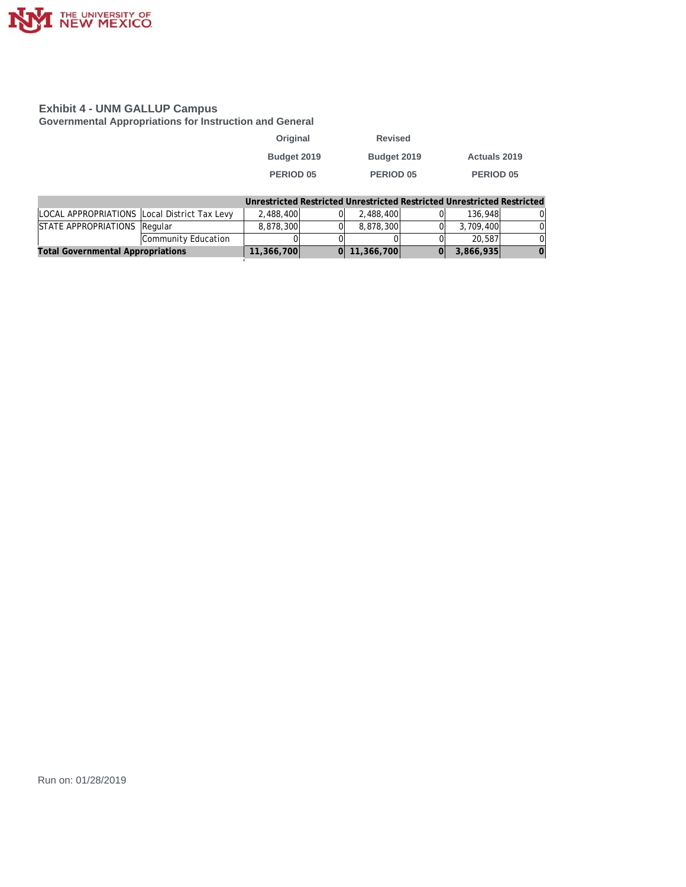

**Governmental Appropriations for Instruction and General**

| Original         | <b>Revised</b> |                     |
|------------------|----------------|---------------------|
| Budget 2019      | Budget 2019    | <b>Actuals 2019</b> |
| <b>PERIOD 05</b> | PERIOD 05      | <b>PERIOD 05</b>    |

|                                              |                     |            |                  | Unrestricted Restricted Unrestricted Restricted Unrestricted Restricted |          |
|----------------------------------------------|---------------------|------------|------------------|-------------------------------------------------------------------------|----------|
| LOCAL APPROPRIATIONS Local District Tax Levy |                     | 2.488.400  | 2,488,400        | 136.948                                                                 | 01       |
| STATE APPROPRIATIONS Regular                 |                     | 8,878,300  | 8.878.300        | 3.709.400                                                               | ΩI       |
|                                              | Community Education |            |                  | 20,587                                                                  | ΩI       |
| <b>Total Governmental Appropriations</b>     |                     | 11,366,700 | $0$   11,366,700 | 3,866,935                                                               | $\Omega$ |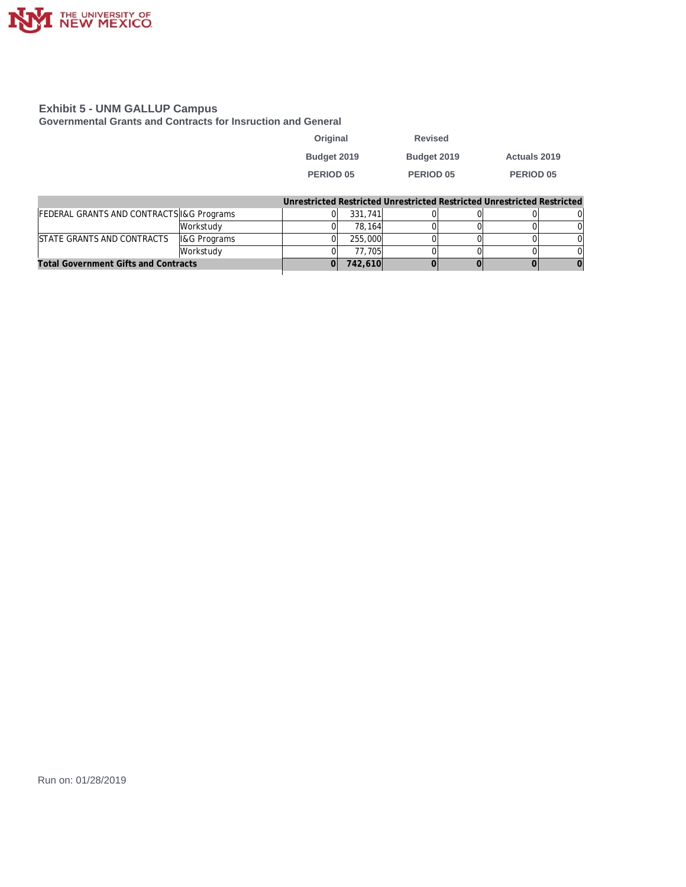

**Governmental Grants and Contracts for Insruction and General**

| Original    | <b>Revised</b> |                  |
|-------------|----------------|------------------|
| Budget 2019 | Budget 2019    | Actuals 2019     |
| PERIOD 05   | PERIOD 05      | <b>PERIOD 05</b> |

|                                             |                         |         |  | Unrestricted Restricted Unrestricted Restricted Unrestricted Restricted |  |
|---------------------------------------------|-------------------------|---------|--|-------------------------------------------------------------------------|--|
| FEDERAL GRANTS AND CONTRACTS I&G Programs   |                         | 331,741 |  |                                                                         |  |
|                                             | <i><b>Norkstudy</b></i> | 78.164  |  |                                                                         |  |
| STATE GRANTS AND CONTRACTS                  | <b>I&amp;G Programs</b> | 255,000 |  |                                                                         |  |
|                                             | <i><b>Norkstudy</b></i> | 77.705  |  |                                                                         |  |
| <b>Total Government Gifts and Contracts</b> |                         | 742,610 |  |                                                                         |  |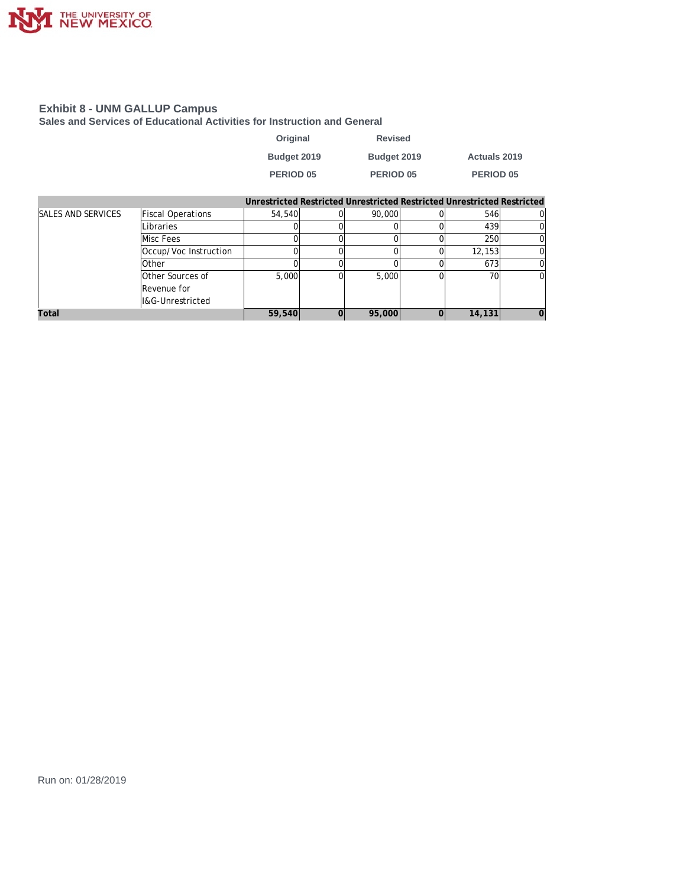

**Sales and Services of Educational Activities for Instruction and General**

| Original         | <b>Revised</b> |                     |
|------------------|----------------|---------------------|
| Budget 2019      | Budget 2019    | <b>Actuals 2019</b> |
| <b>PERIOD 05</b> | PERIOD 05      | PERIOD 05           |

|                           |                          |        | Unrestricted Restricted Unrestricted Restricted Unrestricted Restricted |        |  |
|---------------------------|--------------------------|--------|-------------------------------------------------------------------------|--------|--|
| <b>SALES AND SERVICES</b> | <b>Fiscal Operations</b> | 54,540 | 90,000                                                                  | 546    |  |
|                           | Libraries                |        |                                                                         | 439    |  |
|                           | Misc Fees                |        |                                                                         | 250    |  |
|                           | Occup/Voc Instruction    |        |                                                                         | 12.153 |  |
|                           | <b>Other</b>             |        |                                                                         | 673    |  |
|                           | Other Sources of         | 5,000  | 5,000                                                                   | 70     |  |
|                           | Revenue for              |        |                                                                         |        |  |
|                           | I&G-Unrestricted         |        |                                                                         |        |  |
| Total                     |                          | 59,540 | 95,000                                                                  | 14,131 |  |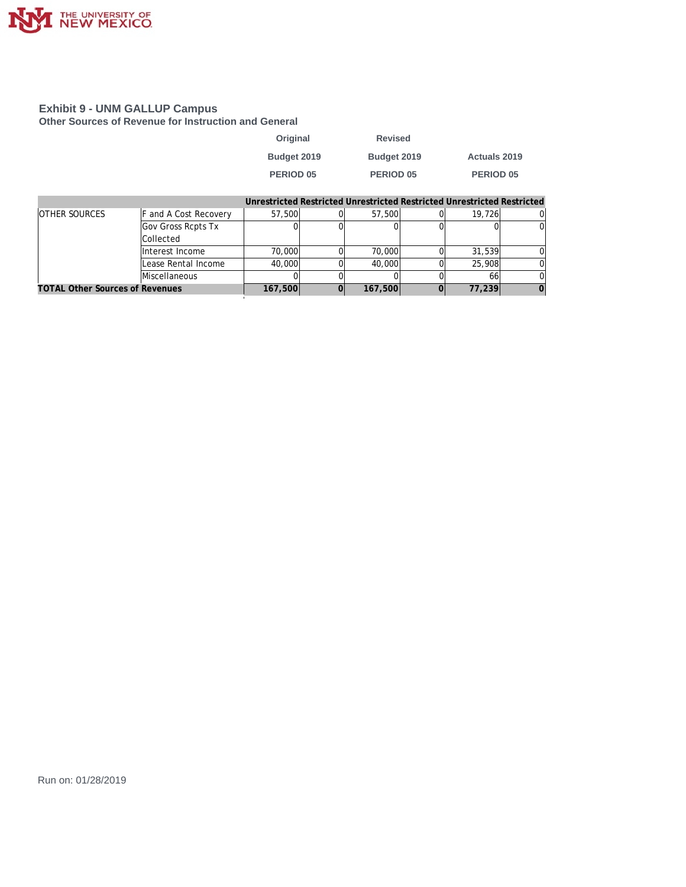

**Other Sources of Revenue for Instruction and General**

| Original         | <b>Revised</b> |                      |
|------------------|----------------|----------------------|
| Budget 2019      | Budget 2019    | <b>Actuals 2019</b>  |
| <b>PERIOD 05</b> | PERIOD 05      | PERIOD <sub>05</sub> |

|                                        |                              |         |         | Unrestricted Restricted Unrestricted Restricted Unrestricted Restricted |  |
|----------------------------------------|------------------------------|---------|---------|-------------------------------------------------------------------------|--|
| <b>OTHER SOURCES</b>                   | <b>F</b> and A Cost Recovery | 57,500  | 57,500  | 19.726                                                                  |  |
|                                        | Gov Gross Rcpts Tx           |         |         |                                                                         |  |
|                                        | <b>Collected</b>             |         |         |                                                                         |  |
|                                        | Interest Income              | 70,000  | 70,000  | 31,539                                                                  |  |
|                                        | Lease Rental Income          | 40,000  | 40.000  | 25,908                                                                  |  |
|                                        | Miscellaneous                |         |         | 66                                                                      |  |
| <b>TOTAL Other Sources of Revenues</b> |                              | 167,500 | 167,500 | 77.239                                                                  |  |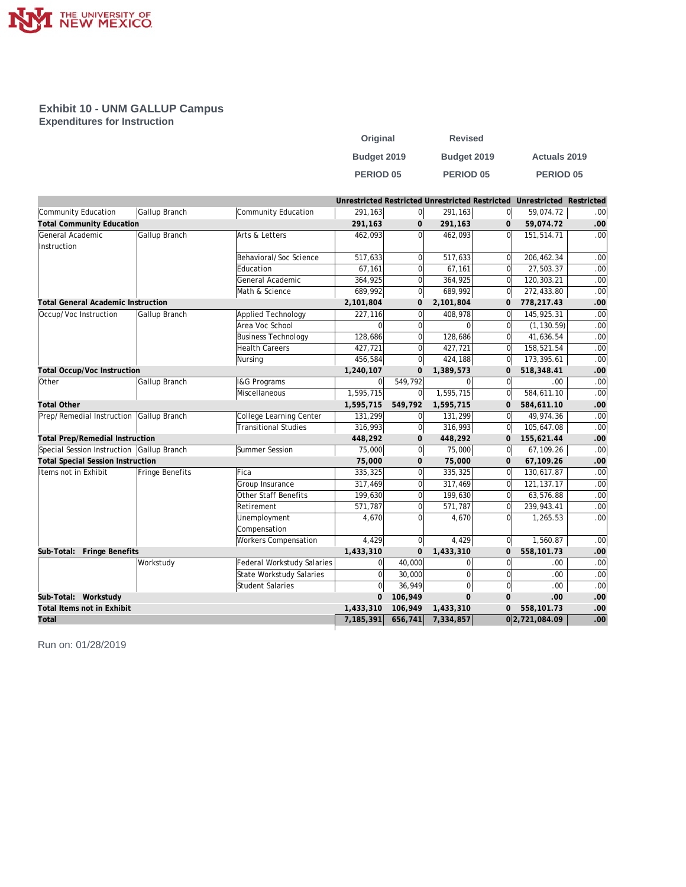

**Exhibit 10 - UNM GALLUP Campus Expenditures for Instruction**

| Original         | <b>Revised</b>   |                     |
|------------------|------------------|---------------------|
| Budget 2019      | Budget 2019      | <b>Actuals 2019</b> |
| <b>PERIOD 05</b> | <b>PERIOD 05</b> | <b>PERIOD 05</b>    |

|                                           |                 |                                   |                |                |                  |                | Unrestricted Restricted Unrestricted Restricted Unrestricted Restricted |                  |
|-------------------------------------------|-----------------|-----------------------------------|----------------|----------------|------------------|----------------|-------------------------------------------------------------------------|------------------|
| Community Education                       | Gallup Branch   | Community Education               | 291,163        | 0              | 291,163          | 0              | 59,074.72                                                               | .00 <sub>1</sub> |
| <b>Total Community Education</b>          |                 |                                   | 291,163        | 0              | 291,163          | $\mathbf{0}$   | 59,074.72                                                               | .00              |
| General Academic                          | Gallup Branch   | Arts & Letters                    | 462,093        | $\Omega$       | 462.093          | ΩI             | 151,514.71                                                              | .00 <sub>1</sub> |
| Instruction                               |                 |                                   |                |                |                  |                |                                                                         |                  |
|                                           |                 | Behavioral/Soc Science            | 517,633        | $\overline{0}$ | 517,633          | $\Omega$       | 206,462.34                                                              | .00              |
|                                           |                 | Education                         | 67,161         | $\Omega$       | 67,161           | $\Omega$       | 27,503.37                                                               | .00              |
|                                           |                 | General Academic                  | 364,925        | $\overline{0}$ | 364,925          | $\Omega$       | 120,303.21                                                              | .00              |
|                                           |                 | Math & Science                    | 689,992        | $\overline{0}$ | 689,992          | 0l             | 272,433.80                                                              | .00              |
| <b>Total General Academic Instruction</b> |                 |                                   | 2,101,804      | 0              | 2,101,804        | $\mathbf 0$    | 778,217.43                                                              | .00              |
| Occup/Voc Instruction                     | Gallup Branch   | Applied Technology                | 227,116        | $\overline{0}$ | 408,978          | $\Omega$       | 145,925.31                                                              | .00              |
|                                           |                 | Area Voc School                   | $\Omega$       | $\overline{0}$ | $\Omega$         | $\Omega$       | (1, 130.59)                                                             | .00              |
|                                           |                 | <b>Business Technology</b>        | 128,686        | $\overline{0}$ | 128,686          | $\Omega$       | 41,636.54                                                               | .00              |
|                                           |                 | <b>Health Careers</b>             | 427,721        | $\overline{0}$ | 427,721          | $\Omega$       | 158,521.54                                                              | .00              |
|                                           |                 | Nursing                           | 456,584        | $\overline{0}$ | 424,188          | 0l             | 173,395.61                                                              | .00              |
| <b>Total Occup/Voc Instruction</b>        |                 |                                   | 1,240,107      | $\mathbf{0}$   | 1,389,573        | $\Omega$       | 518,348.41                                                              | .00              |
| <b>Other</b>                              | Gallup Branch   | <b>I&amp;G Programs</b>           | $\Omega$       | 549,792        | 0                | 0l             | .00                                                                     | .00              |
|                                           |                 | Miscellaneous                     | 1,595,715      | $\overline{0}$ | 1,595,715        | <sup>0</sup>   | 584,611.10                                                              | .00              |
| <b>Total Other</b>                        |                 |                                   | 1,595,715      | 549,792        | 1,595,715        | $\mathbf 0$    | 584,611.10                                                              | .00              |
| Prep/Remedial Instruction                 | Gallup Branch   | College Learning Center           | 131,299        | $\overline{0}$ | 131,299          | 0              | 49,974.36                                                               | .00              |
|                                           |                 | <b>Transitional Studies</b>       | 316,993        | $\overline{0}$ | 316,993          | 0              | 105,647.08                                                              | .00              |
| <b>Total Prep/Remedial Instruction</b>    |                 |                                   | 448,292        | 0              | 448,292          | $\mathbf{0}$   | 155,621.44                                                              | .00              |
| Special Session Instruction Gallup Branch |                 | Summer Session                    | 75,000         | $\overline{0}$ | 75,000           | 0              | 67,109.26                                                               | .00              |
| <b>Total Special Session Instruction</b>  |                 |                                   | 75,000         | $\mathbf{O}$   | 75,000           | $\Omega$       | 67,109.26                                                               | .00              |
| Items not in Exhibit                      | Fringe Benefits | Fica                              | 335,325        | $\overline{0}$ | 335,325          | 0l             | 130,617.87                                                              | .00              |
|                                           |                 | Group Insurance                   | 317,469        | $\overline{0}$ | 317,469          | 0              | 121,137.17                                                              | .00              |
|                                           |                 | Other Staff Benefits              | 199,630        | $\overline{0}$ | 199,630          | $\Omega$       | 63,576.88                                                               | .00              |
|                                           |                 | Retirement                        | 571,787        | $\Omega$       | 571,787          | $\Omega$       | 239,943.41                                                              | .00              |
|                                           |                 | Unemployment                      | 4,670          | $\Omega$       | 4,670            | $\Omega$       | 1,265.53                                                                | .00              |
|                                           |                 | Compensation                      |                |                |                  |                |                                                                         |                  |
|                                           |                 | <b>Workers Compensation</b>       | 4,429          | $\Omega$       | 4,429            | 0              | 1,560.87                                                                | .00              |
| Sub-Total: Fringe Benefits                |                 |                                   | 1,433,310      | 0              | 1,433,310        | $\mathbf 0$    | 558,101.73                                                              | .00              |
|                                           | Workstudy       | <b>Federal Workstudy Salaries</b> | $\Omega$       | 40,000         | $\mathbf 0$      | 0l             | .00                                                                     | .00              |
|                                           |                 | <b>State Workstudy Salaries</b>   | $\overline{0}$ | 30,000         | $\mathbf 0$      | 0l             | .00                                                                     | .00              |
|                                           |                 | <b>Student Salaries</b>           | $\Omega$       | 36,949         | $\boldsymbol{0}$ | 0              | .00                                                                     | .00              |
| Sub-Total: Workstudy                      |                 |                                   | $\mathbf{0}$   | 106,949        | $\mathbf{O}$     | $\mathbf{0}$   | .00                                                                     | .00              |
| Total Items not in Exhibit                |                 |                                   | 1,433,310      | 106,949        | 1,433,310        | $\overline{0}$ | 558,101.73                                                              | .00              |
| Total                                     |                 |                                   | 7,185,391      | 656,741        | 7,334,857        |                | 0 2,721,084.09                                                          | .00              |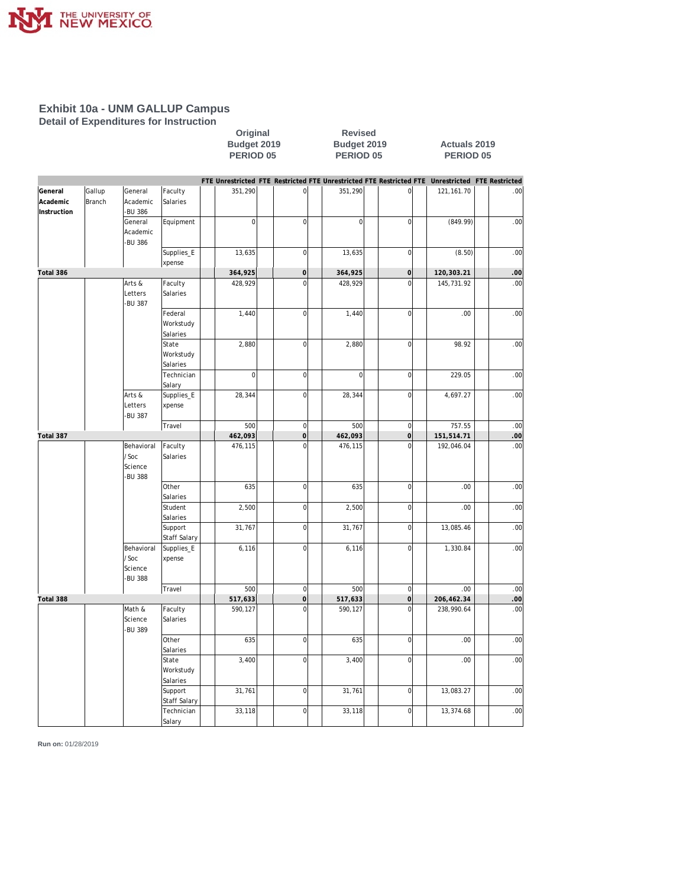

**Detail of Expenditures for Instruction**

Original Revised<br>
Budget 2019 Budget 2019<br>
PERIOD 05 PERIOD 0 **Budget 2019 Budget 2019 Actuals 2019 PERIOD 05 PERIOD 05 PERIOD 05**

|             |        |               |                     |             |                     |             |                | FTE Unrestricted FTE Restricted FTE Unrestricted FTE Restricted FTE Unrestricted FTE Restricted |      |
|-------------|--------|---------------|---------------------|-------------|---------------------|-------------|----------------|-------------------------------------------------------------------------------------------------|------|
| General     | Gallup | General       | Faculty             | 351,290     | $\mathsf{O}\xspace$ | 351,290     | $\overline{0}$ | 121, 161. 70                                                                                    | .00  |
| Academic    | Branch | Academic      | Salaries            |             |                     |             |                |                                                                                                 |      |
| Instruction |        | <b>BU 386</b> |                     |             |                     |             |                |                                                                                                 |      |
|             |        | General       | Equipment           | $\mathbf 0$ | $\overline{0}$      | $\mathbf 0$ | $\mathbf 0$    | (849.99)                                                                                        | .00  |
|             |        | Academic      |                     |             |                     |             |                |                                                                                                 |      |
|             |        | -BU 386       |                     |             |                     |             |                |                                                                                                 |      |
|             |        |               | Supplies_E          | 13,635      | $\mathbf 0$         | 13,635      | $\overline{0}$ | (8.50)                                                                                          | .00  |
| Total 386   |        |               | xpense              | 364,925     | $\mathbf 0$         | 364,925     | $\overline{O}$ | 120,303.21                                                                                      | .00  |
|             |        | Arts &        | Faculty             | 428,929     | $\overline{0}$      | 428,929     | $\mathbf 0$    | 145,731.92                                                                                      | .00  |
|             |        | Letters       | Salaries            |             |                     |             |                |                                                                                                 |      |
|             |        | <b>BU 387</b> |                     |             |                     |             |                |                                                                                                 |      |
|             |        |               | Federal             | 1,440       | $\overline{0}$      | 1,440       | $\overline{0}$ | .00                                                                                             | .00  |
|             |        |               | Workstudy           |             |                     |             |                |                                                                                                 |      |
|             |        |               | Salaries            |             |                     |             |                |                                                                                                 |      |
|             |        |               | State               | 2,880       | $\mathbf 0$         | 2,880       | $\overline{0}$ | 98.92                                                                                           | .00  |
|             |        |               | Workstudy           |             |                     |             |                |                                                                                                 |      |
|             |        |               | Salaries            |             |                     |             |                |                                                                                                 |      |
|             |        |               | Technician          | $\mathbf 0$ | $\mathbf 0$         | $\mathbf 0$ | $\overline{0}$ | 229.05                                                                                          | .00  |
|             |        |               | Salary              |             |                     |             |                |                                                                                                 |      |
|             |        | Arts &        | Supplies_E          | 28,344      | $\overline{0}$      | 28,344      | $\overline{0}$ | 4,697.27                                                                                        | .00  |
|             |        | Letters       | xpense              |             |                     |             |                |                                                                                                 |      |
|             |        | <b>BU 387</b> |                     |             |                     |             |                |                                                                                                 |      |
|             |        |               | Travel              | 500         | $\overline{0}$      | 500         | $\overline{0}$ | 757.55                                                                                          | .00  |
| Total 387   |        |               |                     | 462,093     | $\mathbf 0$         | 462,093     | $\circ$        | 151,514.71                                                                                      | .00. |
|             |        | Behavioral    | Faculty             | 476,115     | $\overline{0}$      | 476,115     | $\overline{0}$ | 192,046.04                                                                                      | .00  |
|             |        | /Soc          | Salaries            |             |                     |             |                |                                                                                                 |      |
|             |        | Science       |                     |             |                     |             |                |                                                                                                 |      |
|             |        | <b>BU 388</b> |                     |             |                     |             |                |                                                                                                 |      |
|             |        |               | Other               | 635         | $\mathbf 0$         | 635         | $\overline{0}$ | .00                                                                                             | .00  |
|             |        |               | Salaries<br>Student |             | $\overline{0}$      |             | $\overline{0}$ | .00                                                                                             | .00  |
|             |        |               | Salaries            | 2,500       |                     | 2,500       |                |                                                                                                 |      |
|             |        |               | Support             | 31,767      | $\mathbf 0$         | 31,767      | $\overline{0}$ | 13,085.46                                                                                       | .00  |
|             |        |               | Staff Salary        |             |                     |             |                |                                                                                                 |      |
|             |        | Behavioral    | Supplies_E          | 6,116       | $\mathbf 0$         | 6,116       | $\overline{0}$ | 1,330.84                                                                                        | .00  |
|             |        | /Soc          | xpense              |             |                     |             |                |                                                                                                 |      |
|             |        | Science       |                     |             |                     |             |                |                                                                                                 |      |
|             |        | <b>BU 388</b> |                     |             |                     |             |                |                                                                                                 |      |
|             |        |               | Travel              | 500         | $\overline{0}$      | 500         | $\overline{0}$ | .00                                                                                             | .00  |
| Total 388   |        |               |                     | 517,633     | $\overline{0}$      | 517,633     | $\sigma$       | 206,462.34                                                                                      | .00. |
|             |        | Math &        | Faculty             | 590,127     | $\mathbf 0$         | 590,127     | $\overline{0}$ | 238,990.64                                                                                      | .00  |
|             |        | Science       | Salaries            |             |                     |             |                |                                                                                                 |      |
|             |        | <b>BU 389</b> |                     |             |                     |             |                |                                                                                                 |      |
|             |        |               | Other               | 635         | $\overline{0}$      | 635         | $\overline{0}$ | .00                                                                                             | .00  |
|             |        |               | Salaries            |             |                     |             |                |                                                                                                 |      |
|             |        |               | State               | 3,400       | $\overline{0}$      | 3,400       | $\overline{0}$ | .00                                                                                             | .00  |
|             |        |               | Workstudy           |             |                     |             |                |                                                                                                 |      |
|             |        |               | Salaries            |             |                     |             |                |                                                                                                 |      |
|             |        |               | Support             | 31,761      | $\mathbf 0$         | 31,761      | $\overline{0}$ | 13,083.27                                                                                       | .00  |
|             |        |               | <b>Staff Salary</b> |             |                     |             |                |                                                                                                 |      |
|             |        |               | Technician          | 33,118      | $\mathbf 0$         | 33,118      | $\overline{0}$ | 13,374.68                                                                                       | .00  |
|             |        |               | Salary              |             |                     |             |                |                                                                                                 |      |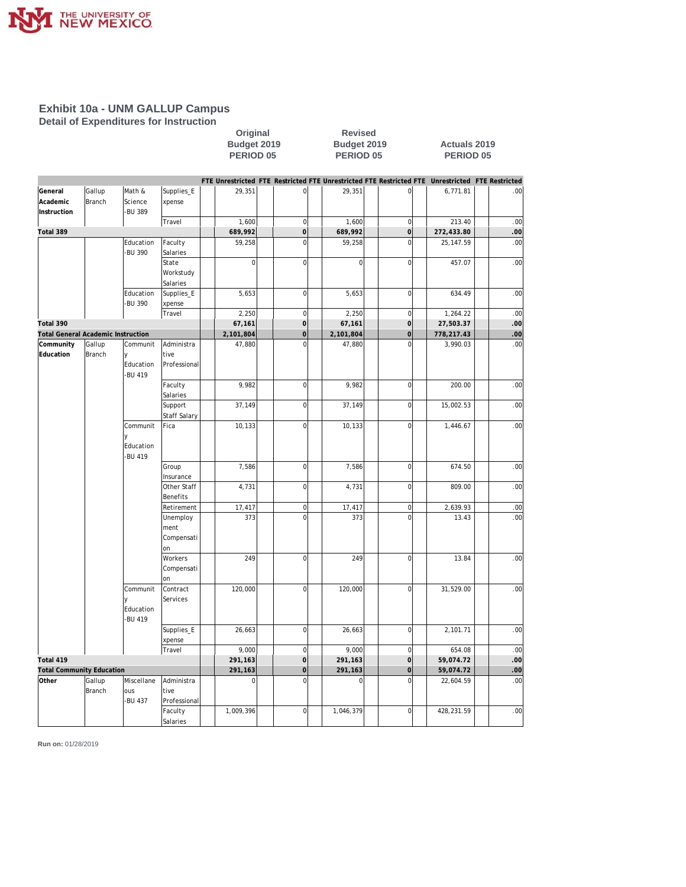

**Detail of Expenditures for Instruction**

| <b>Revised</b> |                      |
|----------------|----------------------|
| Budget 2019    | <b>Actuals 2019</b>  |
| PERIOD 05      | PERIOD <sub>05</sub> |
|                |                      |

**Revised** 

|                                           |        |               |              |           |                |           |                | FTE Unrestricted FTE Restricted FTE Unrestricted FTE Restricted FTE Unrestricted FTE Restricted |          |
|-------------------------------------------|--------|---------------|--------------|-----------|----------------|-----------|----------------|-------------------------------------------------------------------------------------------------|----------|
| General                                   | Gallup | Math &        | Supplies_E   | 29,351    | $\mathbf 0$    | 29,351    | $\mathbf{0}$   | 6,771.81                                                                                        | .00      |
| Academic                                  | Branch | Science       | xpense       |           |                |           |                |                                                                                                 |          |
| Instruction                               |        | <b>BU 389</b> |              |           |                |           |                |                                                                                                 |          |
|                                           |        |               | Travel       | 1,600     | $\mathbf 0$    | 1,600     | $\mathbf 0$    | 213.40                                                                                          | .00      |
| Total 389                                 |        |               |              | 689,992   | $\overline{0}$ | 689,992   | $\overline{O}$ | 272,433.80                                                                                      | .00      |
|                                           |        | Education     | Faculty      | 59,258    | $\overline{0}$ | 59,258    | $\overline{0}$ | 25, 147.59                                                                                      | .00      |
|                                           |        | <b>BU 390</b> | Salaries     |           |                |           |                |                                                                                                 |          |
|                                           |        |               | State        | $\Omega$  | $\overline{0}$ | $\Omega$  | $\overline{0}$ | 457.07                                                                                          | .00      |
|                                           |        |               | Workstudy    |           |                |           |                |                                                                                                 |          |
|                                           |        |               | Salaries     |           |                |           |                |                                                                                                 |          |
|                                           |        | Education     | Supplies_E   | 5,653     | $\mathbf 0$    | 5,653     | $\mathbf 0$    | 634.49                                                                                          | .00      |
|                                           |        | <b>BU 390</b> | xpense       |           |                |           |                |                                                                                                 |          |
|                                           |        |               | Travel       | 2,250     | $\mathbf 0$    | 2,250     | $\mathbf 0$    | 1,264.22                                                                                        | .00      |
| Total 390                                 |        |               |              | 67,161    | $\overline{0}$ | 67,161    | $\overline{0}$ | 27,503.37                                                                                       | .00.     |
| <b>Total General Academic Instruction</b> |        |               |              | 2,101,804 | $\overline{0}$ | 2,101,804 | $\overline{0}$ | 778,217.43                                                                                      | $.00 \,$ |
| Community                                 | Gallup | Communit      | Administra   | 47,880    | $\overline{0}$ | 47,880    | $\overline{0}$ | 3,990.03                                                                                        | .00      |
| Education                                 | Branch | V             | tive         |           |                |           |                |                                                                                                 |          |
|                                           |        | Education     | Professional |           |                |           |                |                                                                                                 |          |
|                                           |        | <b>BU 419</b> |              |           |                |           |                |                                                                                                 |          |
|                                           |        |               | Faculty      | 9,982     | $\mathbf 0$    | 9,982     | $\mathbf 0$    | 200.00                                                                                          | .00      |
|                                           |        |               | Salaries     |           | $\mathbf 0$    |           | $\overline{0}$ |                                                                                                 |          |
|                                           |        |               | Support      | 37,149    |                | 37,149    |                | 15,002.53                                                                                       | .00      |
|                                           |        |               | Staff Salary |           | $\mathbf 0$    |           | $\overline{0}$ |                                                                                                 | .00      |
|                                           |        | Communit      | Fica         | 10,133    |                | 10,133    |                | 1,446.67                                                                                        |          |
|                                           |        | Education     |              |           |                |           |                |                                                                                                 |          |
|                                           |        | <b>BU 419</b> |              |           |                |           |                |                                                                                                 |          |
|                                           |        |               | Group        | 7,586     | $\mathbf 0$    | 7,586     | $\mathbf 0$    | 674.50                                                                                          | .00      |
|                                           |        |               | Insurance    |           |                |           |                |                                                                                                 |          |
|                                           |        |               | Other Staff  | 4,731     | $\mathbf 0$    | 4,731     | $\overline{0}$ | 809.00                                                                                          | .00      |
|                                           |        |               | Benefits     |           |                |           |                |                                                                                                 |          |
|                                           |        |               | Retirement   | 17,417    | $\mathbf 0$    | 17,417    | $\mathbf 0$    | 2,639.93                                                                                        | .00      |
|                                           |        |               | Unemploy     | 373       | $\Omega$       | 373       | $\Omega$       | 13.43                                                                                           | .00      |
|                                           |        |               | ment         |           |                |           |                |                                                                                                 |          |
|                                           |        |               | Compensati   |           |                |           |                |                                                                                                 |          |
|                                           |        |               | on           |           |                |           |                |                                                                                                 |          |
|                                           |        |               | Workers      | 249       | $\mathbf 0$    | 249       | $\mathbf 0$    | 13.84                                                                                           | .00      |
|                                           |        |               | Compensati   |           |                |           |                |                                                                                                 |          |
|                                           |        |               | on           |           |                |           |                |                                                                                                 |          |
|                                           |        | Communit      | Contract     | 120,000   | $\overline{0}$ | 120,000   | $\overline{0}$ | 31,529.00                                                                                       | .00      |
|                                           |        | ٧             | Services     |           |                |           |                |                                                                                                 |          |
|                                           |        | Education     |              |           |                |           |                |                                                                                                 |          |
|                                           |        | <b>BU 419</b> |              |           |                |           |                |                                                                                                 |          |
|                                           |        |               | Supplies_E   | 26,663    | $\mathbf 0$    | 26,663    | 0              | 2,101.71                                                                                        | .00      |
|                                           |        |               | xpense       |           |                |           |                |                                                                                                 |          |
|                                           |        |               | Travel       | 9,000     | $\mathbf 0$    | 9,000     | $\overline{0}$ | 654.08                                                                                          | .00      |
| Total 419                                 |        |               |              | 291,163   | $\overline{0}$ | 291,163   | $\overline{0}$ | 59,074.72                                                                                       | .00.     |
| <b>Total Community Education</b>          |        |               |              | 291,163   | $\overline{0}$ | 291,163   | $\overline{0}$ | 59,074.72                                                                                       | .00      |
| Other                                     | Gallup | Miscellane    | Administra   | $\Omega$  | $\Omega$       | $\Omega$  | $\overline{0}$ | 22,604.59                                                                                       | .00      |
|                                           | Branch | ous           | tive         |           |                |           |                |                                                                                                 |          |
|                                           |        | <b>BU 437</b> | Professional |           |                |           |                |                                                                                                 |          |
|                                           |        |               | Faculty      | 1,009,396 | $\overline{0}$ | 1,046,379 | $\overline{0}$ | 428,231.59                                                                                      | .00      |
|                                           |        |               | Salaries     |           |                |           |                |                                                                                                 |          |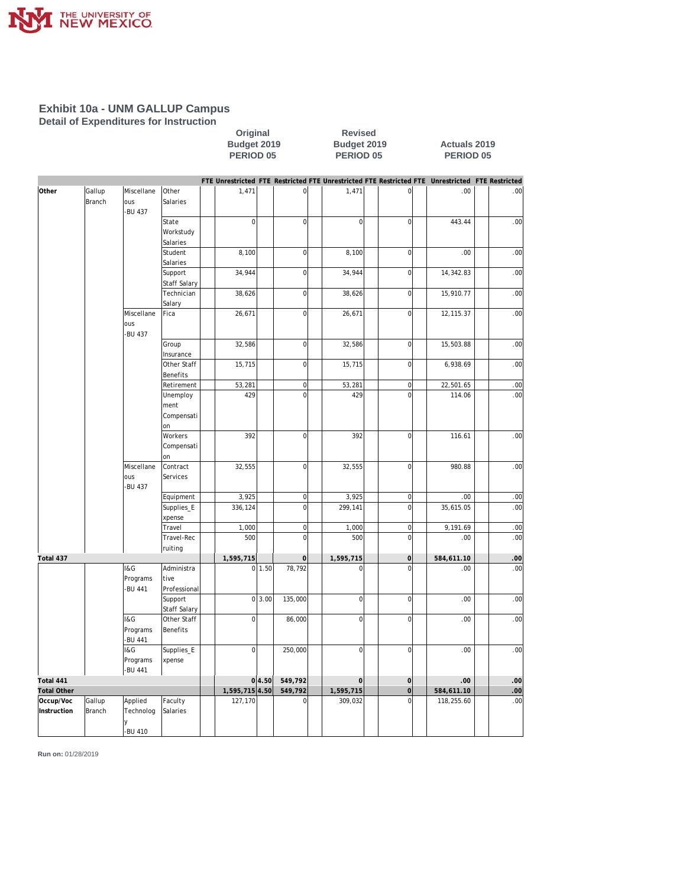

**Detail of Expenditures for Instruction**

#### Original Revised<br>
Budget 2019 Budget 2019<br>
PERIOD 05 PERIOD 05 **Budget 2019 Budget 2019 Actuals 2019 PERIOD 05 PERIOD 05 PERIOD 05**

|                    |               |               |              |                |        |                     |                |                         | FTE Unrestricted FTE Restricted FTE Unrestricted FTE Restricted FTE Unrestricted FTE Restricted |                  |
|--------------------|---------------|---------------|--------------|----------------|--------|---------------------|----------------|-------------------------|-------------------------------------------------------------------------------------------------|------------------|
| Other              | Gallup        | Miscellane    | <b>Other</b> | 1,471          |        | $\mathsf{O}\xspace$ | 1,471          | $\overline{0}$          | .00                                                                                             | .00              |
|                    | <b>Branch</b> | ous           | Salaries     |                |        |                     |                |                         |                                                                                                 |                  |
|                    |               | <b>BU 437</b> |              |                |        |                     |                |                         |                                                                                                 |                  |
|                    |               |               | State        | $\mathbf 0$    |        | $\overline{0}$      | $\overline{0}$ | $\mathbf 0$             | 443.44                                                                                          | .00              |
|                    |               |               | Workstudy    |                |        |                     |                |                         |                                                                                                 |                  |
|                    |               |               | Salaries     |                |        |                     |                |                         |                                                                                                 |                  |
|                    |               |               | Student      | 8,100          |        | $\mathbf 0$         | 8,100          | $\mathbf 0$             | .00                                                                                             | .00              |
|                    |               |               | Salaries     |                |        |                     |                |                         |                                                                                                 |                  |
|                    |               |               | Support      | 34,944         |        | $\mathbf 0$         | 34,944         | $\overline{0}$          | 14,342.83                                                                                       | .00              |
|                    |               |               | Staff Salary |                |        |                     |                |                         |                                                                                                 |                  |
|                    |               |               | Technician   | 38,626         |        | $\mathbf 0$         | 38,626         | $\overline{0}$          | 15,910.77                                                                                       | .00              |
|                    |               |               | Salary       |                |        |                     |                |                         |                                                                                                 |                  |
|                    |               | Miscellane    | Fica         | 26,671         |        | $\mathbf 0$         | 26,671         | $\overline{0}$          | 12, 115.37                                                                                      | .00              |
|                    |               | ous           |              |                |        |                     |                |                         |                                                                                                 |                  |
|                    |               | <b>BU 437</b> |              |                |        |                     |                |                         |                                                                                                 |                  |
|                    |               |               | Group        | 32,586         |        | $\mathbf 0$         | 32,586         | $\overline{0}$          | 15,503.88                                                                                       | .00              |
|                    |               |               | Insurance    |                |        |                     |                |                         |                                                                                                 |                  |
|                    |               |               | Other Staff  | 15,715         |        | $\overline{0}$      | 15,715         | $\overline{0}$          | 6,938.69                                                                                        | .00              |
|                    |               |               | Benefits     |                |        |                     |                |                         |                                                                                                 |                  |
|                    |               |               | Retirement   | 53,281         |        | $\mathbf 0$         | 53,281         | $\overline{0}$          | 22,501.65                                                                                       | .00              |
|                    |               |               | Unemploy     | 429            |        | $\mathbf 0$         | 429            | $\mathbf 0$             | 114.06                                                                                          | .00              |
|                    |               |               | ment         |                |        |                     |                |                         |                                                                                                 |                  |
|                    |               |               | Compensati   |                |        |                     |                |                         |                                                                                                 |                  |
|                    |               |               | lon          |                |        |                     |                |                         |                                                                                                 |                  |
|                    |               |               | Workers      | 392            |        | $\mathbf 0$         | 392            | $\mathbf 0$             | 116.61                                                                                          | .00              |
|                    |               |               | Compensati   |                |        |                     |                |                         |                                                                                                 |                  |
|                    |               |               | lon          |                |        |                     |                |                         |                                                                                                 |                  |
|                    |               | Miscellane    | Contract     | 32,555         |        | $\mathbf 0$         | 32,555         | $\overline{0}$          | 980.88                                                                                          | .00              |
|                    |               | ous           | Services     |                |        |                     |                |                         |                                                                                                 |                  |
|                    |               | <b>BU 437</b> |              |                |        |                     |                |                         |                                                                                                 |                  |
|                    |               |               | Equipment    | 3,925          |        | $\mathsf 0$         | 3,925          | $\overline{0}$          | .00                                                                                             | .00              |
|                    |               |               | Supplies_E   | 336,124        |        | $\overline{0}$      | 299,141        | $\overline{0}$          | 35,615.05                                                                                       | .00              |
|                    |               |               | xpense       |                |        |                     |                |                         |                                                                                                 |                  |
|                    |               |               | Travel       | 1,000          |        | $\boldsymbol{0}$    | 1,000          | $\overline{0}$          | 9,191.69                                                                                        | .00              |
|                    |               |               | Travel-Rec   | 500            |        | $\mathsf{O}$        | 500            | $\overline{0}$          | .00                                                                                             | .00              |
|                    |               |               | ruiting      |                |        |                     |                |                         |                                                                                                 |                  |
| Total 437          |               |               |              | 1,595,715      |        | $\overline{0}$      | 1,595,715      | $\mathbf 0$             | 584,611.10                                                                                      | $.00 \,$         |
|                    |               | I&G           | Administra   |                | 0 1.50 | 78,792              | $\mathbf 0$    | $\overline{0}$          | .00                                                                                             | .00              |
|                    |               | Programs      | tive         |                |        |                     |                |                         |                                                                                                 |                  |
|                    |               | <b>BU 441</b> | Professional |                |        |                     |                |                         |                                                                                                 |                  |
|                    |               |               | Support      |                | 0 3.00 | 135,000             | 0              | $\overline{0}$          | .00                                                                                             | .00              |
|                    |               |               | Staff Salary |                |        |                     |                |                         |                                                                                                 |                  |
|                    |               | I&G           | Other Staff  | $\overline{0}$ |        | 86,000              | $\overline{0}$ | $\overline{0}$          | .00                                                                                             | .00              |
|                    |               | Programs      | Benefits     |                |        |                     |                |                         |                                                                                                 |                  |
|                    |               | <b>BU 441</b> |              |                |        |                     |                |                         |                                                                                                 |                  |
|                    |               | I&G           |              | $\overline{0}$ |        |                     | $\overline{0}$ | $\mathbf 0$             | .00                                                                                             |                  |
|                    |               |               | Supplies_E   |                |        | 250,000             |                |                         |                                                                                                 | .00              |
|                    |               | Programs      | xpense       |                |        |                     |                |                         |                                                                                                 |                  |
|                    |               | -BU 441       |              |                |        |                     |                |                         |                                                                                                 |                  |
| Total 441          |               |               |              |                | 0 4.50 | 549,792             | 0              | $\mathbf 0$             | .00                                                                                             | .00              |
| <b>Total Other</b> |               |               |              | 1,595,715 4.50 |        | 549,792             | 1,595,715      | $\sigma$<br>$\mathbf 0$ | 584,611.10                                                                                      | .00 <sub>1</sub> |
| Occup/Voc          | Gallup        | Applied       | Faculty      | 127,170        |        | $\mathsf 0$         | 309,032        |                         | 118,255.60                                                                                      | .00              |
| Instruction        | Branch        | Technolog     | Salaries     |                |        |                     |                |                         |                                                                                                 |                  |
|                    |               | v             |              |                |        |                     |                |                         |                                                                                                 |                  |
|                    |               | -BU 410       |              |                |        |                     |                |                         |                                                                                                 |                  |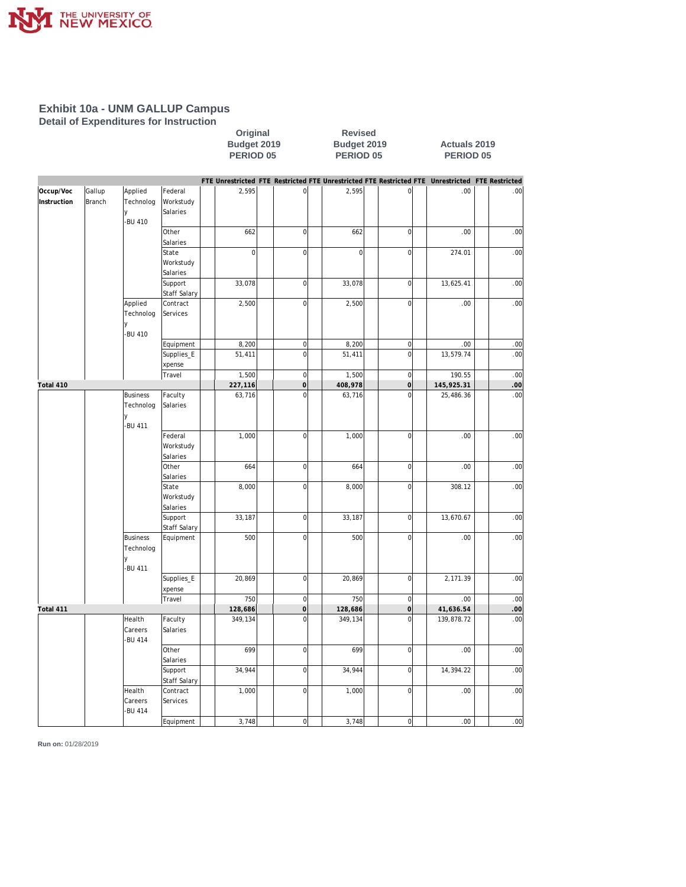

**Detail of Expenditures for Instruction**

#### Original Revised<br>
Budget 2019 Budget 2019<br>
PERIOD 05 PERIOD 0 **Budget 2019 Budget 2019 Actuals 2019 PERIOD 05 PERIOD 05 PERIOD 05**

|             |        |                      |                      |                    |                                    |                    |                               | FTE Unrestricted FTE Restricted FTE Unrestricted FTE Restricted FTE Unrestricted FTE Restricted |             |
|-------------|--------|----------------------|----------------------|--------------------|------------------------------------|--------------------|-------------------------------|-------------------------------------------------------------------------------------------------|-------------|
| Occup/Voc   | Gallup | Applied              | Federal              | 2,595              | $\mathsf{O}\xspace$                | 2,595              | $\mathbf 0$                   | .00                                                                                             | .00         |
| Instruction | Branch | Technolog            | Workstudy            |                    |                                    |                    |                               |                                                                                                 |             |
|             |        | y                    | Salaries             |                    |                                    |                    |                               |                                                                                                 |             |
|             |        | -BU 410              |                      |                    |                                    |                    |                               |                                                                                                 |             |
|             |        |                      | Other                | 662                | $\mathbf 0$                        | 662                | $\mathbf 0$                   | .00                                                                                             | .00         |
|             |        |                      | Salaries             |                    |                                    |                    |                               |                                                                                                 |             |
|             |        |                      | State                | $\mathbf 0$        | $\mathbf 0$                        | $\mathbf 0$        | $\mathbf 0$                   | 274.01                                                                                          | .00         |
|             |        |                      | Workstudy            |                    |                                    |                    |                               |                                                                                                 |             |
|             |        |                      | Salaries             |                    |                                    |                    |                               |                                                                                                 |             |
|             |        |                      | Support              | 33,078             | $\mathbf 0$                        | 33,078             | $\mathbf 0$                   | 13,625.41                                                                                       | .00         |
|             |        |                      | Staff Salary         |                    | $\mathbf 0$                        |                    | $\mathbf 0$                   | .00                                                                                             |             |
|             |        | Applied<br>Technolog | Contract<br>Services | 2,500              |                                    | 2,500              |                               |                                                                                                 | .00         |
|             |        |                      |                      |                    |                                    |                    |                               |                                                                                                 |             |
|             |        | -BU 410              |                      |                    |                                    |                    |                               |                                                                                                 |             |
|             |        |                      | Equipment            | 8,200              | $\mathsf{O}\xspace$                | 8,200              | $\overline{0}$                | .00.                                                                                            | .00         |
|             |        |                      | Supplies_E           | 51,411             | $\mathbf 0$                        | 51,411             | $\mathbf 0$                   | 13,579.74                                                                                       | .00         |
|             |        |                      | xpense               |                    |                                    |                    |                               |                                                                                                 |             |
|             |        |                      | Travel               | 1,500              | $\mathbf 0$                        | 1,500              | $\mathbf 0$                   | 190.55                                                                                          | .00         |
| Total 410   |        |                      |                      | 227,116            | $\overline{0}$                     | 408,978            | $\overline{0}$                | 145,925.31                                                                                      | $.00 \,$    |
|             |        | <b>Business</b>      | Faculty              | 63,716             | $\mathbf 0$                        | 63,716             | $\mathbf 0$                   | 25,486.36                                                                                       | .00         |
|             |        | Technolog            | Salaries             |                    |                                    |                    |                               |                                                                                                 |             |
|             |        | ٧                    |                      |                    |                                    |                    |                               |                                                                                                 |             |
|             |        | -BU 411              |                      |                    |                                    |                    |                               |                                                                                                 |             |
|             |        |                      | Federal              | 1,000              | $\mathbf 0$                        | 1,000              | $\mathbf 0$                   | .00                                                                                             | .00         |
|             |        |                      | Workstudy            |                    |                                    |                    |                               |                                                                                                 |             |
|             |        |                      | Salaries             |                    |                                    |                    |                               |                                                                                                 |             |
|             |        |                      | Other                | 664                | $\mathbf 0$                        | 664                | $\overline{0}$                | .00                                                                                             | .00         |
|             |        |                      | Salaries             |                    |                                    |                    |                               |                                                                                                 |             |
|             |        |                      | State                | 8,000              | $\mathsf 0$                        | 8,000              | $\mathbf 0$                   | 308.12                                                                                          | .00         |
|             |        |                      | Workstudy            |                    |                                    |                    |                               |                                                                                                 |             |
|             |        |                      | Salaries             |                    |                                    |                    |                               |                                                                                                 |             |
|             |        |                      | Support              | 33,187             | $\mathbf 0$                        | 33,187             | $\mathbf 0$                   | 13,670.67                                                                                       | .00         |
|             |        |                      | Staff Salary         |                    |                                    |                    |                               |                                                                                                 |             |
|             |        | <b>Business</b>      | Equipment            | 500                | $\mathsf 0$                        | 500                | $\mathbf 0$                   | .00                                                                                             | .00         |
|             |        | Technolog            |                      |                    |                                    |                    |                               |                                                                                                 |             |
|             |        | ٧                    |                      |                    |                                    |                    |                               |                                                                                                 |             |
|             |        | <b>BU 411</b>        |                      |                    |                                    |                    |                               |                                                                                                 |             |
|             |        |                      | Supplies_E           | 20,869             | $\mathbf 0$                        | 20,869             | $\mathbf 0$                   | 2,171.39                                                                                        | .00         |
|             |        |                      | xpense               |                    |                                    |                    |                               |                                                                                                 |             |
|             |        |                      | Travel               | 750                | $\mathbf 0$<br>$\mathsf{O}\xspace$ | 750                | $\mathbf 0$<br>$\overline{0}$ | .00                                                                                             | .00         |
| Total 411   |        | Health               | Faculty              | 128,686<br>349,134 | $\mathbf 0$                        | 128,686<br>349,134 | $\overline{0}$                | 41,636.54<br>139,878.72                                                                         | .00.<br>.00 |
|             |        | Careers              | Salaries             |                    |                                    |                    |                               |                                                                                                 |             |
|             |        | <b>BU 414</b>        |                      |                    |                                    |                    |                               |                                                                                                 |             |
|             |        |                      | Other                | 699                | $\mathsf{O}\xspace$                | 699                | $\mathbf 0$                   | .00                                                                                             | .00         |
|             |        |                      | Salaries             |                    |                                    |                    |                               |                                                                                                 |             |
|             |        |                      | Support              | 34,944             | $\mathsf{O}\xspace$                | 34,944             | $\overline{0}$                | 14,394.22                                                                                       | .00         |
|             |        |                      | <b>Staff Salary</b>  |                    |                                    |                    |                               |                                                                                                 |             |
|             |        | Health               | Contract             | 1,000              | $\mathsf{O}\xspace$                | 1,000              | $\overline{0}$                | .00                                                                                             | .00         |
|             |        | Careers              | Services             |                    |                                    |                    |                               |                                                                                                 |             |
|             |        | <b>BU 414</b>        |                      |                    |                                    |                    |                               |                                                                                                 |             |
|             |        |                      | Equipment            | 3,748              | $\mathbf 0$                        | 3,748              | $\overline{0}$                | .00.                                                                                            | .00         |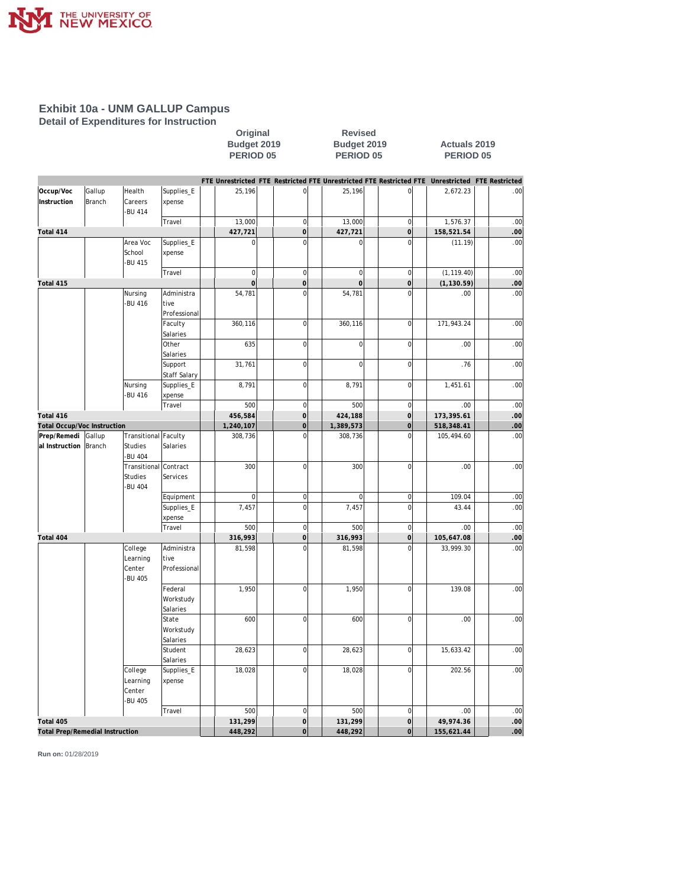

**Detail of Expenditures for Instruction**

#### Original Revised<br>
Budget 2019 Budget 2019<br>
PERIOD 05 PERIOD 0 **Budget 2019 Budget 2019 Actuals 2019 PERIOD 05 PERIOD 05 PERIOD 05**

|                                        |               |                       |              |              |                     |                |                | FTE Unrestricted FTE Restricted FTE Unrestricted FTE Restricted FTE Unrestricted | <b>FTE Restricted</b> |
|----------------------------------------|---------------|-----------------------|--------------|--------------|---------------------|----------------|----------------|----------------------------------------------------------------------------------|-----------------------|
| Occup/Voc                              | Gallup        | Health                | Supplies_E   | 25,196       | $\mathsf{O}\xspace$ | 25,196         | $\overline{0}$ | 2,672.23                                                                         | .00                   |
| Instruction                            | <b>Branch</b> | Careers               | xpense       |              |                     |                |                |                                                                                  |                       |
|                                        |               | -BU 414               |              |              |                     |                |                |                                                                                  |                       |
|                                        |               |                       | Travel       | 13,000       | $\mathbf 0$         | 13,000         | $\overline{0}$ | 1,576.37                                                                         | .00                   |
| Total 414                              |               |                       |              | 427,721      | $\mathsf{O}\xspace$ | 427,721        | $\sigma$       | 158,521.54                                                                       | $.00 \,$              |
|                                        |               | Area Voc              | Supplies_E   | $\mathbf 0$  | $\overline{0}$      | $\overline{0}$ | $\overline{0}$ | (11.19)                                                                          | .00                   |
|                                        |               | School                | xpense       |              |                     |                |                |                                                                                  |                       |
|                                        |               | -BU 415               |              |              |                     |                |                |                                                                                  |                       |
|                                        |               |                       | Travel       | $\mathbf 0$  | $\mathbf 0$         | $\overline{0}$ | $\overline{0}$ | (1, 119.40)                                                                      | .00                   |
| Total 415                              |               |                       |              | $\mathbf{0}$ | $\circ$             | $\mathbf 0$    | $\circ$        | (1, 130.59)                                                                      | .00.                  |
|                                        |               | Nursing               | Administra   | 54,781       | $\overline{0}$      | 54,781         | $\overline{0}$ | .00.                                                                             | .00                   |
|                                        |               | -BU 416               | tive         |              |                     |                |                |                                                                                  |                       |
|                                        |               |                       | Professional |              |                     |                |                |                                                                                  |                       |
|                                        |               |                       | Faculty      | 360,116      | $\mathbf 0$         | 360,116        | $\overline{0}$ | 171,943.24                                                                       | .00                   |
|                                        |               |                       | Salaries     |              |                     |                |                |                                                                                  |                       |
|                                        |               |                       | Other        | 635          | $\mathbf 0$         | $\mathbf 0$    | $\mathbf 0$    | .00                                                                              | .00                   |
|                                        |               |                       | Salaries     |              |                     |                |                |                                                                                  |                       |
|                                        |               |                       | Support      | 31,761       | $\mathbf 0$         | $\overline{0}$ | $\overline{0}$ | .76                                                                              | .00                   |
|                                        |               |                       | Staff Salary |              |                     |                |                |                                                                                  |                       |
|                                        |               | Nursing               | Supplies_E   | 8,791        | $\mathbf 0$         | 8,791          | $\overline{0}$ | 1,451.61                                                                         | .00                   |
|                                        |               | -BU 416               | xpense       |              |                     |                |                |                                                                                  |                       |
|                                        |               |                       | Travel       | 500          | $\mathbf 0$         | 500            | $\mathbf 0$    | .00                                                                              | .00                   |
| Total 416                              |               |                       |              | 456,584      | $\mathbf 0$         | 424,188        | $\overline{O}$ | 173,395.61                                                                       | $.00 \,$              |
| Total Occup/Voc Instruction            |               |                       |              | 1,240,107    | $\overline{0}$      | 1,389,573      | $\overline{0}$ | 518,348.41                                                                       | .00                   |
| Prep/Remedi                            | Gallup        | Transitional Faculty  |              | 308,736      | $\overline{0}$      | 308,736        | $\overline{0}$ | 105,494.60                                                                       | .00                   |
| al Instruction                         | Branch        | <b>Studies</b>        | Salaries     |              |                     |                |                |                                                                                  |                       |
|                                        |               | <b>BU 404</b>         |              |              |                     |                |                |                                                                                  |                       |
|                                        |               | Transitional Contract |              | 300          | $\mathbf 0$         | 300            | $\mathbf 0$    | .00.                                                                             | .00                   |
|                                        |               | <b>Studies</b>        | Services     |              |                     |                |                |                                                                                  |                       |
|                                        |               | -BU 404               |              |              |                     |                |                |                                                                                  |                       |
|                                        |               |                       | Equipment    | $\mathbf 0$  | $\overline{0}$      | $\mathbf 0$    | $\overline{0}$ | 109.04                                                                           | .00                   |
|                                        |               |                       | Supplies_E   | 7,457        | $\mathbf 0$         | 7,457          | $\overline{0}$ | 43.44                                                                            | .00                   |
|                                        |               |                       | xpense       |              |                     |                |                |                                                                                  |                       |
|                                        |               |                       | Travel       | 500          | $\overline{0}$      | 500            | $\mathbf 0$    | .00                                                                              | .00                   |
| Total 404                              |               |                       |              | 316,993      | $\overline{O}$      | 316,993        | $\mathbf 0$    | 105,647.08                                                                       | .00                   |
|                                        |               | College               | Administra   | 81,598       | $\overline{0}$      | 81,598         | $\overline{0}$ | 33,999.30                                                                        | .00                   |
|                                        |               | Learning              | tive         |              |                     |                |                |                                                                                  |                       |
|                                        |               | Center                | Professional |              |                     |                |                |                                                                                  |                       |
|                                        |               | <b>BU 405</b>         |              |              |                     |                |                |                                                                                  |                       |
|                                        |               |                       | Federal      | 1,950        | $\mathbf 0$         | 1,950          | $\overline{0}$ | 139.08                                                                           | .00                   |
|                                        |               |                       | Workstudy    |              |                     |                |                |                                                                                  |                       |
|                                        |               |                       | Salaries     |              |                     |                |                |                                                                                  |                       |
|                                        |               |                       | State        | 600          | $\mathbf 0$         | 600            | $\overline{0}$ | .00                                                                              | .00                   |
|                                        |               |                       | Workstudy    |              |                     |                |                |                                                                                  |                       |
|                                        |               |                       | Salaries     |              |                     |                |                |                                                                                  |                       |
|                                        |               |                       | Student      | 28,623       | $\mathbf 0$         | 28,623         | $\overline{0}$ | 15,633.42                                                                        | .00                   |
|                                        |               |                       | Salaries     |              |                     |                |                |                                                                                  |                       |
|                                        |               | College               | Supplies_E   | 18,028       | $\mathbf 0$         | 18,028         | $\overline{0}$ | 202.56                                                                           | .00                   |
|                                        |               |                       |              |              |                     |                |                |                                                                                  |                       |
|                                        |               | Learning<br>Center    | xpense       |              |                     |                |                |                                                                                  |                       |
|                                        |               | -BU 405               |              |              |                     |                |                |                                                                                  |                       |
|                                        |               |                       | Travel       | 500          | $\mathbf 0$         | 500            | $\mathbf 0$    | .00                                                                              | .00                   |
| Total 405                              |               |                       |              | 131,299      | $\circ$             | 131,299        | $\circ$        | 49,974.36                                                                        | .00.                  |
| <b>Total Prep/Remedial Instruction</b> |               |                       |              | 448,292      | $\overline{O}$      | 448,292        | $\overline{0}$ | 155,621.44                                                                       | .00 <sub>1</sub>      |
|                                        |               |                       |              |              |                     |                |                |                                                                                  |                       |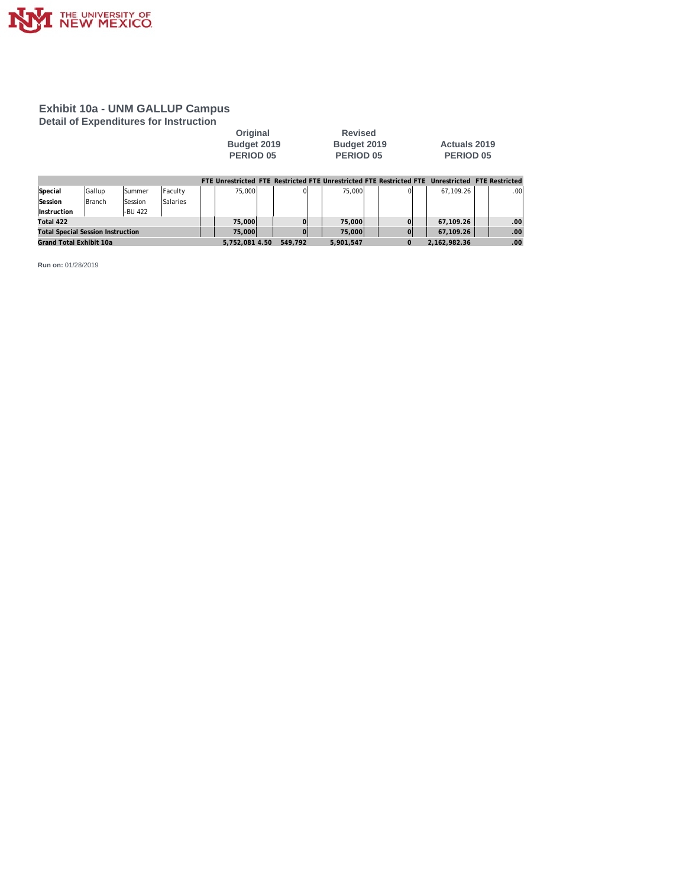

**Detail of Expenditures for Instruction**

| <b>Original</b> | <b>Revised</b> |                     |
|-----------------|----------------|---------------------|
| Budget 2019     | Budget 2019    | <b>Actuals 2019</b> |
| PERIOD 05       | PERIOD 05      | <b>PERIOD 05</b>    |

**Revised** 

|                                          |               |               |          |                |         |           | FTF Unrestricted FTF Restricted FTF Unrestricted FTF Restricted FTF Unrestricted FTF Restricted |              |      |
|------------------------------------------|---------------|---------------|----------|----------------|---------|-----------|-------------------------------------------------------------------------------------------------|--------------|------|
| Special                                  | Gallup        | <b>Summer</b> | Faculty  | 75,000         |         | 75,000    |                                                                                                 | 67.109.26    | .001 |
| Session                                  | <b>Branch</b> | Session       | Salaries |                |         |           |                                                                                                 |              |      |
| <i><u><b>Instruction</b></u></i>         |               | -BU 422       |          |                |         |           |                                                                                                 |              |      |
| Total 422                                |               |               |          | 75,000         |         | 75,000    |                                                                                                 | 67.109.26    | .00  |
| <b>Total Special Session Instruction</b> |               |               |          | 75,000         |         | 75,000    |                                                                                                 | 67,109.26    | .001 |
| Grand Total Exhibit 10a                  |               |               |          | 5.752.081 4.50 | 549.792 | 5.901.547 |                                                                                                 | 2.162.982.36 | .00  |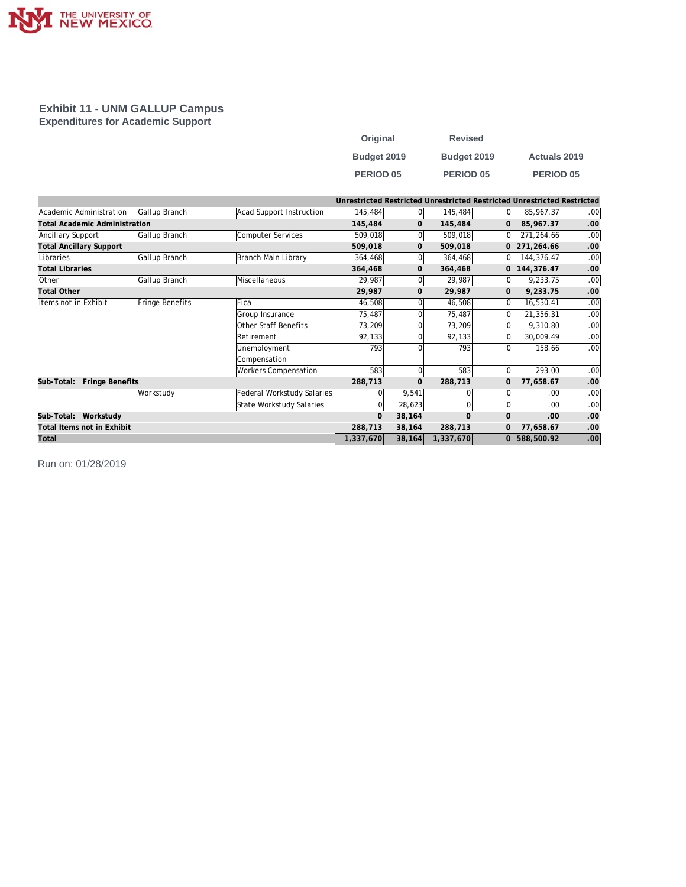

#### **Exhibit 11 - UNM GALLUP Campus Expenditures for Academic Support**

| Original         | <b>Revised</b>   |                     |
|------------------|------------------|---------------------|
| Budget 2019      | Budget 2019      | <b>Actuals 2019</b> |
| <b>PERIOD 05</b> | <b>PERIOD 05</b> | <b>PERIOD 05</b>    |

|                                      |                 |                            | Unrestricted Restricted Unrestricted Restricted Unrestricted Restricted |              |                |              |              |     |
|--------------------------------------|-----------------|----------------------------|-------------------------------------------------------------------------|--------------|----------------|--------------|--------------|-----|
| Academic Administration              | Gallup Branch   | Acad Support Instruction   | 145,484                                                                 | 01           | 145,484        | 01           | 85,967.37    | .00 |
| <b>Total Academic Administration</b> |                 |                            | 145,484                                                                 | $\mathbf{0}$ | 145,484        | $\mathbf{0}$ | 85,967.37    | .00 |
| Ancillary Support                    | Gallup Branch   | Computer Services          | 509,018                                                                 |              | 509,018        | <sup>0</sup> | 271,264.66   | .00 |
| <b>Total Ancillary Support</b>       |                 |                            | 509,018                                                                 | $\mathbf{0}$ | 509,018        | 0            | 271,264.66   | .00 |
| Libraries                            | Gallup Branch   | Branch Main Library        | 364,468                                                                 | ΩI           | 364,468        | $\Omega$     | 144,376.47   | .00 |
| <b>Total Libraries</b>               |                 |                            | 364,468                                                                 | $\mathbf{0}$ | 364,468        | 0            | 144,376.47   | .00 |
| Other                                | Gallup Branch   | Miscellaneous              | 29,987                                                                  |              | 29,987         | 0l           | 9,233.75     | .00 |
| <b>Total Other</b>                   |                 |                            | 29,987                                                                  | $\mathbf 0$  | 29,987         | 0            | 9,233.75     | .00 |
| Items not in Exhibit                 | Fringe Benefits | Fica                       | 46,508                                                                  |              | 46,508         | $\Omega$     | 16,530.41    | .00 |
|                                      |                 | Group Insurance            | 75,487                                                                  |              | 75,487         | O            | 21,356.31    | .00 |
|                                      |                 | Other Staff Benefits       | 73,209                                                                  |              | 73,209         | $\Omega$     | 9,310.80     | .00 |
|                                      |                 | Retirement                 | 92,133                                                                  |              | 92,133         | $\Omega$     | 30,009.49    | .00 |
|                                      |                 | Unemployment               | 793                                                                     |              | 793            | 0            | 158.66       | .00 |
|                                      |                 | Compensation               |                                                                         |              |                |              |              |     |
|                                      |                 | Workers Compensation       | 583                                                                     |              | 583            | $\Omega$     | 293.00       | .00 |
| Fringe Benefits<br>Sub-Total:        |                 |                            | 288,713                                                                 | $\mathbf{0}$ | 288,713        | $\mathbf 0$  | 77,658.67    | .00 |
|                                      | Workstudy       | Federal Workstudy Salaries |                                                                         | 9,541        |                |              | .00.         | .00 |
|                                      |                 | State Workstudy Salaries   | 0                                                                       | 28,623       |                | $\Omega$     | .00.         | .00 |
| Workstudy<br>Sub-Total:              |                 |                            | $\overline{0}$                                                          | 38,164       | $\overline{0}$ | 0            | .00          | .00 |
| Total Items not in Exhibit           |                 |                            | 288,713                                                                 | 38,164       | 288,713        | $\mathbf{0}$ | 77,658.67    | .00 |
| Total                                |                 |                            | 1,337,670                                                               | 38,164       | 1,337,670      |              | 0 588,500.92 | .00 |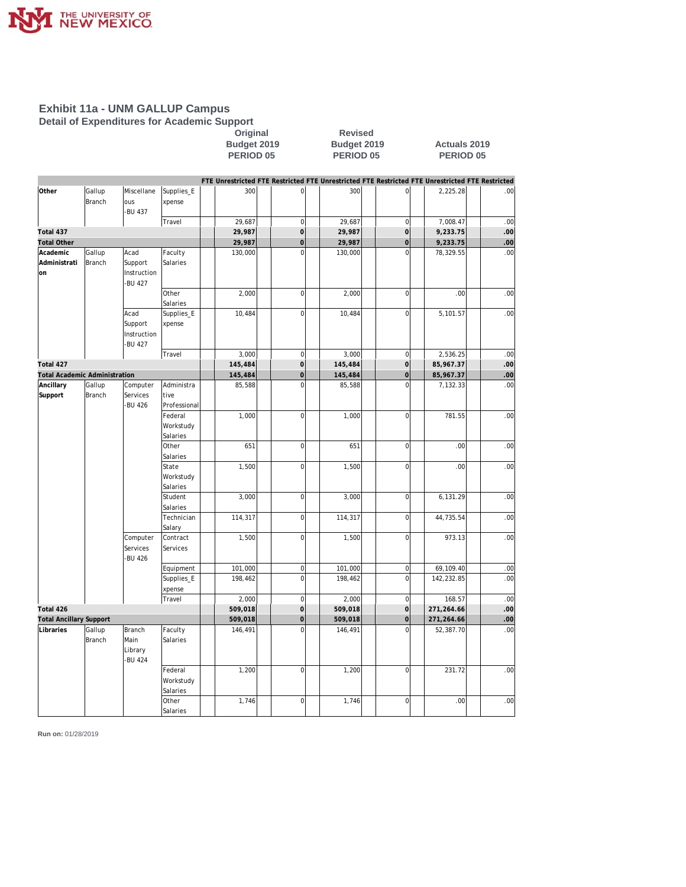

**Detail of Expenditures for Academic Support**

# **Original Revised**

#### **Budget 2019 Budget 2019 Actuals 2019 PERIOD 05 PERIOD 05 PERIOD 05**

|                                      |               |               |                       | FTE Unrestricted FTE Restricted FTE Unrestricted FTE Restricted FTE Unrestricted FTE Restricted |                     |         |                |            |     |
|--------------------------------------|---------------|---------------|-----------------------|-------------------------------------------------------------------------------------------------|---------------------|---------|----------------|------------|-----|
| Other                                | Gallup        | Miscellane    | Supplies_E            | 300                                                                                             | $\mathbf 0$         | 300     | $\overline{0}$ | 2,225.28   | .00 |
|                                      | Branch        | ous           | xpense                |                                                                                                 |                     |         |                |            |     |
|                                      |               | <b>BU 437</b> |                       |                                                                                                 |                     |         |                |            |     |
|                                      |               |               | Travel                | 29,687                                                                                          | $\mathbf 0$         | 29,687  | $\overline{0}$ | 7,008.47   | .00 |
| Total 437                            |               |               |                       | 29,987                                                                                          | $\mathbf 0$         | 29,987  | $\mathbf 0$    | 9,233.75   | .00 |
| <b>Total Other</b>                   |               |               |                       | 29,987                                                                                          | $\mathbf 0$         | 29,987  | $\mathbf 0$    | 9,233.75   | .00 |
| Academic                             | Gallup        | Acad          | Faculty               | 130,000                                                                                         | $\overline{0}$      | 130,000 | $\overline{0}$ | 78,329.55  | .00 |
| Administrati                         | <b>Branch</b> | Support       | Salaries              |                                                                                                 |                     |         |                |            |     |
| on                                   |               | Instruction   |                       |                                                                                                 |                     |         |                |            |     |
|                                      |               | <b>BU 427</b> |                       |                                                                                                 |                     |         |                |            |     |
|                                      |               |               | Other                 | 2,000                                                                                           | $\mathbf 0$         | 2,000   | $\overline{0}$ | .00        | .00 |
|                                      |               |               | Salaries              |                                                                                                 |                     |         |                |            |     |
|                                      |               | Acad          | Supplies_E            | 10,484                                                                                          | $\overline{0}$      | 10,484  | $\overline{0}$ | 5,101.57   | .00 |
|                                      |               | Support       | xpense                |                                                                                                 |                     |         |                |            |     |
|                                      |               | Instruction   |                       |                                                                                                 |                     |         |                |            |     |
|                                      |               | <b>BU 427</b> |                       |                                                                                                 |                     |         |                |            |     |
|                                      |               |               | Travel                | 3,000                                                                                           | $\mathbf 0$         | 3,000   | $\overline{0}$ | 2,536.25   | .00 |
| Total 427                            |               |               |                       | 145,484                                                                                         | $\mathbf 0$         | 145,484 | $\overline{0}$ | 85,967.37  | .00 |
| <b>Total Academic Administration</b> |               |               |                       | 145,484                                                                                         | $\overline{O}$      | 145,484 | $\mathbf 0$    | 85,967.37  | .00 |
| Ancillary                            | Gallup        | Computer      | Administra            | 85,588                                                                                          | $\Omega$            | 85,588  | $\Omega$       | 7,132.33   | .00 |
| Support                              | Branch        | Services      | tive                  |                                                                                                 |                     |         |                |            |     |
|                                      |               | <b>BU 426</b> | Professional          |                                                                                                 |                     |         |                |            |     |
|                                      |               |               | Federal               | 1,000                                                                                           | $\mathbf 0$         | 1,000   | $\overline{0}$ | 781.55     | .00 |
|                                      |               |               | Workstudy             |                                                                                                 |                     |         |                |            |     |
|                                      |               |               | Salaries              |                                                                                                 |                     |         | $\overline{0}$ |            |     |
|                                      |               |               | Other                 | 651                                                                                             | $\mathbf 0$         | 651     |                | .00        | .00 |
|                                      |               |               | Salaries              |                                                                                                 | $\mathbf 0$         |         | $\overline{0}$ |            | .00 |
|                                      |               |               | State                 | 1,500                                                                                           |                     | 1,500   |                | .00        |     |
|                                      |               |               | Workstudy<br>Salaries |                                                                                                 |                     |         |                |            |     |
|                                      |               |               | Student               | 3,000                                                                                           | $\mathbf 0$         | 3,000   | $\overline{0}$ | 6,131.29   | .00 |
|                                      |               |               | Salaries              |                                                                                                 |                     |         |                |            |     |
|                                      |               |               | Technician            | 114,317                                                                                         | $\mathbf 0$         | 114,317 | $\overline{0}$ | 44,735.54  | .00 |
|                                      |               |               | Salary                |                                                                                                 |                     |         |                |            |     |
|                                      |               | Computer      | Contract              | 1,500                                                                                           | $\mathbf 0$         | 1,500   | $\overline{0}$ | 973.13     | .00 |
|                                      |               | Services      | Services              |                                                                                                 |                     |         |                |            |     |
|                                      |               | <b>BU 426</b> |                       |                                                                                                 |                     |         |                |            |     |
|                                      |               |               | Equipment             | 101,000                                                                                         | $\mathbf 0$         | 101,000 | $\overline{0}$ | 69,109.40  | .00 |
|                                      |               |               | Supplies_E            | 198,462                                                                                         | $\mathbf 0$         | 198,462 | $\overline{0}$ | 142,232.85 | .00 |
|                                      |               |               | xpense                |                                                                                                 |                     |         |                |            |     |
|                                      |               |               | Travel                | 2,000                                                                                           | $\mathbf 0$         | 2,000   | $\overline{0}$ | 168.57     | .00 |
| Total 426                            |               |               |                       | 509,018                                                                                         | $\circ$             | 509,018 | $\overline{O}$ | 271,264.66 | .00 |
| <b>Total Ancillary Support</b>       |               |               |                       | 509,018                                                                                         | $\mathsf{O}\xspace$ | 509,018 | $\mathbf 0$    | 271,264.66 | .00 |
| Libraries                            | Gallup        | <b>Branch</b> | Faculty               | 146,491                                                                                         | $\Omega$            | 146,491 | $\Omega$       | 52,387.70  | .00 |
|                                      | Branch        | Main          | Salaries              |                                                                                                 |                     |         |                |            |     |
|                                      |               | Library       |                       |                                                                                                 |                     |         |                |            |     |
|                                      |               | <b>BU 424</b> |                       |                                                                                                 |                     |         |                |            |     |
|                                      |               |               | Federal               | 1,200                                                                                           | $\mathbf 0$         | 1,200   | $\overline{0}$ | 231.72     | .00 |
|                                      |               |               | Workstudy             |                                                                                                 |                     |         |                |            |     |
|                                      |               |               | Salaries              |                                                                                                 |                     |         |                |            |     |
|                                      |               |               | Other                 | 1,746                                                                                           | $\mathbf 0$         | 1,746   | $\overline{0}$ | .00        | .00 |
|                                      |               |               | Salaries              |                                                                                                 |                     |         |                |            |     |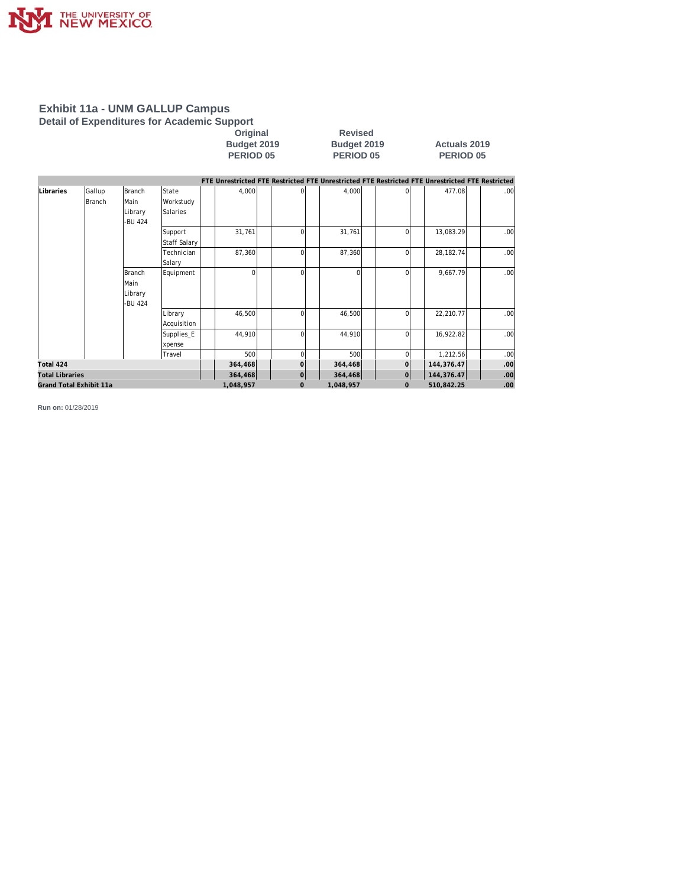

**Detail of Expenditures for Academic Support**

### **Original Revised Budget 2019**<br> **Budget 2019**<br> **Budget 2019**<br> **BERIOD 05**<br> **PERIOD 05**<br> **PERIOD 05**

**PERIOD 05 PERIOD 05 PERIOD 05**

|                         |                  |                                      |                                | FTE Unrestricted FTE Restricted FTE Unrestricted FTE Restricted FTE Unrestricted FTE Restricted |                |           |                |             |                  |
|-------------------------|------------------|--------------------------------------|--------------------------------|-------------------------------------------------------------------------------------------------|----------------|-----------|----------------|-------------|------------------|
| Libraries               | Gallup<br>Branch | Branch<br>Main<br>Library<br>-BU 424 | State<br>Workstudy<br>Salaries | 4,000                                                                                           | ΩI             | 4,000     |                | 477.08      | .00 <sub>l</sub> |
|                         |                  |                                      | Support<br><b>Staff Salary</b> | 31,761                                                                                          | $\Omega$       | 31,761    | $\Omega$       | 13,083.29   | .00 <sub>l</sub> |
|                         |                  |                                      | Technician<br>Salary           | 87,360                                                                                          | $\Omega$       | 87,360    | $\Omega$       | 28, 182. 74 | .00              |
|                         |                  | Branch<br>Main<br>Library<br>-BU 424 | Equipment                      | $\Omega$                                                                                        | ΩI             | $\Omega$  | $\Omega$       | 9,667.79    | .00 <sub>l</sub> |
|                         |                  |                                      | Library<br>Acquisition         | 46,500                                                                                          | ΩI             | 46,500    | $\overline{0}$ | 22,210.77   | .00 <sub>l</sub> |
|                         |                  |                                      | Supplies_E<br>xpense           | 44,910                                                                                          | ΩI             | 44,910    | $\Omega$       | 16,922.82   | .00 <sub>l</sub> |
|                         |                  |                                      | Travel                         | 500                                                                                             | ΩI             | 500       | $\Omega$       | 1,212.56    | .00              |
| Total 424               |                  |                                      |                                | 364,468                                                                                         | $\overline{O}$ | 364,468   | $\Omega$       | 144,376.47  | .00 <sub>1</sub> |
| <b>Total Libraries</b>  |                  |                                      |                                | 364,468                                                                                         | 0              | 364,468   | $\overline{0}$ | 144, 376.47 | .00              |
| Grand Total Exhibit 11a |                  |                                      |                                | 1,048,957                                                                                       | $\mathbf{0}$   | 1,048,957 | $\overline{0}$ | 510,842.25  | .00              |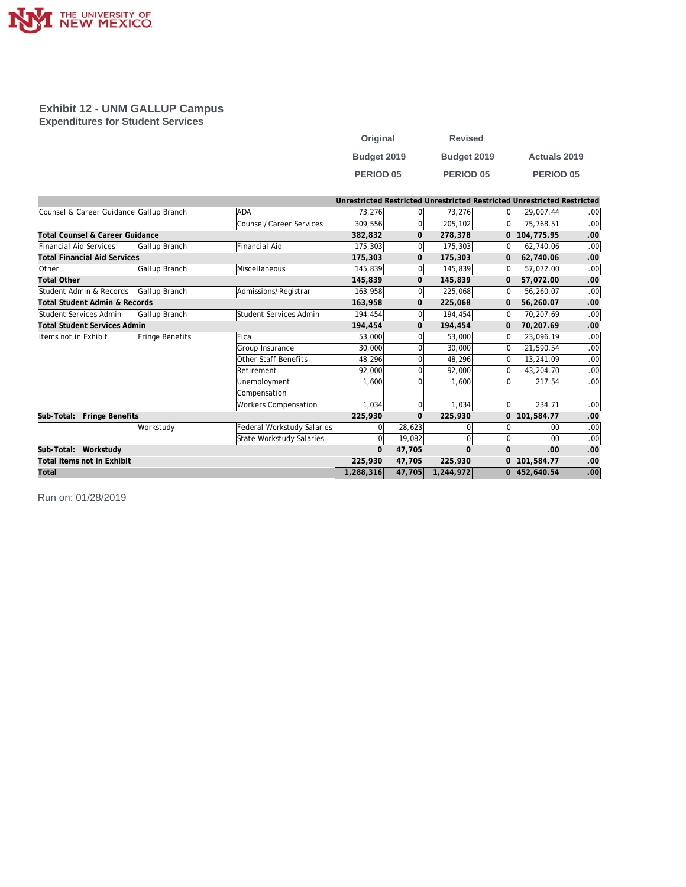

**Exhibit 12 - UNM GALLUP Campus Expenditures for Student Services**

| Original         | <b>Revised</b> |                     |
|------------------|----------------|---------------------|
| Budget 2019      | Budget 2019    | <b>Actuals 2019</b> |
| <b>PERIOD 05</b> | PERIOD 05      | <b>PERIOD 05</b>    |

|                                          |                 |                             | Unrestricted Restricted Unrestricted Restricted Unrestricted Restricted |              |           |                |                |                  |
|------------------------------------------|-----------------|-----------------------------|-------------------------------------------------------------------------|--------------|-----------|----------------|----------------|------------------|
| Counsel & Career Guidance Gallup Branch  |                 | ADA                         | 73.276                                                                  | $\Omega$     | 73,276    | $\Omega$       | 29.007.44      | .00 <sub>l</sub> |
|                                          |                 | Counsel/Career Services     | 309,556                                                                 | $\Omega$     | 205,102   | 0l             | 75,768.51      | .00              |
| Total Counsel & Career Guidance          |                 |                             | 382,832                                                                 | $\mathbf{0}$ | 278,378   |                | 0 104,775.95   | .00              |
| Financial Aid Services                   | Gallup Branch   | Financial Aid               | 175,303                                                                 | 0            | 175,303   | 0l             | 62,740.06      | .00.             |
| <b>Total Financial Aid Services</b>      |                 |                             | 175,303                                                                 | $\mathbf{0}$ | 175,303   | $\mathbf{0}$   | 62,740.06      | .00              |
| <b>Other</b>                             | Gallup Branch   | Miscellaneous               | 145,839                                                                 | 0l           | 145,839   | <sup>0</sup>   | 57,072.00      | .00              |
| <b>Total Other</b>                       |                 |                             | 145,839                                                                 | $\mathbf{0}$ | 145,839   | $\mathbf{0}$   | 57,072.00      | .00              |
| Student Admin & Records                  | Gallup Branch   | Admissions/Registrar        | 163,958                                                                 | 0l           | 225,068   | <sup>0</sup>   | 56,260.07      | .00              |
| <b>Total Student Admin &amp; Records</b> |                 |                             | 163,958                                                                 | $\mathbf{0}$ | 225,068   | $\mathbf{0}$   | 56,260.07      | .00              |
| Student Services Admin                   | Gallup Branch   | Student Services Admin      | 194,454                                                                 | 0l           | 194,454   | <sup>0</sup>   | 70,207.69      | .00              |
| Total Student Services Admin             |                 |                             | 194,454                                                                 | $\mathbf{0}$ | 194,454   | $\mathbf{0}$   | 70,207.69      | .00              |
| Items not in Exhibit                     | Fringe Benefits | Fica                        | 53,000                                                                  |              | 53,000    | $\Omega$       | 23,096.19      | .00              |
|                                          |                 | Group Insurance             | 30,000                                                                  |              | 30,000    | $\Omega$       | 21,590.54      | .00              |
|                                          |                 | Other Staff Benefits        | 48,296                                                                  |              | 48,296    | $\Omega$       | 13,241.09      | .00              |
|                                          |                 | Retirement                  | 92,000                                                                  |              | 92,000    | $\Omega$       | 43,204.70      | .00              |
|                                          |                 | Unemployment                | 1,600                                                                   |              | 1,600     | $\Omega$       | 217.54         | .00.             |
|                                          |                 | Compensation                |                                                                         |              |           |                |                |                  |
|                                          |                 | <b>Workers Compensation</b> | 1,034                                                                   | $\Omega$     | 1,034     | $\overline{0}$ | 234.71         | .00              |
| Sub-Total: Fringe Benefits               |                 |                             | 225,930                                                                 | $\mathbf{0}$ | 225,930   |                | 0 101,584.77   | .00              |
|                                          | Workstudy       | Federal Workstudy Salaries  | $\Omega$                                                                | 28,623       |           | 0              | .00.           | .00              |
|                                          |                 | State Workstudy Salaries    | $\Omega$                                                                | 19,082       | 0         | $\overline{0}$ | .00.           | .00              |
| Sub-Total: Workstudy                     |                 |                             | $\mathbf{0}$                                                            | 47,705       | $\Omega$  | $\Omega$       | .00            | .00              |
| Total Items not in Exhibit               |                 |                             | 225,930                                                                 | 47,705       | 225,930   |                | 0 101,584.77   | .00              |
| Total                                    |                 |                             | 1,288,316                                                               | 47,705       | 1,244,972 |                | $0$ 452,640.54 | .00              |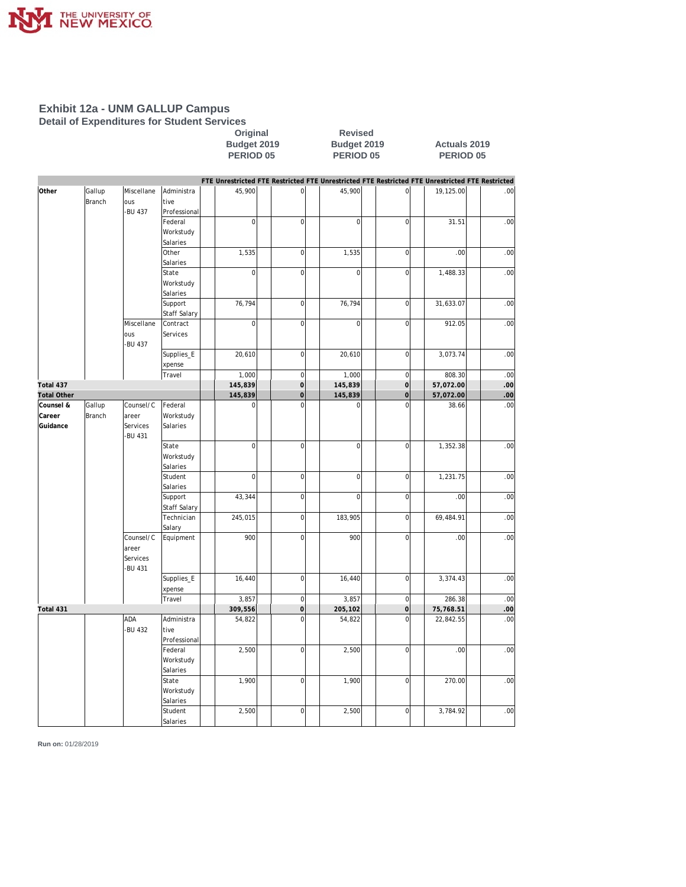

**Detail of Expenditures for Student Services**

#### **Original Revised Budget 2019 Budget 2019 Actuals 2019 PERIOD 05 PERIOD 05 PERIOD 05**

|                    |                         |                   |                       | FTE Unrestricted FTE Restricted FTE Unrestricted FTE Restricted FTE Unrestricted FTE Restricted |                |                |                |           |      |
|--------------------|-------------------------|-------------------|-----------------------|-------------------------------------------------------------------------------------------------|----------------|----------------|----------------|-----------|------|
| Other              | Gallup<br><b>Branch</b> | Miscellane<br>ous | Administra<br>tive    | 45,900                                                                                          | $\mathbf 0$    | 45,900         | $\overline{0}$ | 19,125.00 | .00  |
|                    |                         | -BU 437           | Professional          |                                                                                                 |                |                |                |           |      |
|                    |                         |                   | Federal               | $\mathbf 0$                                                                                     | $\bf 0$        | $\overline{0}$ | $\mathbf 0$    | 31.51     | .00  |
|                    |                         |                   |                       |                                                                                                 |                |                |                |           |      |
|                    |                         |                   | Workstudy<br>Salaries |                                                                                                 |                |                |                |           |      |
|                    |                         |                   | Other                 | 1,535                                                                                           | $\bf 0$        |                | $\mathbf 0$    | .00       | .00  |
|                    |                         |                   |                       |                                                                                                 |                | 1,535          |                |           |      |
|                    |                         |                   | Salaries              |                                                                                                 |                |                |                |           |      |
|                    |                         |                   | State                 | $\mathbf 0$                                                                                     | $\mathbf 0$    | $\overline{0}$ | $\mathbf 0$    | 1,488.33  | .00  |
|                    |                         |                   | Workstudy             |                                                                                                 |                |                |                |           |      |
|                    |                         |                   | Salaries              |                                                                                                 |                |                |                |           |      |
|                    |                         |                   | Support               | 76,794                                                                                          | $\mathbf 0$    | 76,794         | $\overline{0}$ | 31,633.07 | .00  |
|                    |                         |                   | Staff Salary          |                                                                                                 |                |                |                |           |      |
|                    |                         | Miscellane        | Contract              | $\mathbf 0$                                                                                     | $\overline{0}$ | $\overline{0}$ | $\overline{0}$ | 912.05    | .00. |
|                    |                         | ous               | Services              |                                                                                                 |                |                |                |           |      |
|                    |                         | -BU 437           |                       |                                                                                                 |                |                |                |           |      |
|                    |                         |                   | Supplies_E            | 20,610                                                                                          | $\mathbf 0$    | 20,610         | $\mathbf{0}$   | 3,073.74  | .00  |
|                    |                         |                   | xpense                |                                                                                                 |                |                |                |           |      |
|                    |                         |                   | Travel                | 1,000                                                                                           | $\mathbf 0$    | 1,000          | $\mathbf 0$    | 808.30    | .00  |
| Total 437          |                         |                   |                       | 145,839                                                                                         | $\mathbf 0$    | 145,839        | $\overline{0}$ | 57,072.00 | .00  |
| <b>Total Other</b> |                         |                   |                       | 145,839                                                                                         | $\mathbf 0$    | 145,839        | $\mathbf 0$    | 57,072.00 | .00  |
| Counsel &          | Gallup                  | Counsel/C         | Federal               | 0                                                                                               | $\mathbf 0$    | $\overline{0}$ | $\mathbf 0$    | 38.66     | .00  |
| Career             | Branch                  | areer             | Workstudy             |                                                                                                 |                |                |                |           |      |
| Guidance           |                         | Services          | Salaries              |                                                                                                 |                |                |                |           |      |
|                    |                         | <b>BU 431</b>     |                       |                                                                                                 |                |                |                |           |      |
|                    |                         |                   | State                 | $\overline{0}$                                                                                  | $\mathbf 0$    | $\overline{0}$ | $\mathbf 0$    | 1,352.38  | .00  |
|                    |                         |                   | Workstudy             |                                                                                                 |                |                |                |           |      |
|                    |                         |                   | Salaries              |                                                                                                 |                |                |                |           |      |
|                    |                         |                   | Student               | $\mathbf 0$                                                                                     | $\mathbf 0$    | 0              | $\mathbf 0$    | 1,231.75  | .00  |
|                    |                         |                   | Salaries              |                                                                                                 |                |                |                |           |      |
|                    |                         |                   | Support               | 43,344                                                                                          | $\mathbf 0$    | $\overline{0}$ | $\overline{0}$ | .00       | .00  |
|                    |                         |                   | Staff Salary          |                                                                                                 |                |                |                |           |      |
|                    |                         |                   | Technician            | 245,015                                                                                         | $\mathbf 0$    | 183,905        | $\mathbf 0$    | 69,484.91 | .00  |
|                    |                         |                   | Salary                |                                                                                                 |                |                |                |           |      |
|                    |                         | Counsel/C         | Equipment             | 900                                                                                             | $\mathbf 0$    | 900            | $\mathbf 0$    | .00       | .00  |
|                    |                         | areer             |                       |                                                                                                 |                |                |                |           |      |
|                    |                         | Services          |                       |                                                                                                 |                |                |                |           |      |
|                    |                         | -BU 431           |                       |                                                                                                 |                |                |                |           |      |
|                    |                         |                   | Supplies_E            | 16,440                                                                                          | $\mathbf 0$    | 16,440         | $\mathbf 0$    | 3,374.43  | .00  |
|                    |                         |                   | xpense                |                                                                                                 |                |                |                |           |      |
|                    |                         |                   | Travel                | 3,857                                                                                           | $\mathbf 0$    | 3,857          | $\overline{0}$ | 286.38    | .00  |
| Total 431          |                         |                   |                       | 309,556                                                                                         | $\circ$        | 205,102        | $\overline{0}$ | 75,768.51 | .00  |
|                    |                         | ADA               | Administra            | 54,822                                                                                          | $\overline{0}$ | 54,822         | $\mathbf 0$    | 22,842.55 | .00  |
|                    |                         | <b>BU 432</b>     | tive                  |                                                                                                 |                |                |                |           |      |
|                    |                         |                   | Professional          |                                                                                                 |                |                |                |           |      |
|                    |                         |                   | Federal               | 2,500                                                                                           | $\mathbf 0$    | 2,500          | $\mathbf 0$    | .00       | .00  |
|                    |                         |                   | Workstudy             |                                                                                                 |                |                |                |           |      |
|                    |                         |                   | Salaries              |                                                                                                 |                |                |                |           |      |
|                    |                         |                   | State                 | 1,900                                                                                           | $\mathbf 0$    | 1,900          | $\mathbf 0$    | 270.00    | .00  |
|                    |                         |                   | Workstudy             |                                                                                                 |                |                |                |           |      |
|                    |                         |                   | Salaries              |                                                                                                 |                |                |                |           |      |
|                    |                         |                   | Student               | 2,500                                                                                           | $\mathbf 0$    | 2,500          | $\Omega$       | 3,784.92  | .00  |
|                    |                         |                   | Salaries              |                                                                                                 |                |                |                |           |      |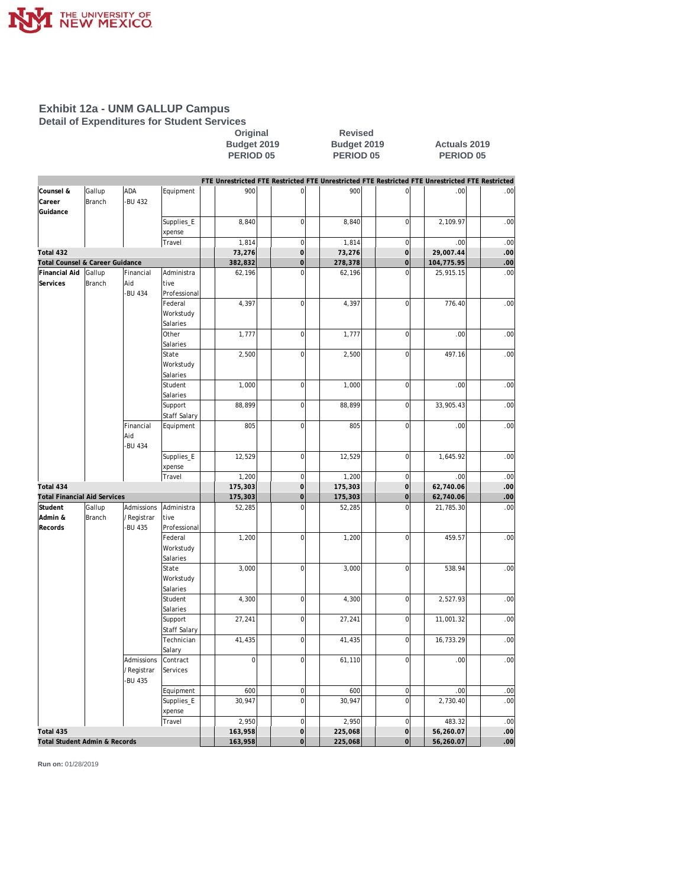

**Detail of Expenditures for Student Services**

Original Revised<br>
Budget 2019 Budget 2019<br>
PERIOD 05 PERIOD 0 **Budget 2019 Budget 2019 Actuals 2019 PERIOD 05 PERIOD 05 PERIOD 05**

|                                     |                  |                  |                         |             |                         |         |                            | FTE Unrestricted FTE Restricted FTE Unrestricted FTE Restricted FTE Unrestricted FTE Restricted |      |
|-------------------------------------|------------------|------------------|-------------------------|-------------|-------------------------|---------|----------------------------|-------------------------------------------------------------------------------------------------|------|
| Counsel &                           | Gallup           | ADA              | Equipment               | 900         | 0                       | 900     | $\overline{0}$             | .00                                                                                             | .00  |
| Career                              | Branch           | -BU 432          |                         |             |                         |         |                            |                                                                                                 |      |
| Guidance                            |                  |                  |                         |             |                         |         |                            |                                                                                                 |      |
|                                     |                  |                  | Supplies_E              | 8,840       | $\mathbf 0$             | 8,840   | $\overline{0}$             | 2,109.97                                                                                        | .00  |
|                                     |                  |                  | xpense                  |             |                         |         |                            |                                                                                                 |      |
|                                     |                  |                  | Travel                  | 1.814       | $\overline{0}$          | 1,814   | $\mathbf 0$                | .00                                                                                             | .00  |
| Total 432                           |                  |                  |                         | 73,276      | $\mathbf 0$             | 73,276  | $\overline{0}$             | 29,007.44                                                                                       | .00  |
| Total Counsel & Career Guidance     |                  |                  |                         | 382,832     | $\mathbf 0$<br>$\Omega$ | 278,378 | $\overline{0}$<br>$\Omega$ | 104,775.95                                                                                      | .00  |
| Financial Aid<br>Services           | Gallup<br>Branch | Financial<br>Aid | Administra<br>tive      | 62,196      |                         | 62,196  |                            | 25,915.15                                                                                       | .00  |
|                                     |                  | -BU 434          | Professional            |             |                         |         |                            |                                                                                                 |      |
|                                     |                  |                  | Federal                 | 4,397       | $\mathbf 0$             | 4,397   | $\mathbf 0$                | 776.40                                                                                          | .00  |
|                                     |                  |                  | Workstudy               |             |                         |         |                            |                                                                                                 |      |
|                                     |                  |                  | Salaries                |             |                         |         |                            |                                                                                                 |      |
|                                     |                  |                  | Other                   | 1,777       | $\mathbf 0$             | 1,777   | $\mathbf 0$                | .00                                                                                             | .00  |
|                                     |                  |                  | Salaries                |             |                         |         |                            |                                                                                                 |      |
|                                     |                  |                  | State                   | 2,500       | $\overline{0}$          | 2,500   | $\mathbf 0$                | 497.16                                                                                          | .00  |
|                                     |                  |                  | Workstudy               |             |                         |         |                            |                                                                                                 |      |
|                                     |                  |                  | Salaries                |             |                         |         |                            |                                                                                                 |      |
|                                     |                  |                  | Student                 | 1,000       | $\mathbf 0$             | 1,000   | $\mathbf 0$                | .00                                                                                             | .00  |
|                                     |                  |                  | Salaries                |             |                         |         |                            |                                                                                                 |      |
|                                     |                  |                  | Support                 | 88,899      | $\overline{0}$          | 88,899  | $\overline{0}$             | 33,905.43                                                                                       | .00  |
|                                     |                  |                  | <b>Staff Salary</b>     |             |                         |         |                            |                                                                                                 |      |
|                                     |                  | Financial        | Equipment               | 805         | $\overline{0}$          | 805     | $\overline{0}$             | .00                                                                                             | .00  |
|                                     |                  | Aid              |                         |             |                         |         |                            |                                                                                                 |      |
|                                     |                  | -BU 434          |                         |             |                         |         |                            |                                                                                                 |      |
|                                     |                  |                  | Supplies_E              | 12,529      | $\overline{0}$          | 12,529  | $\overline{0}$             | 1,645.92                                                                                        | .00  |
|                                     |                  |                  | xpense                  |             |                         |         |                            |                                                                                                 |      |
|                                     |                  |                  | Travel                  | 1,200       | $\mathbf 0$             | 1,200   | $\mathbf 0$                | .00                                                                                             | .00  |
| Total 434                           |                  |                  |                         | 175,303     | $\circ$                 | 175,303 | $\mathsf{O}\xspace$        | 62,740.06                                                                                       | .00  |
| <b>Total Financial Aid Services</b> |                  |                  |                         | 175,303     | $\overline{O}$          | 175,303 | $\overline{0}$             | 62,740.06                                                                                       | .00  |
| Student                             | Gallup           | Admissions       | Administra              | 52,285      | $\overline{0}$          | 52,285  | $\overline{0}$             | 21,785.30                                                                                       | .00  |
| Admin &                             | Branch           | /Registrar       | tive                    |             |                         |         |                            |                                                                                                 |      |
| Records                             |                  | <b>BU 435</b>    | Professional<br>Federal | 1,200       | $\mathbf 0$             | 1,200   | $\mathbf 0$                | 459.57                                                                                          | .00  |
|                                     |                  |                  | Workstudy               |             |                         |         |                            |                                                                                                 |      |
|                                     |                  |                  | Salaries                |             |                         |         |                            |                                                                                                 |      |
|                                     |                  |                  | State                   | 3,000       | $\overline{0}$          | 3,000   | $\mathbf 0$                | 538.94                                                                                          | .00  |
|                                     |                  |                  | Workstudy               |             |                         |         |                            |                                                                                                 |      |
|                                     |                  |                  | Salaries                |             |                         |         |                            |                                                                                                 |      |
|                                     |                  |                  | Student                 | 4,300       | $\overline{0}$          | 4,300   | $\overline{0}$             | 2,527.93                                                                                        | .00  |
|                                     |                  |                  | Salaries                |             |                         |         |                            |                                                                                                 |      |
|                                     |                  |                  | Support                 | 27,241      | $\overline{0}$          | 27,241  | $\mathbf 0$                | 11,001.32                                                                                       | .00  |
|                                     |                  |                  | <b>Staff Salary</b>     |             |                         |         |                            |                                                                                                 |      |
|                                     |                  |                  | Technician              | 41,435      | $\overline{0}$          | 41,435  | $\overline{0}$             | 16,733.29                                                                                       | .00  |
|                                     |                  |                  | Salary                  |             |                         |         |                            |                                                                                                 |      |
|                                     |                  | Admissions       | Contract                | $\mathbf 0$ | $\mathbf 0$             | 61,110  | $\mathbf 0$                | .00                                                                                             | .00  |
|                                     |                  | /Registrar       | Services                |             |                         |         |                            |                                                                                                 |      |
|                                     |                  | -BU 435          |                         |             |                         |         |                            |                                                                                                 |      |
|                                     |                  |                  | Equipment               | 600         | $\mathbf 0$             | 600     | $\overline{0}$             | .00                                                                                             | .00  |
|                                     |                  |                  | Supplies_E              | 30,947      | $\overline{0}$          | 30,947  | $\mathbf 0$                | 2,730.40                                                                                        | .00  |
|                                     |                  |                  | xpense                  |             |                         |         |                            |                                                                                                 |      |
|                                     |                  |                  | Travel                  | 2,950       | $\mathbf 0$             | 2,950   | $\mathbf 0$                | 483.32                                                                                          | .00  |
| Total 435                           |                  |                  |                         | 163,958     | $\overline{0}$          | 225,068 | $\circ$                    | 56,260.07                                                                                       | .00  |
| Total Student Admin & Records       |                  |                  |                         | 163,958     | $\overline{0}$          | 225,068 | $\overline{O}$             | 56,260.07                                                                                       | .ool |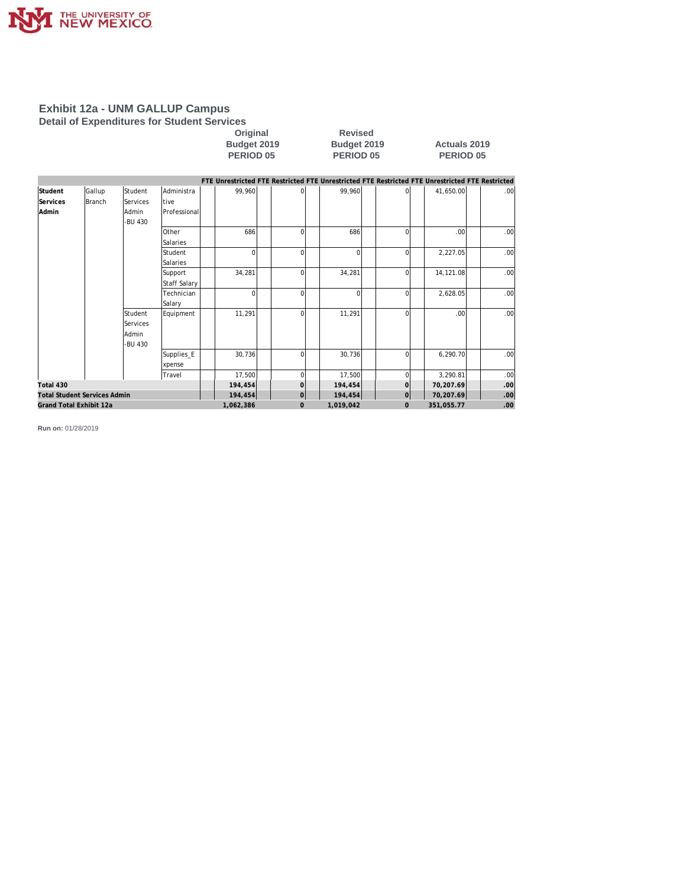

**Detail of Expenditures for Student Services**

#### **Original Revised Budget 2019 Budget 2019 Actuals 2019 PERIOD 05 PERIOD 05 PERIOD 05**

|                                     |               |                 |              |           |                |           |              | FTE Unrestricted FTE Restricted FTE Unrestricted FTE Restricted FTE Unrestricted FTE Restricted |                  |
|-------------------------------------|---------------|-----------------|--------------|-----------|----------------|-----------|--------------|-------------------------------------------------------------------------------------------------|------------------|
| Student                             | Gallup        | <b>Student</b>  | Administra   | 99,960    |                | 99,960    |              | 41,650.00                                                                                       | .001             |
| Services                            | <b>Branch</b> | <b>Services</b> | tive         |           |                |           |              |                                                                                                 |                  |
| Admin                               |               | Admin           | Professional |           |                |           |              |                                                                                                 |                  |
|                                     |               | -BU 430         |              |           |                |           |              |                                                                                                 |                  |
|                                     |               |                 | Other        | 686       | $\Omega$       | 686       | $\Omega$     | .001                                                                                            | .00              |
|                                     |               |                 | Salaries     |           |                |           |              |                                                                                                 |                  |
|                                     |               |                 | Student      | $\Omega$  | $\Omega$       | $\Omega$  | $\Omega$     | 2,227.05                                                                                        | .001             |
|                                     |               |                 | Salaries     |           |                |           |              |                                                                                                 |                  |
|                                     |               |                 | Support      | 34,281    | $\Omega$       | 34,281    | $\Omega$     | 14,121.08                                                                                       | .00              |
|                                     |               |                 | Staff Salary |           |                |           |              |                                                                                                 |                  |
|                                     |               |                 | Technician   | $\Omega$  | $\Omega$       | $\Omega$  | $\Omega$     | 2,628.05                                                                                        | .00              |
|                                     |               |                 | Salary       |           |                |           |              |                                                                                                 |                  |
|                                     |               | Student         | Equipment    | 11,291    | $\Omega$       | 11,291    | $\Omega$     | .001                                                                                            | .00              |
|                                     |               | Services        |              |           |                |           |              |                                                                                                 |                  |
|                                     |               | Admin           |              |           |                |           |              |                                                                                                 |                  |
|                                     |               | -BU 430         |              |           |                |           |              |                                                                                                 |                  |
|                                     |               |                 | Supplies_E   | 30,736    | $\Omega$       | 30,736    | $\Omega$     | 6,290.70                                                                                        | .001             |
|                                     |               |                 | xpense       |           |                |           |              |                                                                                                 |                  |
|                                     |               |                 | Travel       | 17,500    | 0              | 17,500    | $\cap$       | 3,290.81                                                                                        | .00              |
| Total 430                           |               |                 |              | 194,454   | $\Omega$       | 194,454   | $\mathbf 0$  | 70,207.69                                                                                       | .00 <sub>l</sub> |
| <b>Total Student Services Admin</b> |               |                 |              | 194,454   | $\overline{O}$ | 194,454   | $\Omega$     | 70,207.69                                                                                       | .00              |
| Grand Total Exhibit 12a             |               |                 |              | 1,062,386 | $\Omega$       | 1,019,042 | $\mathbf{0}$ | 351,055.77                                                                                      | .00.             |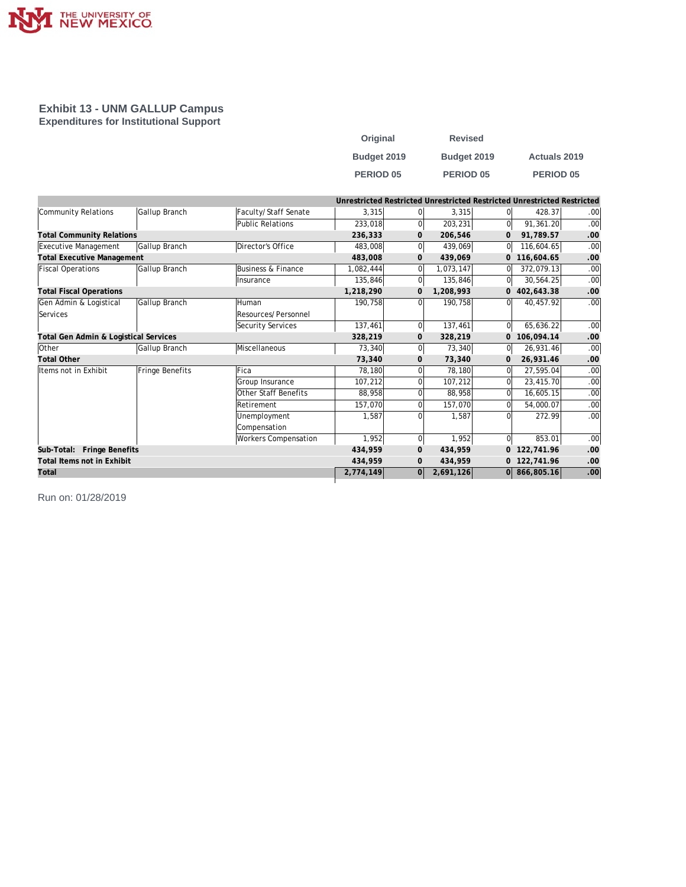

#### **Exhibit 13 - UNM GALLUP Campus Expenditures for Institutional Support**

| Original    | <b>Revised</b> |                     |
|-------------|----------------|---------------------|
| Budget 2019 | Budget 2019    | <b>Actuals 2019</b> |
| PERIOD 05   | PERIOD 05      | <b>PERIOD 05</b>    |

|                                       |                 |                             |           |                | Unrestricted Restricted Unrestricted Restricted Unrestricted Restricted |                |              |                  |
|---------------------------------------|-----------------|-----------------------------|-----------|----------------|-------------------------------------------------------------------------|----------------|--------------|------------------|
| Community Relations                   | Gallup Branch   | Faculty/Staff Senate        | 3,315     |                | 3,315                                                                   | 0l             | 428.37       | .00 <sub>l</sub> |
|                                       |                 | Public Relations            | 233,018   |                | 203,231                                                                 | 0l             | 91,361.20    | .00              |
| <b>Total Community Relations</b>      |                 |                             | 236,333   | $\mathbf{0}$   | 206,546                                                                 | 0              | 91,789.57    | .00              |
| Executive Management                  | Gallup Branch   | Director's Office           | 483,008   | $\overline{0}$ | 439,069                                                                 | 0              | 116,604.65   | .00              |
| <b>Total Executive Management</b>     |                 |                             | 483,008   | $\mathbf{0}$   | 439,069                                                                 |                | 0 116,604.65 | .00              |
| <b>Fiscal Operations</b>              | Gallup Branch   | Business & Finance          | 1,082,444 |                | 1,073,147                                                               | $\Omega$       | 372,079.13   | .00              |
|                                       |                 | Insurance                   | 135,846   |                | 135,846                                                                 | 0l             | 30,564.25    | .00              |
| <b>Total Fiscal Operations</b>        |                 |                             | 1,218,290 | $\mathbf{0}$   | 1,208,993                                                               |                | 0 402,643.38 | .00              |
| Gen Admin & Logistical                | Gallup Branch   | <b>Human</b>                | 190,758   | $\Omega$       | 190,758                                                                 | 0l             | 40,457.92    | .00              |
| Services                              |                 | Resources/Personnel         |           |                |                                                                         |                |              |                  |
|                                       |                 | Security Services           | 137,461   | $\mathbf 0$    | 137,461                                                                 | 0l             | 65,636.22    | .00              |
| Total Gen Admin & Logistical Services |                 |                             | 328,219   | $\mathbf{0}$   | 328,219                                                                 | $\overline{0}$ | 106,094.14   | .00.             |
| Other                                 | Gallup Branch   | Miscellaneous               | 73,340    | $\overline{0}$ | 73,340                                                                  | 0              | 26,931.46    | .00              |
| <b>Total Other</b>                    |                 |                             | 73,340    | $\mathbf{0}$   | 73.340                                                                  | $\mathbf 0$    | 26,931.46    | .00              |
| Items not in Exhibit                  | Fringe Benefits | Fica                        | 78,180    |                | 78,180                                                                  | 0l             | 27,595.04    | .00              |
|                                       |                 | Group Insurance             | 107,212   |                | 107,212                                                                 | $\Omega$       | 23,415.70    | .00              |
|                                       |                 | Other Staff Benefits        | 88,958    |                | 88,958                                                                  | 0l             | 16,605.15    | .00              |
|                                       |                 | Retirement                  | 157,070   |                | 157,070                                                                 | $\Omega$       | 54,000.07    | .00              |
|                                       |                 | Unemployment                | 1,587     |                | 1.587                                                                   | $\Omega$       | 272.99       | .00.             |
|                                       |                 | Compensation                |           |                |                                                                         |                |              |                  |
|                                       |                 | <b>Workers Compensation</b> | 1,952     | $\Omega$       | 1,952                                                                   | 0l             | 853.01       | .00              |
| Sub-Total: Fringe Benefits            |                 |                             | 434.959   | $\mathbf{0}$   | 434.959                                                                 |                | 0 122,741.96 | .00              |
| Total Items not in Exhibit            |                 |                             | 434,959   | $\mathbf{0}$   | 434,959                                                                 |                | 0 122,741.96 | .00              |
| Total                                 |                 |                             | 2,774,149 | 0              | 2,691,126                                                               |                | 0 866,805.16 | .00              |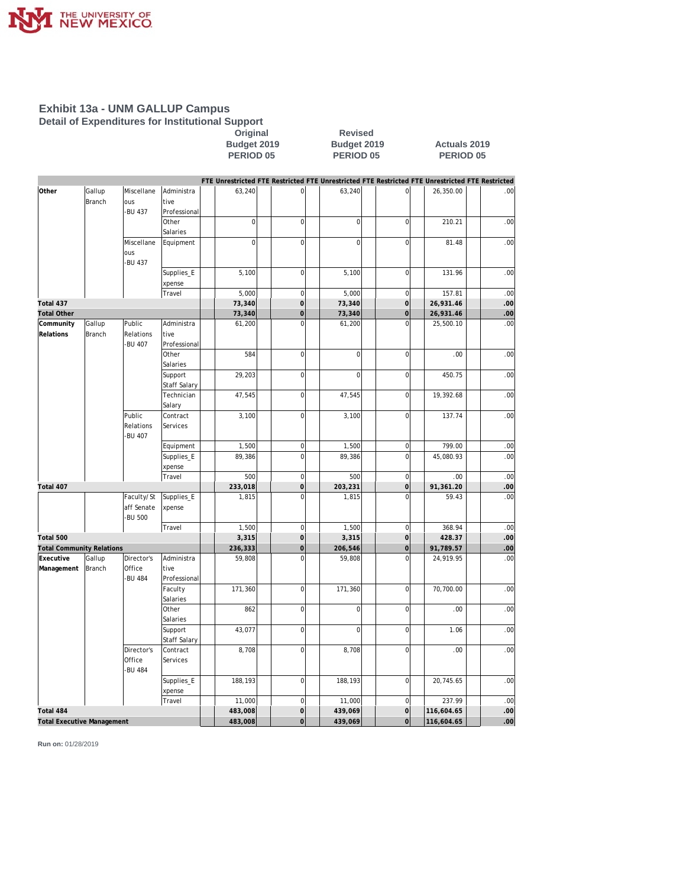

**Detail of Expenditures for Institutional Support**

**Original Revised Budget 2019 Budget 2019 Actuals 2019 PERIOD 05 PERIOD 05 PERIOD 05**

|                                   |               |               |                     |                |                     | FTE Unrestricted FTE Restricted FTE Unrestricted FTE Restricted FTE Unrestricted FTE Restricted |                |            |      |
|-----------------------------------|---------------|---------------|---------------------|----------------|---------------------|-------------------------------------------------------------------------------------------------|----------------|------------|------|
| Other                             | Gallup        | Miscellane    | Administra          | 63,240         | $\mathsf{O}\xspace$ | 63,240                                                                                          | $\overline{0}$ | 26,350.00  | .00  |
|                                   | <b>Branch</b> | ous           | tive                |                |                     |                                                                                                 |                |            |      |
|                                   |               | -BU 437       | Professional        |                |                     |                                                                                                 |                |            |      |
|                                   |               |               | Other               | $\mathbf 0$    | $\mathbf 0$         | $\overline{0}$                                                                                  | $\overline{0}$ | 210.21     | .00  |
|                                   |               |               | Salaries            |                |                     |                                                                                                 |                |            |      |
|                                   |               | Miscellane    | Equipment           | $\overline{0}$ | $\mathbf 0$         | $\overline{0}$                                                                                  | $\overline{0}$ | 81.48      | .00  |
|                                   |               | ous           |                     |                |                     |                                                                                                 |                |            |      |
|                                   |               | -BU 437       |                     |                |                     |                                                                                                 |                |            |      |
|                                   |               |               | Supplies_E          | 5,100          | $\mathbf 0$         | 5,100                                                                                           | $\overline{0}$ | 131.96     | .00  |
|                                   |               |               | xpense              |                |                     |                                                                                                 |                |            |      |
|                                   |               |               | Travel              | 5,000          | $\mathbf 0$         | 5,000                                                                                           | $\overline{0}$ | 157.81     | .00  |
| Total 437                         |               |               |                     | 73,340         | $\overline{O}$      | 73,340                                                                                          | $\overline{0}$ | 26,931.46  | .00  |
| <b>Total Other</b>                |               |               |                     | 73,340         | $\mathbf 0$         | 73,340                                                                                          | $\overline{0}$ | 26,931.46  | .00  |
| Community                         | Gallup        | Public        | Administra          | 61,200         | $\overline{0}$      | 61,200                                                                                          | $\Omega$       | 25,500.10  | .00  |
| Relations                         | Branch        | Relations     | <b>Itive</b>        |                |                     |                                                                                                 |                |            |      |
|                                   |               | <b>BU 407</b> | Professional        |                |                     |                                                                                                 |                |            |      |
|                                   |               |               | Other               | 584            | $\mathbf 0$         | $\overline{0}$                                                                                  | $\overline{0}$ | .00.       | .00  |
|                                   |               |               | Salaries            |                |                     |                                                                                                 |                |            |      |
|                                   |               |               | Support             | 29,203         | $\mathbf 0$         | $\Omega$                                                                                        | $\overline{0}$ | 450.75     | .00  |
|                                   |               |               | <b>Staff Salary</b> |                |                     |                                                                                                 |                |            |      |
|                                   |               |               | Technician          | 47,545         | $\mathbf 0$         | 47,545                                                                                          | $\overline{0}$ | 19,392.68  | .00  |
|                                   |               |               | Salary              |                |                     |                                                                                                 |                |            |      |
|                                   |               | Public        | Contract            | 3,100          | $\mathbf 0$         | 3,100                                                                                           | $\overline{0}$ | 137.74     | .00  |
|                                   |               | Relations     | Services            |                |                     |                                                                                                 |                |            |      |
|                                   |               | -BU 407       |                     |                |                     |                                                                                                 |                |            |      |
|                                   |               |               | Equipment           | 1,500          | $\mathbf 0$         | 1,500                                                                                           | $\overline{0}$ | 799.00     | .00  |
|                                   |               |               | Supplies_E          | 89,386         | $\overline{0}$      | 89,386                                                                                          | $\overline{0}$ | 45,080.93  | .00  |
|                                   |               |               | xpense              |                |                     |                                                                                                 |                |            |      |
|                                   |               |               | Travel              | 500            | $\mathbf 0$         | 500                                                                                             | $\overline{0}$ | .00        | .00  |
| Total 407                         |               |               |                     | 233,018        | $\overline{O}$      | 203,231                                                                                         | $\overline{0}$ | 91,361.20  | .00  |
|                                   |               | Faculty/St    | Supplies_E          | 1,815          | $\overline{0}$      | 1,815                                                                                           | $\overline{0}$ | 59.43      | .00  |
|                                   |               | aff Senate    | xpense              |                |                     |                                                                                                 |                |            |      |
|                                   |               | -BU 500       |                     |                |                     |                                                                                                 |                |            |      |
|                                   |               |               | Travel              | 1,500          | $\mathbf 0$         | 1,500                                                                                           | $\overline{0}$ | 368.94     | .00  |
| Total 500                         |               |               |                     | 3,315          | $\mathbf 0$         | 3,315                                                                                           | $\overline{0}$ | 428.37     | .00  |
| <b>Total Community Relations</b>  |               |               |                     | 236,333        | $\mathsf{O}\xspace$ | 206,546                                                                                         | $\overline{O}$ | 91,789.57  | .00  |
| Executive                         | Gallup        | Director's    | Administra          | 59,808         | $\mathbf 0$         | 59,808                                                                                          | $\overline{0}$ | 24,919.95  | .00  |
| Management                        | Branch        | Office        | tive                |                |                     |                                                                                                 |                |            |      |
|                                   |               | -BU 484       | Professional        |                |                     |                                                                                                 |                |            |      |
|                                   |               |               | Faculty             | 171,360        | $\overline{0}$      | 171,360                                                                                         | $\overline{0}$ | 70,700.00  | .00  |
|                                   |               |               | Salaries            |                |                     |                                                                                                 |                |            |      |
|                                   |               |               | Other               | 862            | $\mathbf 0$         | $\overline{0}$                                                                                  | $\overline{0}$ | .00.       | .00  |
|                                   |               |               | Salaries            |                |                     |                                                                                                 |                |            |      |
|                                   |               |               | Support             | 43,077         | $\mathbf 0$         | $\Omega$                                                                                        | $\overline{0}$ | 1.06       | .00  |
|                                   |               |               | <b>Staff Salary</b> |                |                     |                                                                                                 |                |            |      |
|                                   |               | Director's    | Contract            | 8,708          | $\mathbf 0$         | 8,708                                                                                           | $\overline{0}$ | .00.       | .00  |
|                                   |               | Office        | Services            |                |                     |                                                                                                 |                |            |      |
|                                   |               | -BU 484       |                     |                |                     |                                                                                                 |                |            |      |
|                                   |               |               | Supplies_E          | 188,193        | $\mathbf 0$         | 188,193                                                                                         | $\overline{0}$ | 20,745.65  | .00  |
|                                   |               |               | xpense              |                |                     |                                                                                                 |                |            |      |
|                                   |               |               | Travel              | 11,000         | $\overline{0}$      | 11,000                                                                                          | $\overline{0}$ | 237.99     | .00  |
| Total 484                         |               |               |                     | 483,008        | $\overline{O}$      | 439,069                                                                                         | $\overline{0}$ | 116,604.65 | .00  |
| <b>Total Executive Management</b> |               |               |                     | 483,008        | $\overline{O}$      | 439,069                                                                                         | $\overline{0}$ | 116,604.65 | .ool |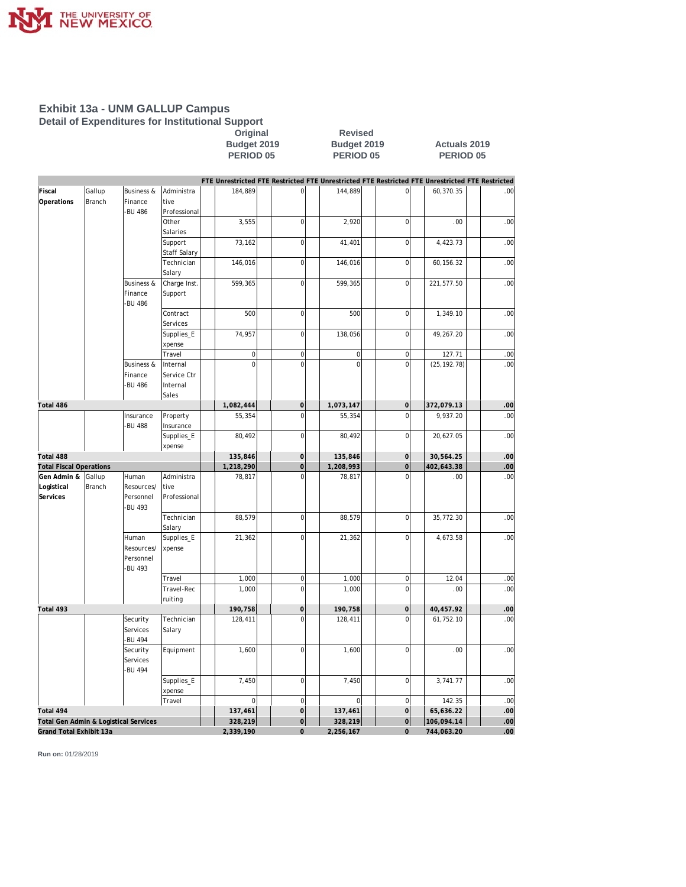

**Detail of Expenditures for Institutional Support**

**Original Revised Budget 2019 Budget 2019 Actuals 2019 PERIOD 05 PERIOD 05 PERIOD 05**

|                                       |        |                         |              |                     |                     | FTE Unrestricted FTE Restricted FTE Unrestricted FTE Restricted FTE Unrestricted FTE Restricted |                     |              |     |
|---------------------------------------|--------|-------------------------|--------------|---------------------|---------------------|-------------------------------------------------------------------------------------------------|---------------------|--------------|-----|
| Fiscal                                | Gallup | <b>Business &amp;</b>   | Administra   | 184,889             | $\mathbf 0$         | 144,889                                                                                         | $\overline{0}$      | 60,370.35    | .00 |
| Operations                            | Branch | Finance                 | tive         |                     |                     |                                                                                                 |                     |              |     |
|                                       |        | -BU 486                 | Professional |                     |                     |                                                                                                 |                     |              |     |
|                                       |        |                         | Other        | 3,555               | $\mathbf 0$         | 2,920                                                                                           | $\overline{0}$      | .00          | .00 |
|                                       |        |                         | Salaries     |                     |                     |                                                                                                 |                     |              |     |
|                                       |        |                         | Support      | 73,162              | $\overline{0}$      | 41,401                                                                                          | $\mathbf 0$         | 4,423.73     | .00 |
|                                       |        |                         | Staff Salary |                     |                     |                                                                                                 |                     |              |     |
|                                       |        |                         | Technician   | 146,016             | $\overline{0}$      | 146,016                                                                                         | $\overline{0}$      | 60, 156.32   | .00 |
|                                       |        |                         | Salary       |                     |                     |                                                                                                 |                     |              |     |
|                                       |        | <b>Business &amp;</b>   | Charge Inst. | 599,365             | $\overline{0}$      | 599,365                                                                                         | $\overline{0}$      | 221,577.50   | .00 |
|                                       |        | Finance<br>-BU 486      | Support      |                     |                     |                                                                                                 |                     |              |     |
|                                       |        |                         | Contract     | 500                 | $\mathbf 0$         | 500                                                                                             | $\overline{0}$      | 1,349.10     | .00 |
|                                       |        |                         | Services     |                     |                     |                                                                                                 |                     |              |     |
|                                       |        |                         | Supplies_E   | 74,957              | $\mathbf 0$         | 138,056                                                                                         | $\overline{0}$      | 49,267.20    | .00 |
|                                       |        |                         | xpense       |                     |                     |                                                                                                 |                     |              |     |
|                                       |        |                         | Travel       | $\mathsf{O}\xspace$ | $\mathbf 0$         | 0                                                                                               | $\overline{0}$      | 127.71       | .00 |
|                                       |        | <b>Business &amp;</b>   | Internal     | $\overline{0}$      | $\mathbf 0$         | 0                                                                                               | $\overline{0}$      | (25, 192.78) | .00 |
|                                       |        | Finance                 | Service Ctr  |                     |                     |                                                                                                 |                     |              |     |
|                                       |        | -BU 486                 | Internal     |                     |                     |                                                                                                 |                     |              |     |
|                                       |        |                         | Sales        |                     |                     |                                                                                                 |                     |              |     |
| Total 486                             |        |                         |              | 1,082,444           | $\mathsf{O}\xspace$ | 1,073,147                                                                                       | $\mathsf{O}\xspace$ | 372,079.13   | .00 |
|                                       |        | Insurance               | Property     | 55,354              | $\mathbf 0$         | 55,354                                                                                          | $\overline{0}$      | 9,937.20     | .00 |
|                                       |        | -BU 488                 | Insurance    |                     |                     |                                                                                                 |                     |              |     |
|                                       |        |                         | Supplies_E   | 80,492              | $\overline{0}$      | 80,492                                                                                          | $\overline{0}$      | 20,627.05    | .00 |
|                                       |        |                         | xpense       |                     |                     |                                                                                                 |                     |              |     |
| Total 488                             |        |                         |              | 135,846             | $\mathbf 0$         | 135,846                                                                                         | $\overline{0}$      | 30,564.25    | .00 |
| <b>Total Fiscal Operations</b>        |        |                         |              | 1,218,290           | $\mathbf 0$         | 1,208,993                                                                                       | $\mathsf{O}\xspace$ | 402,643.38   | .00 |
| Gen Admin &                           | Gallup | Human                   | Administra   | 78,817              | $\overline{0}$      | 78,817                                                                                          | $\overline{0}$      | .00          | .00 |
| Logistical                            | Branch | Resources/              | tive         |                     |                     |                                                                                                 |                     |              |     |
| Services                              |        | Personnel               | Professional |                     |                     |                                                                                                 |                     |              |     |
|                                       |        | -BU 493                 |              |                     |                     |                                                                                                 |                     |              |     |
|                                       |        |                         | Technician   | 88,579              | $\mathbf 0$         | 88,579                                                                                          | $\mathbf 0$         | 35,772.30    | .00 |
|                                       |        |                         | Salary       |                     |                     |                                                                                                 |                     |              |     |
|                                       |        | Human                   | Supplies_E   | 21,362              | $\mathbf 0$         | 21,362                                                                                          | $\overline{0}$      | 4,673.58     | .00 |
|                                       |        | Resources/<br>Personnel | xpense       |                     |                     |                                                                                                 |                     |              |     |
|                                       |        | -BU 493                 |              |                     |                     |                                                                                                 |                     |              |     |
|                                       |        |                         | Travel       | 1,000               | $\bf{0}$            | 1,000                                                                                           | $\overline{0}$      | 12.04        | .00 |
|                                       |        |                         | Travel-Rec   | 1,000               | $\overline{0}$      | 1,000                                                                                           | $\Omega$            | .00          | .00 |
|                                       |        |                         | ruiting      |                     |                     |                                                                                                 |                     |              |     |
| Total 493                             |        |                         |              | 190,758             | $\mathbf 0$         | 190,758                                                                                         | $\overline{0}$      | 40,457.92    | .00 |
|                                       |        | Security                | Technician   | 128,411             | $\mathbf 0$         | 128,411                                                                                         | $\Omega$            | 61,752.10    | .00 |
|                                       |        | Services                | Salary       |                     |                     |                                                                                                 |                     |              |     |
|                                       |        | -BU 494                 |              |                     |                     |                                                                                                 |                     |              |     |
|                                       |        | Security                | Equipment    | 1,600               | $\mathbf 0$         | 1,600                                                                                           | $\overline{0}$      | .00          | .00 |
|                                       |        | Services                |              |                     |                     |                                                                                                 |                     |              |     |
|                                       |        | <b>BU 494</b>           |              |                     |                     |                                                                                                 |                     |              |     |
|                                       |        |                         | Supplies_E   | 7,450               | $\mathbf 0$         | 7,450                                                                                           | $\mathbf 0$         | 3,741.77     | .00 |
|                                       |        |                         | xpense       |                     |                     |                                                                                                 |                     |              |     |
|                                       |        |                         | Travel       | $\mathsf 0$         | $\mathbf 0$         | $\mathbf 0$                                                                                     | $\overline{0}$      | 142.35       | .00 |
| Total 494                             |        |                         |              | 137,461             | $\overline{O}$      | 137,461                                                                                         | $\overline{0}$      | 65,636.22    | .00 |
| Total Gen Admin & Logistical Services |        |                         |              | 328,219             | $\circ$             | 328,219                                                                                         | 0                   | 106,094.14   | .00 |
| Grand Total Exhibit 13a               |        |                         |              | 2,339,190           | $\overline{0}$      | 2,256,167                                                                                       | $\overline{0}$      | 744,063.20   | .00 |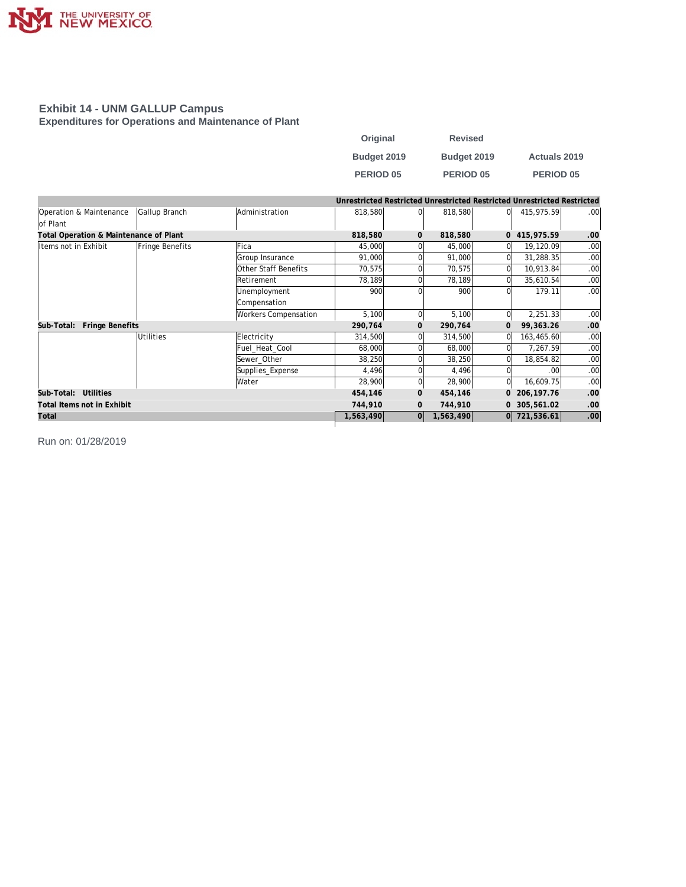

#### **Exhibit 14 - UNM GALLUP Campus Expenditures for Operations and Maintenance of Plant**

| Original         | <b>Revised</b> |                     |
|------------------|----------------|---------------------|
| Budget 2019      | Budget 2019    | <b>Actuals 2019</b> |
| <b>PERIOD 05</b> | PERIOD 05      | <b>PERIOD 05</b>    |

|                                        |                  |                      |           |              |           |              | Unrestricted Restricted Unrestricted Restricted Unrestricted Restricted |                  |
|----------------------------------------|------------------|----------------------|-----------|--------------|-----------|--------------|-------------------------------------------------------------------------|------------------|
| Operation & Maintenance                | Gallup Branch    | Administration       | 818,580   | $\Omega$     | 818,580   | $\Omega$     | 415,975.59                                                              | .00 <sub>1</sub> |
| of Plant                               |                  |                      |           |              |           |              |                                                                         |                  |
| Total Operation & Maintenance of Plant |                  |                      | 818,580   | $\mathbf{0}$ | 818,580   |              | 0 415,975.59                                                            | .00              |
| Items not in Exhibit                   | Fringe Benefits  | Fica                 | 45,000    |              | 45,000    |              | 19,120.09                                                               | .00              |
|                                        |                  | Group Insurance      | 91,000    |              | 91,000    |              | 31,288.35                                                               | .00              |
|                                        |                  | Other Staff Benefits | 70,575    |              | 70,575    |              | 10,913.84                                                               | .00 <sub>1</sub> |
|                                        |                  | Retirement           | 78,189    |              | 78,189    |              | 35,610.54                                                               | .00 <sub>1</sub> |
|                                        |                  | Unemployment         | 900       |              | 900       |              | 179.11                                                                  | .00 <sub>1</sub> |
|                                        |                  | Compensation         |           |              |           |              |                                                                         |                  |
|                                        |                  | Workers Compensation | 5,100     | $\Omega$     | 5,100     | 0l           | 2,251.33                                                                | .00 <sub>1</sub> |
| <b>Fringe Benefits</b><br>Sub-Total:   |                  |                      | 290,764   | $\mathbf{0}$ | 290,764   | $\mathbf{O}$ | 99,363.26                                                               | .00.             |
|                                        | <b>Utilities</b> | Electricity          | 314,500   | ΩI           | 314,500   |              | 163,465.60                                                              | .00              |
|                                        |                  | Fuel Heat Cool       | 68,000    |              | 68,000    |              | 7,267.59                                                                | .00              |
|                                        |                  | Sewer Other          | 38,250    |              | 38,250    |              | 18,854.82                                                               | .00 <sub>1</sub> |
|                                        |                  | Supplies_Expense     | 4,496     |              | 4,496     |              | .00                                                                     | .00 <sub>1</sub> |
|                                        |                  | Water                | 28,900    |              | 28,900    | $\Omega$     | 16,609.75                                                               | .00 <sub>1</sub> |
| Sub-Total: Utilities                   |                  |                      | 454,146   | $\mathbf{0}$ | 454,146   | 0            | 206, 197. 76                                                            | .00              |
| Total Items not in Exhibit             |                  |                      | 744,910   | $\mathbf{0}$ | 744,910   |              | 0 305,561.02                                                            | .00              |
| Total                                  |                  |                      | 1,563,490 | 0            | 1,563,490 |              | 0 721,536.61                                                            | .00              |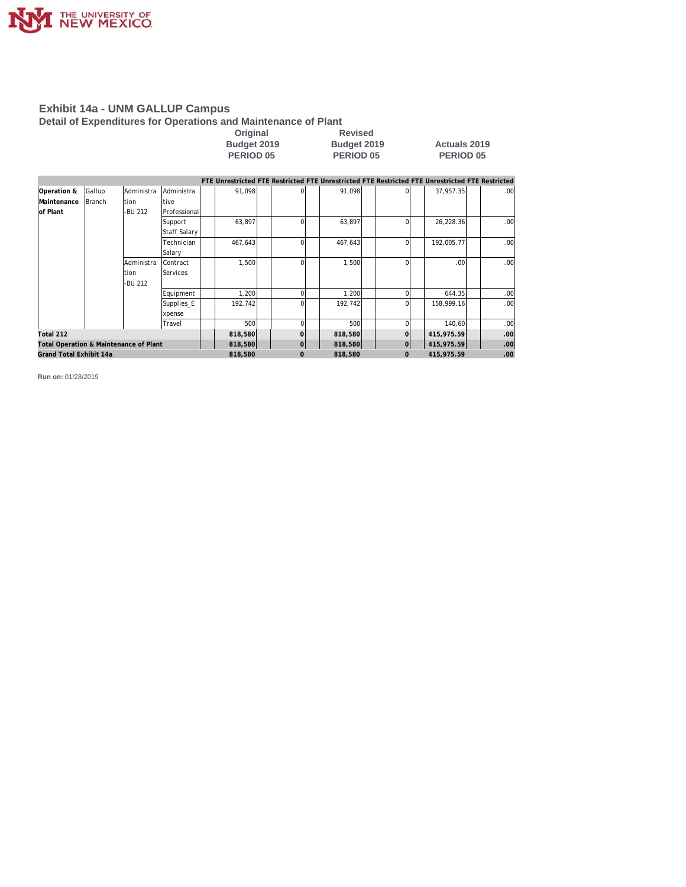

#### **Detail of Expenditures for Operations and Maintenance of Plant**

**Original Revised** 

**Budget 2019 Budget 2019 Actuals 2019 PERIOD 05 PERIOD 05 PERIOD 05**

|                                        |               |            |                     |         |                | FTE Unrestricted FTE Restricted FTE Unrestricted FTE Restricted FTE Unrestricted FTE Restricted |              |                  |                  |
|----------------------------------------|---------------|------------|---------------------|---------|----------------|-------------------------------------------------------------------------------------------------|--------------|------------------|------------------|
| Operation &                            | Gallup        | Administra | Administra          | 91,098  |                | 91.098                                                                                          |              | 37.957.35        | .00 <sub>1</sub> |
| <i>Maintenance</i>                     | <b>Branch</b> | tion       | tive                |         |                |                                                                                                 |              |                  |                  |
| of Plant                               |               | -BU 212    | Professional        |         |                |                                                                                                 |              |                  |                  |
|                                        |               |            | Support             | 63,897  |                | 63,897                                                                                          |              | 26,228.36        | .00 <sub>1</sub> |
|                                        |               |            | <b>Staff Salary</b> |         |                |                                                                                                 |              |                  |                  |
|                                        |               |            | Technician          | 467,643 |                | 467,643                                                                                         | $\Omega$     | 192,005.77       | .00 <sub>1</sub> |
|                                        |               |            | Salary              |         |                |                                                                                                 |              |                  |                  |
|                                        |               | Administra | lContract           | 1,500   |                | 1,500                                                                                           | $\Omega$     | .00 <sub>l</sub> | .00 <sub>1</sub> |
|                                        |               | tion       | <b>Services</b>     |         |                |                                                                                                 |              |                  |                  |
|                                        |               | -BU 212    |                     |         |                |                                                                                                 |              |                  |                  |
|                                        |               |            | Equipment           | 1,200   |                | 1,200                                                                                           |              | 644.35           | .00 <sub>l</sub> |
|                                        |               |            | Supplies_E          | 192,742 |                | 192,742                                                                                         | $\Omega$     | 158,999.16       | .00              |
|                                        |               |            | xpense              |         |                |                                                                                                 |              |                  |                  |
|                                        |               |            | Travel              | 500     |                | 500                                                                                             |              | 140.60           | .00              |
| Total 212                              |               |            |                     | 818,580 |                | 818,580                                                                                         |              | 415,975.59       | .00              |
| Total Operation & Maintenance of Plant |               |            |                     | 818,580 | $\overline{0}$ | 818,580                                                                                         | $\mathbf{O}$ | 415,975.59       | .00              |
| Grand Total Exhibit 14a                |               |            |                     | 818,580 | 0              | 818,580                                                                                         | $\mathbf{0}$ | 415,975.59       | .00              |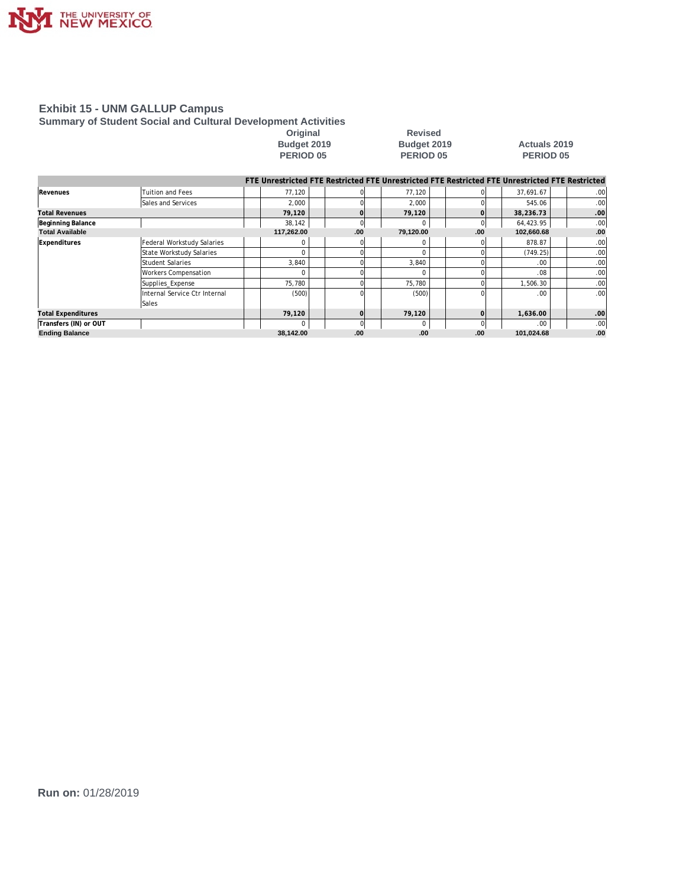

#### **Summary of Student Social and Cultural Development Activities**

**Original Revised PERIOD 05 PERIOD 05 PERIOD 05**

## **Budget 2019 Budget 2019 Actuals 2019**

|                           |                               |            |          |           |     | FTE Unrestricted FTE Restricted FTE Unrestricted FTE Restricted FTE Unrestricted FTE Restricted |                  |
|---------------------------|-------------------------------|------------|----------|-----------|-----|-------------------------------------------------------------------------------------------------|------------------|
| Revenues                  | Tuition and Fees              | 77.120     |          | 77.120    |     | 37.691.67                                                                                       | .00              |
|                           | Sales and Services            | 2,000      |          | 2,000     |     | 545.06                                                                                          | .00              |
| <b>Total Revenues</b>     |                               | 79,120     |          | 79,120    |     | 38,236.73                                                                                       | .00              |
| Beginning Balance         |                               | 38,142     | $\Omega$ |           |     | 64,423.95                                                                                       | .00              |
| <b>Total Available</b>    |                               | 117,262.00 | .00.     | 79,120.00 | .00 | 102,660.68                                                                                      | .00              |
| Expenditures              | Federal Workstudy Salaries    |            |          |           |     | 878.87                                                                                          | .00              |
|                           | State Workstudy Salaries      |            |          |           |     | (749.25)                                                                                        | .00              |
|                           | <b>Student Salaries</b>       | 3,840      |          | 3.840     |     | .00                                                                                             | .00              |
|                           | <b>Workers Compensation</b>   |            |          |           |     | .08                                                                                             | .00 <sub>1</sub> |
|                           | Supplies_Expense              | 75,780     |          | 75,780    |     | 1,506.30                                                                                        | .00              |
|                           | Internal Service Ctr Internal | (500)      |          | (500)     |     | .00.                                                                                            | .00 <sub>1</sub> |
|                           | Sales                         |            |          |           |     |                                                                                                 |                  |
| <b>Total Expenditures</b> |                               | 79.120     | $\Omega$ | 79.120    |     | 1.636.00                                                                                        | .00              |
| Transfers (IN) or OUT     |                               |            | $\cap$   | C         |     | .00.                                                                                            | .00              |
| <b>Ending Balance</b>     |                               | 38,142.00  | .00      | .00       | .00 | 101,024.68                                                                                      | .00              |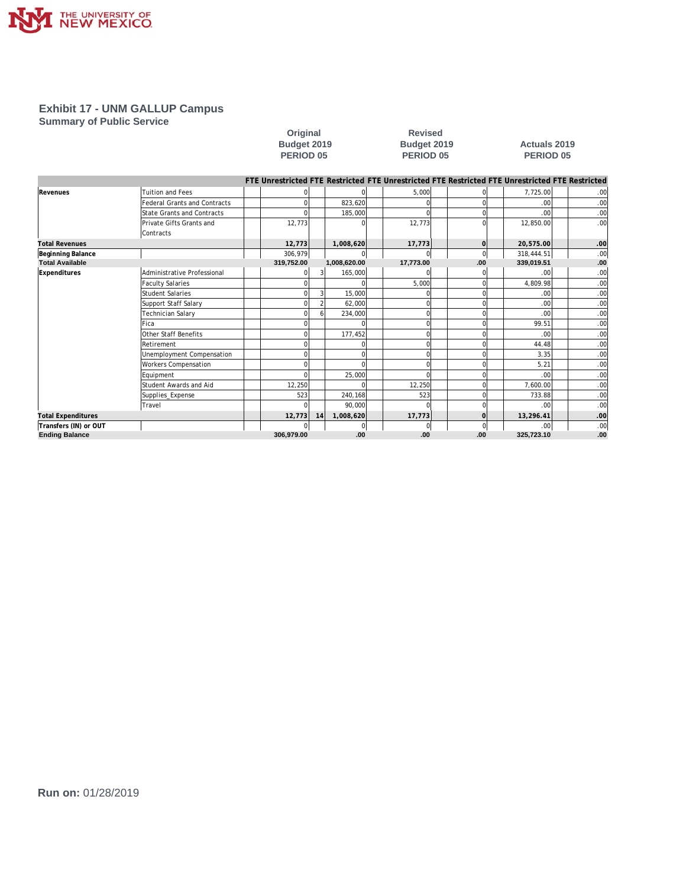

**Summary of Public Service**

**Original Revised** 

#### **Budget 2019 Budget 2019 Actuals 2019 PERIOD 05 PERIOD 05 PERIOD 05**

|                           |                                     |            |    |              |                |             | FTE Unrestricted FTE Restricted FTE Unrestricted FTE Restricted FTE Unrestricted FTE Restricted |                  |
|---------------------------|-------------------------------------|------------|----|--------------|----------------|-------------|-------------------------------------------------------------------------------------------------|------------------|
| Revenues                  | <b>Tuition and Fees</b>             |            |    |              | 5,000          | 0           | 7,725.00                                                                                        | .00 <sub>1</sub> |
|                           | <b>Federal Grants and Contracts</b> |            |    | 823.620      | n              | 0           | .00                                                                                             | .00 <sub>1</sub> |
|                           | <b>State Grants and Contracts</b>   |            |    | 185,000      | n              | $\Omega$    | .00                                                                                             | .00 <sub>1</sub> |
|                           | Private Gifts Grants and            | 12,773     |    |              | 12,773         | 0           | 12,850.00                                                                                       | .00 <sub>1</sub> |
|                           | Contracts                           |            |    |              |                |             |                                                                                                 |                  |
| <b>Total Revenues</b>     |                                     | 12,773     |    | 1,008,620    | 17,773         | 0l          | 20,575.00                                                                                       | .00 <sub>1</sub> |
| Beginning Balance         |                                     | 306,979    |    |              | $\overline{0}$ | $\mathbf 0$ | 318,444.51                                                                                      | .00 <sub>1</sub> |
| <b>Total Available</b>    |                                     | 319,752.00 |    | 1,008,620.00 | 17,773.00      | .00         | 339.019.51                                                                                      | .00              |
| Expenditures              | Administrative Professional         |            |    | 165.000      |                |             | .00                                                                                             | .00 <sub>1</sub> |
|                           | <b>Faculty Salaries</b>             |            |    |              | 5,000          | $\Omega$    | 4,809.98                                                                                        | .00 <sub>1</sub> |
|                           | <b>Student Salaries</b>             |            |    | 15,000       |                | $\Omega$    | .00                                                                                             | .00 <sub>1</sub> |
|                           | Support Staff Salary                |            |    | 62.000       | C              | 0           | .00                                                                                             | .00 <sub>1</sub> |
|                           | Technician Salary                   |            |    | 234,000      | O              | 0           | .00                                                                                             | .00 <sub>1</sub> |
|                           | Fica                                |            |    |              |                | 0           | 99.51                                                                                           | .00 <sub>1</sub> |
|                           | Other Staff Benefits                |            |    | 177,452      | $\Omega$       | 0           | .00                                                                                             | .00 <sub>1</sub> |
|                           | Retirement                          |            |    |              | O              | 0           | 44.48                                                                                           | .00 <sub>1</sub> |
|                           | Unemployment Compensation           |            |    |              |                | $\Omega$    | 3.35                                                                                            | .00 <sub>1</sub> |
|                           | <b>Workers Compensation</b>         |            |    |              |                | 0           | 5.21                                                                                            | .00 <sub>1</sub> |
|                           | Equipment                           |            |    | 25.000       | $\Omega$       | 0           | .00                                                                                             | .00 <sub>1</sub> |
|                           | Student Awards and Aid              | 12,250     |    |              | 12,250         | 0           | 7,600.00                                                                                        | .00 <sub>1</sub> |
|                           | Supplies Expense                    | 523        |    | 240,168      | 523            | 0           | 733.88                                                                                          | .00 <sub>1</sub> |
|                           | Travel                              |            |    | 90.000       | $\cap$         | $\Omega$    | .00                                                                                             | .00 <sub>1</sub> |
| <b>Total Expenditures</b> |                                     | 12,773     | 14 | 1,008,620    | 17,773         | $\mathbf 0$ | 13,296.41                                                                                       | .00 <sub>1</sub> |
| Transfers (IN) or OUT     |                                     |            |    |              | $\mathbf 0$    | 0           | .00                                                                                             | .00 <sub>1</sub> |
| <b>Ending Balance</b>     |                                     | 306,979.00 |    | .00          | .00            | .00         | 325,723.10                                                                                      | .00              |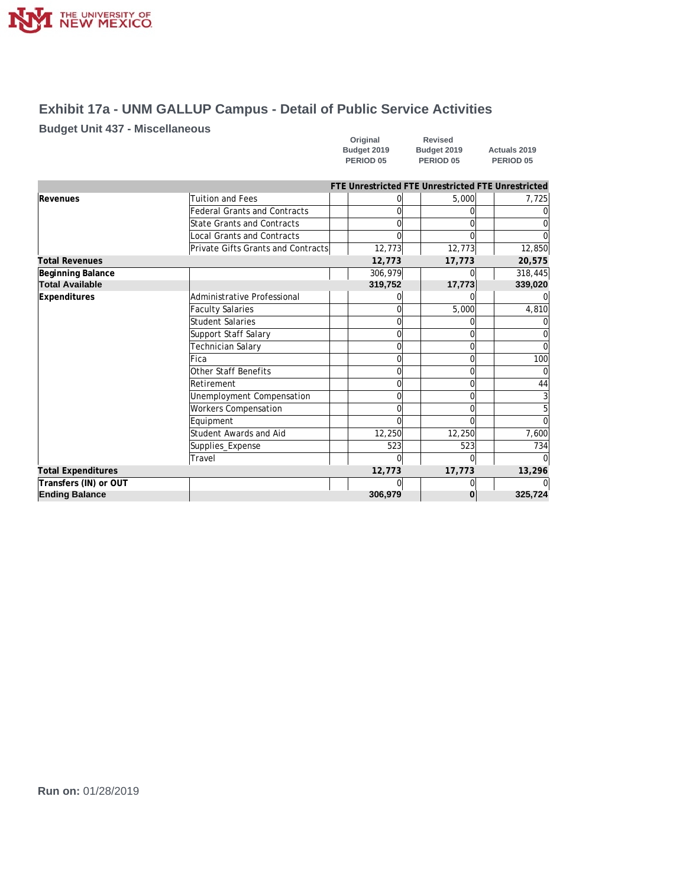

## **Exhibit 17a - UNM GALLUP Campus - Detail of Public Service Activities**

### **Budget Unit 437 - Miscellaneous**

| Original    | Revised     |                      |
|-------------|-------------|----------------------|
| Budget 2019 | Budget 2019 | Actuals 2019         |
| PERIOD 05   | PERIOD 05   | PERIOD <sub>05</sub> |

|                           |                                     |         | FTE Unrestricted FTE Unrestricted FTE Unrestricted |                |
|---------------------------|-------------------------------------|---------|----------------------------------------------------|----------------|
| Revenues                  | <b>Tuition and Fees</b>             |         | 5,000                                              | 7,725          |
|                           | <b>Federal Grants and Contracts</b> |         |                                                    |                |
|                           | State Grants and Contracts          |         | U                                                  |                |
|                           | Local Grants and Contracts          |         |                                                    |                |
|                           | Private Gifts Grants and Contracts  | 12,773  | 12,773                                             | 12,850         |
| <b>Total Revenues</b>     |                                     | 12,773  | 17,773                                             | 20,575         |
| Beginning Balance         |                                     | 306,979 |                                                    | 318,445        |
| <b>Total Available</b>    |                                     | 319,752 | 17,773                                             | 339,020        |
| <b>Expenditures</b>       | Administrative Professional         |         |                                                    |                |
|                           | <b>Faculty Salaries</b>             |         | 5,000                                              | 4,810          |
|                           | <b>Student Salaries</b>             |         |                                                    |                |
|                           | Support Staff Salary                |         | 0                                                  |                |
|                           | Technician Salary                   |         |                                                    |                |
|                           | Fica                                | O       | $\Omega$                                           | 100            |
|                           | Other Staff Benefits                |         | 0                                                  |                |
|                           | Retirement                          |         | $\Omega$                                           | 44             |
|                           | Unemployment Compensation           | 0       | $\Omega$                                           | 3 <sup>1</sup> |
|                           | <b>Workers Compensation</b>         |         | 0                                                  | 5              |
|                           | Equipment                           |         | $\Omega$                                           | $\Omega$       |
|                           | Student Awards and Aid              | 12,250  | 12,250                                             | 7,600          |
|                           | Supplies_Expense                    | 523     | 523                                                | 734            |
|                           | Travel                              | C       | 0                                                  |                |
| <b>Total Expenditures</b> |                                     | 12,773  | 17,773                                             | 13,296         |
| Transfers (IN) or OUT     |                                     |         |                                                    |                |
| <b>Ending Balance</b>     |                                     | 306,979 | 0                                                  | 325,724        |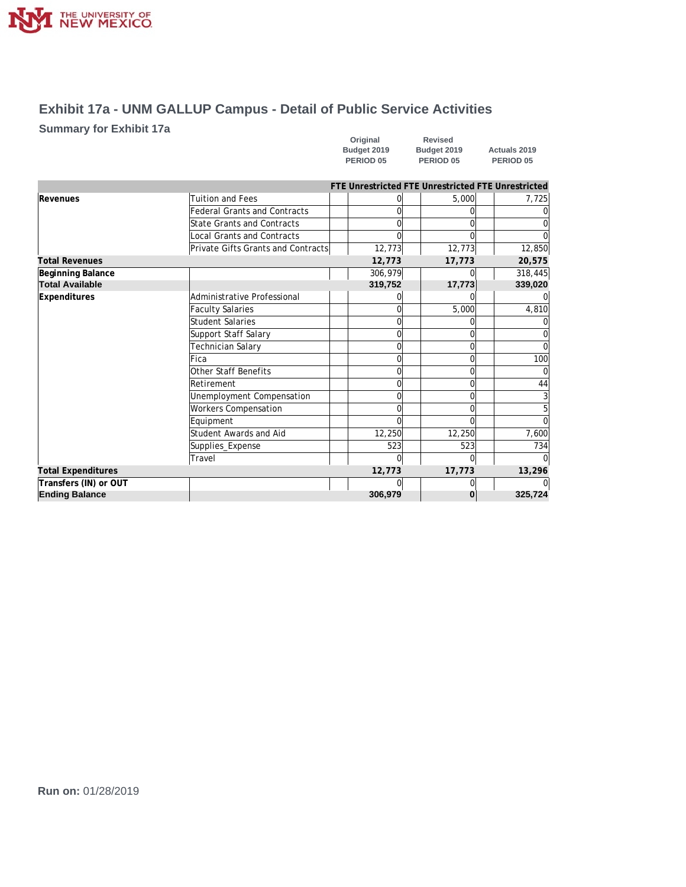

## **Exhibit 17a - UNM GALLUP Campus - Detail of Public Service Activities**

### **Summary for Exhibit 17a**

| Original             | <b>Revised</b>       |                      |
|----------------------|----------------------|----------------------|
| Budget 2019          | Budget 2019          | <b>Actuals 2019</b>  |
| PERIOD <sub>05</sub> | PERIOD <sub>05</sub> | PERIOD <sub>05</sub> |

|                           |                                     |              | FTE Unrestricted FTE Unrestricted FTE Unrestricted |          |
|---------------------------|-------------------------------------|--------------|----------------------------------------------------|----------|
| Revenues                  | <b>Tuition and Fees</b>             |              | 5,000                                              | 7,725    |
|                           | <b>Federal Grants and Contracts</b> |              |                                                    |          |
|                           | State Grants and Contracts          | ∩            |                                                    |          |
|                           | <b>Local Grants and Contracts</b>   |              |                                                    |          |
|                           | Private Gifts Grants and Contracts  | 12,773       | 12,773                                             | 12,850   |
| <b>Total Revenues</b>     |                                     | 12,773       | 17,773                                             | 20,575   |
| Beginning Balance         |                                     | 306,979      |                                                    | 318,445  |
| <b>Total Available</b>    |                                     | 319,752      | 17,773                                             | 339,020  |
| Expenditures              | Administrative Professional         |              |                                                    |          |
|                           | <b>Faculty Salaries</b>             | <sup>n</sup> | 5,000                                              | 4,810    |
|                           | Student Salaries                    |              |                                                    |          |
|                           | Support Staff Salary                | U            |                                                    |          |
|                           | Technician Salary                   | U            |                                                    |          |
|                           | Fica                                | U            |                                                    | 100      |
|                           | Other Staff Benefits                | U            |                                                    |          |
|                           | Retirement                          | $\Omega$     |                                                    | 44       |
|                           | Unemployment Compensation           | $\Omega$     |                                                    | 3        |
|                           | <b>Workers Compensation</b>         |              |                                                    | 5        |
|                           | Equipment                           | ∩            |                                                    | $\Omega$ |
|                           | Student Awards and Aid              | 12,250       | 12,250                                             | 7,600    |
|                           | Supplies_Expense                    | 523          | 523                                                | 734      |
|                           | Travel                              | U            |                                                    |          |
| <b>Total Expenditures</b> |                                     | 12,773       | 17,773                                             | 13,296   |
| Transfers (IN) or OUT     |                                     |              |                                                    |          |
| <b>Ending Balance</b>     |                                     | 306,979      | 0                                                  | 325,724  |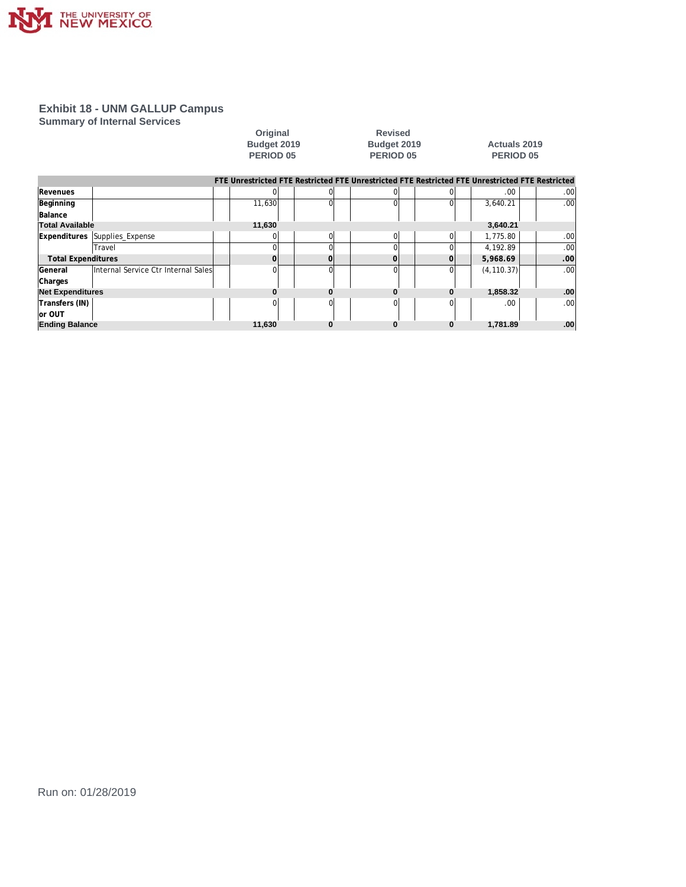

#### **Summary of Internal Services**

|                           | <b>JUILILIAL Y UL ILILELITAL JEI VICES</b> | Original<br>Budget 2019<br>PERIOD <sub>05</sub> |          | <b>Revised</b><br>Budget 2019<br>PERIOD <sub>05</sub> |          |             | <b>Actuals 2019</b><br><b>PERIOD 05</b><br>FTE Unrestricted FTE Restricted FTE Unrestricted FTE Restricted FTE Unrestricted FTE Restricted |  |  |  |
|---------------------------|--------------------------------------------|-------------------------------------------------|----------|-------------------------------------------------------|----------|-------------|--------------------------------------------------------------------------------------------------------------------------------------------|--|--|--|
| Revenues                  |                                            |                                                 |          | $\Omega$                                              | ΩI       | .00.        | .00 <sub>1</sub>                                                                                                                           |  |  |  |
| Beginning<br>Balance      |                                            | 11,630                                          |          | $\Omega$                                              |          | 3,640.21    | .00 <sub>1</sub>                                                                                                                           |  |  |  |
| <b>Total Available</b>    |                                            | 11,630                                          |          |                                                       |          | 3,640.21    |                                                                                                                                            |  |  |  |
| <b>Expenditures</b>       | Supplies_Expense                           |                                                 | $\Omega$ | $\overline{0}$                                        | $\Omega$ | 1,775.80    | .00 <sub>1</sub>                                                                                                                           |  |  |  |
|                           | Travel                                     |                                                 |          | $\Omega$                                              | ΩI       | 4,192.89    | .00 <sub>1</sub>                                                                                                                           |  |  |  |
| <b>Total Expenditures</b> |                                            | $\Omega$                                        | $\Omega$ | $\Omega$                                              | Ωl       | 5,968.69    | .00 <sub>1</sub>                                                                                                                           |  |  |  |
| lGeneral<br>Charges       | Internal Service Ctr Internal Sales        |                                                 | $\Omega$ | $\Omega$                                              | Ωl       | (4, 110.37) | .00 <sub>1</sub>                                                                                                                           |  |  |  |
| <b>Net Expenditures</b>   |                                            |                                                 | n        | 0                                                     | $\Omega$ | 1,858.32    | .00                                                                                                                                        |  |  |  |
| Transfers (IN)<br>or OUT  |                                            |                                                 |          | $\Omega$                                              | Ωl       | .00         | .00 <sub>1</sub>                                                                                                                           |  |  |  |
| <b>Ending Balance</b>     |                                            | 11,630                                          | $\bf{0}$ | $\bf{0}$                                              | $\bf{0}$ | 1,781.89    | .00                                                                                                                                        |  |  |  |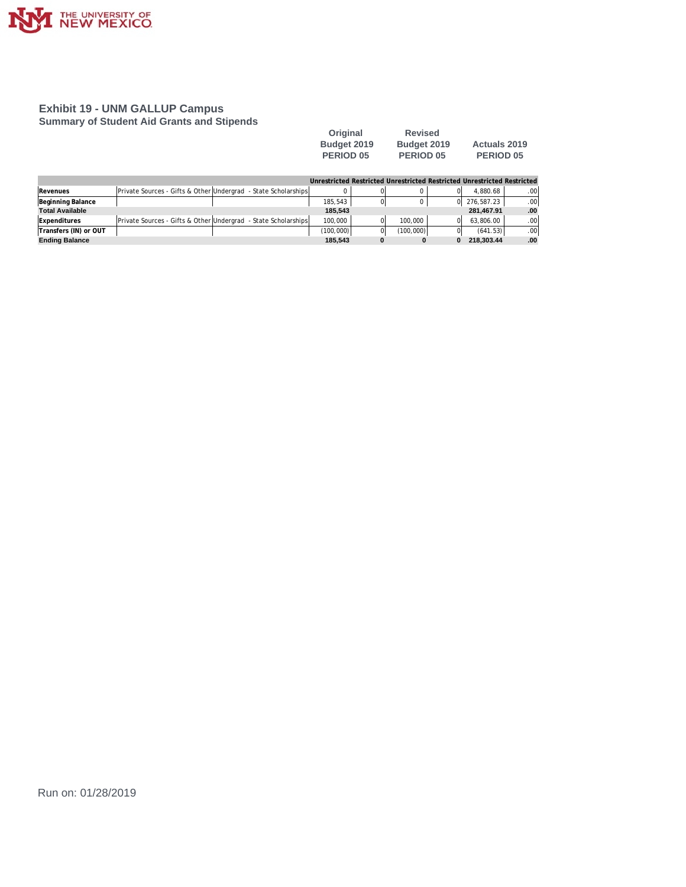

#### **Exhibit 19 - UNM GALLUP Campus Summary of Student Aid Grants and Stipends**

| Original         | <b>Revised</b>   |                     |
|------------------|------------------|---------------------|
| Budget 2019      | Budget 2019      | <b>Actuals 2019</b> |
| <b>PERIOD 05</b> | <b>PERIOD 05</b> | <b>PERIOD 05</b>    |

**Budget 2019 Budget 2019 Actuals 2019**

|                     |                                                                |  | Unrestricted Restricted Unrestricted Restricted Unrestricted Restricted |    |         |              |     |
|---------------------|----------------------------------------------------------------|--|-------------------------------------------------------------------------|----|---------|--------------|-----|
| Revenues            | Private Sources - Gifts & Other Undergrad - State Scholarships |  |                                                                         |    |         | 4.880.68     | .00 |
| Beginning Balance   |                                                                |  | 185.543                                                                 | ΩI |         | 0 276.587.23 | .00 |
| Total Available     |                                                                |  | 185.543                                                                 |    |         | 281.467.91   | .00 |
| <b>Expenditures</b> | Private Sources - Gifts & Other Undergrad - State Scholarships |  | 100.000                                                                 |    | 100.000 | 63.806.00    | .00 |

**Transfers (IN) or OUT** (100,000) 0 (100,000) 0 (641.53) .00 **Ending Balance 185,543 0 0 0 218,303.44 .00**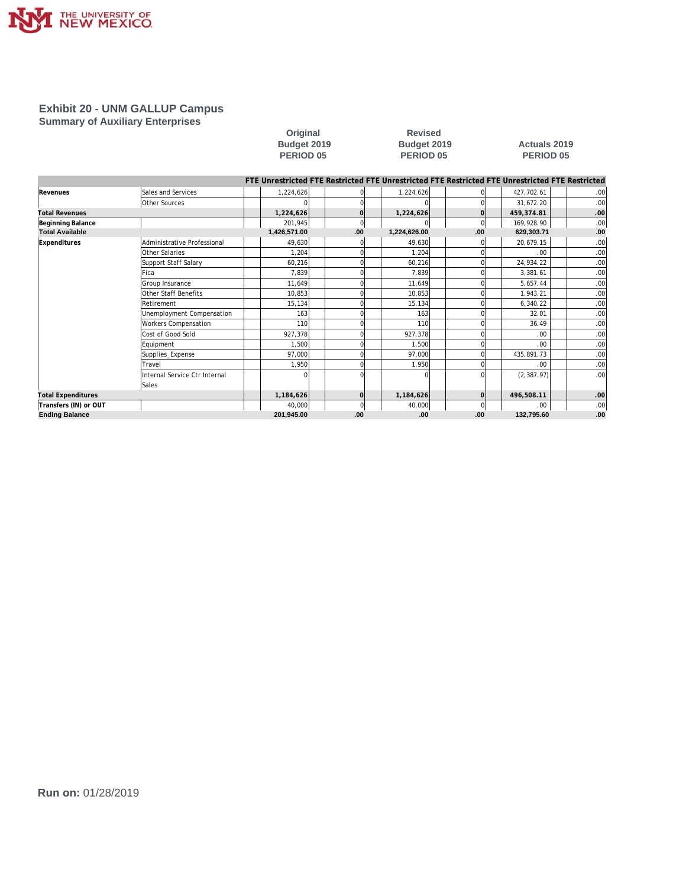

#### **Exhibit 20 - UNM GALLUP Campus Summary of Auxiliary Enterprises**

# **Original Revised**

#### **Budget 2019 Budget 2019 Actuals 2019 PERIOD 05 PERIOD 05 PERIOD 05**

|                           |                               | FTE Unrestricted FTE Restricted FTE Unrestricted FTE Restricted FTE Unrestricted FTE Restricted |                |              |          |             |     |
|---------------------------|-------------------------------|-------------------------------------------------------------------------------------------------|----------------|--------------|----------|-------------|-----|
| Revenues                  | Sales and Services            | 1,224,626                                                                                       |                | 1,224,626    |          | 427,702.61  | .00 |
|                           | Other Sources                 |                                                                                                 |                |              |          | 31,672.20   | .00 |
| <b>Total Revenues</b>     |                               | 1,224,626                                                                                       | $\Omega$       | 1,224,626    | $\Omega$ | 459,374.81  | .00 |
| Beginning Balance         |                               | 201,945                                                                                         | 0              |              | $\Omega$ | 169,928.90  | .00 |
| <b>Total Available</b>    |                               | 1,426,571.00                                                                                    | .00            | 1,224,626.00 | .00      | 629,303.71  | .00 |
| Expenditures              | Administrative Professional   | 49,630                                                                                          |                | 49,630       |          | 20,679.15   | .00 |
|                           | Other Salaries                | 1,204                                                                                           | $\Omega$       | 1,204        |          | .00.        | .00 |
|                           | Support Staff Salary          | 60,216                                                                                          | O              | 60,216       |          | 24,934.22   | .00 |
|                           | Fica                          | 7,839                                                                                           | $\Omega$       | 7.839        |          | 3,381.61    | .00 |
|                           | Group Insurance               | 11,649                                                                                          |                | 11,649       |          | 5.657.44    | .00 |
|                           | Other Staff Benefits          | 10,853                                                                                          | $\Omega$       | 10,853       |          | 1,943.21    | .00 |
|                           | Retirement                    | 15,134                                                                                          |                | 15,134       |          | 6,340.22    | .00 |
|                           | Unemployment Compensation     | 163                                                                                             |                | 163          |          | 32.01       | .00 |
|                           | <b>Workers Compensation</b>   | <b>110</b>                                                                                      |                | 110          |          | 36.49       | .00 |
|                           | Cost of Good Sold             | 927.378                                                                                         |                | 927,378      |          | .00.        | .00 |
|                           | Equipment                     | 1,500                                                                                           |                | 1,500        |          | .00.        | .00 |
|                           | Supplies_Expense              | 97,000                                                                                          |                | 97,000       |          | 435,891.73  | .00 |
|                           | Travel                        | 1,950                                                                                           |                | 1,950        |          | .00.        | .00 |
|                           | Internal Service Ctr Internal |                                                                                                 |                |              |          | (2, 387.97) | .00 |
|                           | Sales                         |                                                                                                 |                |              |          |             |     |
| <b>Total Expenditures</b> |                               | 1,184,626                                                                                       | $\overline{O}$ | 1,184,626    | 0l       | 496,508.11  | .00 |
| Transfers (IN) or OUT     |                               | 40,000                                                                                          | 0              | 40,000       | $\Omega$ | .00.        | .00 |
| <b>Ending Balance</b>     |                               | 201,945.00                                                                                      | .00            | .00          | .00      | 132,795.60  | .00 |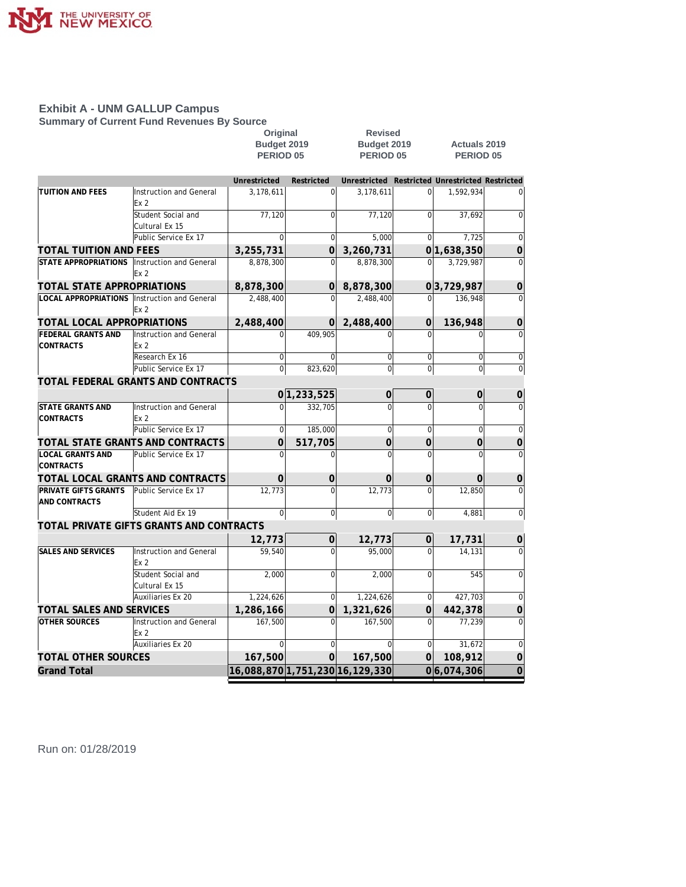

**Summary of Current Fund Revenues By Source**

|                                                 |                                            | Original                            |                | <b>Revised</b>                      |                  | <b>Actuals 2019</b>                |                |  |  |
|-------------------------------------------------|--------------------------------------------|-------------------------------------|----------------|-------------------------------------|------------------|------------------------------------|----------------|--|--|
|                                                 |                                            | Budget 2019<br>PERIOD <sub>05</sub> |                | Budget 2019<br>PERIOD <sub>05</sub> |                  | <b>PERIOD 05</b>                   |                |  |  |
|                                                 |                                            |                                     |                |                                     |                  |                                    |                |  |  |
|                                                 |                                            | Unrestricted                        | Restricted     | Unrestricted                        |                  | Restricted Unrestricted Restricted |                |  |  |
| <b>TUITION AND FEES</b>                         | Instruction and General                    | 3,178,611                           | 0              | 3,178,611                           | $\Omega$         | 1,592,934                          |                |  |  |
|                                                 | Ex <sub>2</sub>                            |                                     |                |                                     |                  |                                    |                |  |  |
|                                                 | Student Social and                         | 77,120                              | $\Omega$       | 77,120                              |                  | 37.692                             | $\Omega$       |  |  |
|                                                 | Cultural Ex 15                             |                                     |                |                                     |                  |                                    |                |  |  |
|                                                 | Public Service Ex 17                       | $\Omega$                            | $\overline{0}$ | 5,000                               | 0                | 7,725                              | $\overline{0}$ |  |  |
| TOTAL TUITION AND FEES                          |                                            | 3,255,731                           | $\overline{0}$ | 3,260,731                           |                  | 0 1,638,350                        | $\mathbf 0$    |  |  |
| <b>STATE APPROPRIATIONS</b>                     | Instruction and General                    | 8,878,300                           | $\Omega$       | 8,878,300                           | $\Omega$         | 3,729,987                          | $\Omega$       |  |  |
|                                                 | Ex <sub>2</sub>                            |                                     |                |                                     |                  |                                    |                |  |  |
| TOTAL STATE APPROPRIATIONS                      |                                            | 8,878,300                           | 0              | 8,878,300                           |                  | 03,729,987                         | $\mathbf 0$    |  |  |
| LOCAL APPROPRIATIONS   Instruction and General  | Ex <sub>2</sub>                            | 2,488,400                           | $\Omega$       | 2,488,400                           | $\Omega$         | 136,948                            | $\Omega$       |  |  |
| TOTAL LOCAL APPROPRIATIONS                      |                                            | 2,488,400                           | O              | 2,488,400                           | $\Omega$         | 136,948                            | $\overline{0}$ |  |  |
| <b>FEDERAL GRANTS AND</b>                       | Instruction and General                    | $\Omega$                            | 409,905        | $\Omega$                            | 0                | $\Omega$                           | $\mathbf 0$    |  |  |
| <b>CONTRACTS</b>                                | Ex <sub>2</sub>                            |                                     |                |                                     |                  |                                    |                |  |  |
|                                                 | Research Ex 16                             | $\mathbf 0$                         | $\Omega$       | $\mathbf 0$                         | $\mathbf 0$      | $\mathbf 0$                        | $\mathbf 0$    |  |  |
|                                                 | Public Service Ex 17                       | $\overline{0}$                      | 823,620        | $\overline{0}$                      | $\overline{0}$   | $\Omega$                           | $\Omega$       |  |  |
|                                                 | TOTAL FEDERAL GRANTS AND CONTRACTS         |                                     |                |                                     |                  |                                    |                |  |  |
|                                                 |                                            |                                     | 0 1,233,525    | 0                                   | $\overline{0}$   | 0                                  | 0              |  |  |
| <b>STATE GRANTS AND</b>                         | Instruction and General                    | $\Omega$                            | 332.705        | $\Omega$                            |                  |                                    | $\Omega$       |  |  |
| <b>CONTRACTS</b>                                | Ex <sub>2</sub>                            |                                     |                |                                     |                  |                                    |                |  |  |
|                                                 | Public Service Ex 17                       | $\Omega$                            | 185,000        | $\overline{0}$                      | $\Omega$         | $\Omega$                           | $\Omega$       |  |  |
| TOTAL STATE GRANTS AND CONTRACTS                |                                            | $\Omega$                            | 517,705        | $\Omega$                            | $\Omega$         | $\Omega$                           | 0              |  |  |
| LOCAL GRANTS AND<br><b>CONTRACTS</b>            | Public Service Ex 17                       | $\Omega$                            | $\Omega$       | $\Omega$                            | $\Omega$         | $\Omega$                           | $\Omega$       |  |  |
| TOTAL LOCAL GRANTS AND CONTRACTS                |                                            | 0                                   | 0              | $\Omega$                            | $\overline{0}$   | $\Omega$                           | $\mathbf 0$    |  |  |
| PRIVATE GIFTS GRANTS<br>AND CONTRACTS           | Public Service Ex 17                       | 12.773                              | $\Omega$       | 12,773                              | $\Omega$         | 12,850                             | $\Omega$       |  |  |
|                                                 | Student Aid Ex 19                          | $\boldsymbol{0}$                    | 0              | $\boldsymbol{0}$                    | $\mathbf 0$      | 4,881                              | $\mathbf 0$    |  |  |
|                                                 | TOTAL PRIVATE GIFTS GRANTS AND CONTRACTS   |                                     |                |                                     |                  |                                    |                |  |  |
|                                                 |                                            | 12,773                              | 0              | 12,773                              | $\Omega$         | 17,731                             | 0              |  |  |
| SALES AND SERVICES                              | Instruction and General<br>Ex <sub>2</sub> | 59,540                              | $\Omega$       | 95.000                              | $\Omega$         | 14.131                             | $\Omega$       |  |  |
|                                                 | Student Social and<br>Cultural Ex 15       | 2.000                               | $\Omega$       | 2,000                               | $\Omega$         | 545                                | $\Omega$       |  |  |
|                                                 | Auxiliaries Ex 20                          | 1,224,626                           | $\Omega$       | 1,224,626                           | $\boldsymbol{0}$ | 427,703                            | $\Omega$       |  |  |
| TOTAL SALES AND SERVICES                        |                                            | 1,286,166                           | 0              | 1,321,626                           | $\overline{0}$   | 442,378                            | $\mathbf 0$    |  |  |
| <b>OTHER SOURCES</b><br>Instruction and General |                                            | 167.500                             | $\Omega$       | 167.500                             | $\Omega$         | 77.239                             | $\Omega$       |  |  |
|                                                 | Ex <sub>2</sub>                            |                                     |                |                                     |                  |                                    |                |  |  |
|                                                 | Auxiliaries Ex 20                          | $\Omega$                            | $\Omega$       | $\Omega$                            | $\Omega$         | 31.672                             | $\Omega$       |  |  |
| TOTAL OTHER SOURCES                             |                                            | 167,500                             | $\Omega$       | 167,500                             | $\Omega$         | 108,912                            | $\overline{0}$ |  |  |
| <b>Grand Total</b>                              |                                            | 16,088,870 1,751,230 16,129,330     |                |                                     |                  | 0 6,074,306                        | $\overline{0}$ |  |  |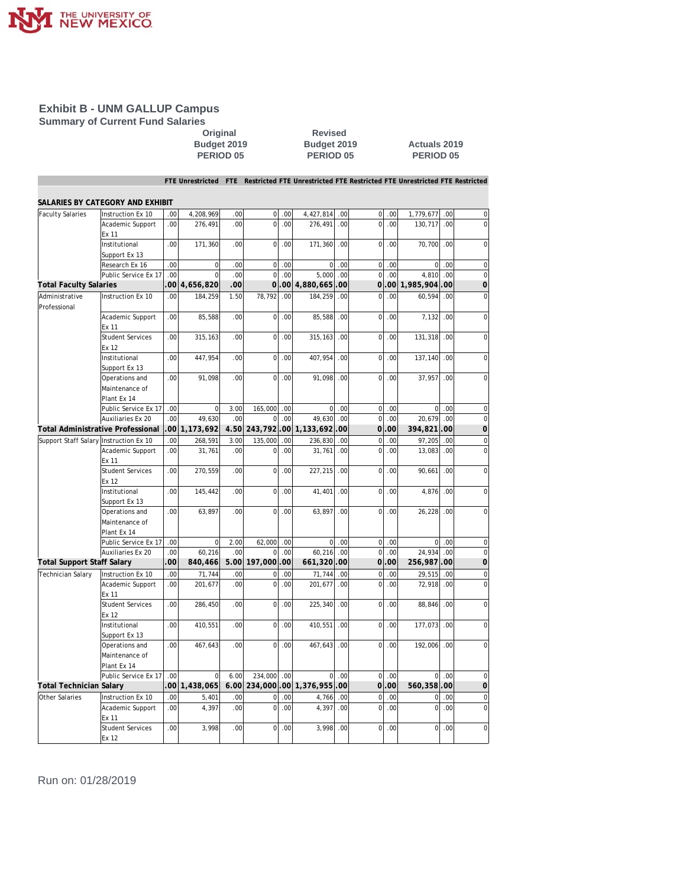

**Summary of Current Fund Salaries**

**Original Revised** 

### **Budget 2019 Budget 2019 Actuals 2019 PERIOD 05 PERIOD 05 PERIOD 05**

**FTE Unrestricted FTE Restricted FTE Unrestricted FTE Restricted FTE Unrestricted FTE Restricted**

|                                        | SALARIES BY CATEGORY AND EXHIBIT                |                 |                |          |              |                  |                      |      |                |                |                |        |                |
|----------------------------------------|-------------------------------------------------|-----------------|----------------|----------|--------------|------------------|----------------------|------|----------------|----------------|----------------|--------|----------------|
| <b>Faculty Salaries</b>                | Instruction Ex 10                               | .00             | 4,208,969      | .00      | $\mathbf 0$  | .00              | 4,427,814            | .00  | 0              | 00             | 1,779,677      | .00    | $\mathbf 0$    |
|                                        | Academic Support<br>Ex 11                       | .00             | 276,491        | .00.     | $\Omega$     | .00.             | 276,491              | .00  | $\overline{0}$ | .00            | 130,717        | .00    | $\mathbf 0$    |
|                                        | Institutional<br>Support Ex 13                  | .00             | 171,360        | .00      | $\mathbf 0$  | .00              | 171,360              | .00  | $\overline{0}$ | .00            | 70,700         | .00    | $\mathbf 0$    |
|                                        | Research Ex 16                                  | .00             | $\mathbf 0$    | .00      | $\mathbf 0$  | .00              | $\mathbf 0$          | .00  | $\overline{0}$ | .00            | $\overline{0}$ | .00    | $\mathbf 0$    |
|                                        | Public Service Ex 17                            | .00             | $\Omega$       | .00      | $\Omega$     | .00 <sub>1</sub> | 5.000                | .00  | $\overline{0}$ | .00.           | 4.810          | .00    | $\overline{0}$ |
| <b>Total Faculty Salaries</b>          |                                                 |                 | 00 4,656,820   | .00      | 0l           |                  | .00 4,880,665        | 00   | 0              | 00             | 1,985,904      | 00     | $\overline{0}$ |
| Administrative                         | Instruction Ex 10                               | .00             | 184,259        | 1.50     | 78,792       | .00              | 184,259              | .00  | $\overline{0}$ | .00            | 60,594         | .00    | $\mathbf 0$    |
| Professional                           |                                                 |                 |                |          |              |                  |                      |      |                |                |                |        |                |
|                                        | Academic Support<br>Ex 11                       | .00             | 85,588         | .00      | $\mathbf 0$  | .00              | 85,588               | .00  | $\overline{0}$ | .00            | 7,132          | .00    | $\mathbf 0$    |
|                                        | <b>Student Services</b><br>Fx 12                | .00             | 315,163        | .00      | $\Omega$     | .00              | 315, 163             | .00  | $\mathbf 0$    | .00            | 131,318        | .00    | $\Omega$       |
|                                        | Institutional<br>Support Ex 13                  | .00.            | 447,954        | .00.     | $\mathbf 0$  | .00              | 407,954              | .00  | $\overline{0}$ | .00            | 137,140        | .00    | $\overline{0}$ |
|                                        | Operations and<br>Maintenance of<br>Plant Ex 14 | .00             | 91,098         | .00      | 0            | .00              | 91.098               | .00  | 0              | .00            | 37,957         | .00    | $\mathbf 0$    |
|                                        | Public Service Ex 17                            | .00             | $\overline{0}$ | 3.00     | 165,000      | .00              | 0                    | .00  | $\overline{0}$ | .00            | $\circ$        | .00    | $\mathbf 0$    |
|                                        | Auxiliaries Ex 20                               | .00             | 49,630         | .00      | $\Omega$     | .00              | 49.630               | .00  | $\Omega$       | $.00 \,$       | 20,679         | .00    | $\Omega$       |
|                                        | Total Administrative Professional               |                 | .00 1,173,692  | 4.50     |              |                  | 243,792.00 1,133,692 | .00  | οl             | .00            | 394,821        | 00     | $\overline{0}$ |
| Support Staff Salary Instruction Ex 10 |                                                 | .00             | 268,591        | 3.00     | 135,000      | .00              | 236,830              | .00  | $\overline{0}$ | 0 <sup>0</sup> | 97,205         | $00 -$ | $\mathbf 0$    |
|                                        | Academic Support<br>Ex 11                       | .00             | 31,761         | .00      | $\Omega$     | .00              | 31,761               | .00  | $\overline{0}$ | .00            | 13,083         | .00    | $\mathbf 0$    |
|                                        | <b>Student Services</b><br>Ex 12                | .00.            | 270,559        | .00.     | $\mathbf 0$  | .00              | 227,215              | .00  | $\overline{0}$ | .00            | 90,661         | .00    | $\mathbf 0$    |
|                                        | Institutional<br>Support Ex 13                  | .00             | 145,442        | .00      | $\Omega$     | .00              | 41,401               | .00  | $\Omega$       | .00            | 4,876          | .00    | 0              |
|                                        | Operations and<br>Maintenance of<br>Plant Ex 14 | .00             | 63,897         | .00      | $\Omega$     | .00              | 63,897               | .00  | $\overline{0}$ | .00            | 26,228         | .00    | $\overline{0}$ |
|                                        | Public Service Ex 17                            | .00             | $\mathbf 0$    | 2.00     | 62,000       | .00              | $\mathbf 0$          | .00  | $\mathbf 0$    | .00            | $\overline{0}$ | .00    | 0              |
|                                        | Auxiliaries Ex 20                               | .00             | 60,216         | .00      | $\Omega$     | .00              | 60,216               | .00  | $\overline{0}$ | .00            | 24,934         | .00    | $\mathbf 0$    |
| <b>Total Support Staff Salary</b>      |                                                 | .00             | 840,466        | 5.00     | 197,000,00   |                  | 661,320.00           |      | 0l             | .00            | 256,987        | 00     | $\overline{0}$ |
| <b>Technician Salary</b>               | Instruction Ex 10                               | .00             | 71,744         | .00      | $\Omega$     | .00              | 71,744               | .00  | $\overline{0}$ | .00            | 29,515         | .00    | $\mathbf 0$    |
|                                        | Academic Support<br>Ex 11                       | .00             | 201,677        | .00.     | $\Omega$     | .00              | 201,677              | .00  | $\overline{0}$ | .00            | 72,918         | .00    | $\mathbf 0$    |
|                                        | <b>Student Services</b><br>Ex 12                | .00             | 286,450        | .00.     | $\mathbf 0$  | .00              | 225,340              | .00  | $\mathbf 0$    | .00            | 88,846         | .00    | $\overline{0}$ |
|                                        | Institutional<br>Support Ex 13                  | .00             | 410,551        | .00      | $\mathbf 0$  | .00              | 410,551              | .00. | $\overline{0}$ | .00            | 177,073        | .00    | 0              |
|                                        | Operations and<br>Maintenance of<br>Plant Ex 14 | .00             | 467,643        | .00      | $\Omega$     | .00              | 467,643              | .00  | $\Omega$       | $.00 \,$       | 192,006        | .00    | 0              |
|                                        | Public Service Ex 17                            | .00             | $\mathbf 0$    | 6.00     | 234,000      | .00              | $\mathbf 0$          | .00  | $\mathbf 0$    | .00            | $\Omega$       | .00    | $\mathbf 0$    |
| Total Technician Salary                |                                                 | 00 <sub>1</sub> | 1,438,065      |          | 6.00 234,000 |                  | .00 1,376,955        | .00  |                | 01.00          | 560,358        | 00     | $\overline{0}$ |
| Other Salaries                         | Instruction Ex 10                               | .00             | 5,401          | .00      | $\mathbf 0$  | .00              | 4,766                | .00  | $\mathbf 0$    | .00            | $\mathbf{0}$   | .00    | $\mathbf 0$    |
|                                        | Academic Support<br>Ex 11                       | .00             | 4,397          | .00.     | $\mathbf 0$  | .00              | 4,397                | .00  | $\mathbf 0$    | .00            | $\mathbf 0$    | .00    | $\mathbf 0$    |
|                                        | <b>Student Services</b><br>Ex 12                | .00             | 3,998          | $.00 \,$ | $\Omega$     | .00              | 3,998                | .00  | $\Omega$       | .00            | $\Omega$       | .00    | $\Omega$       |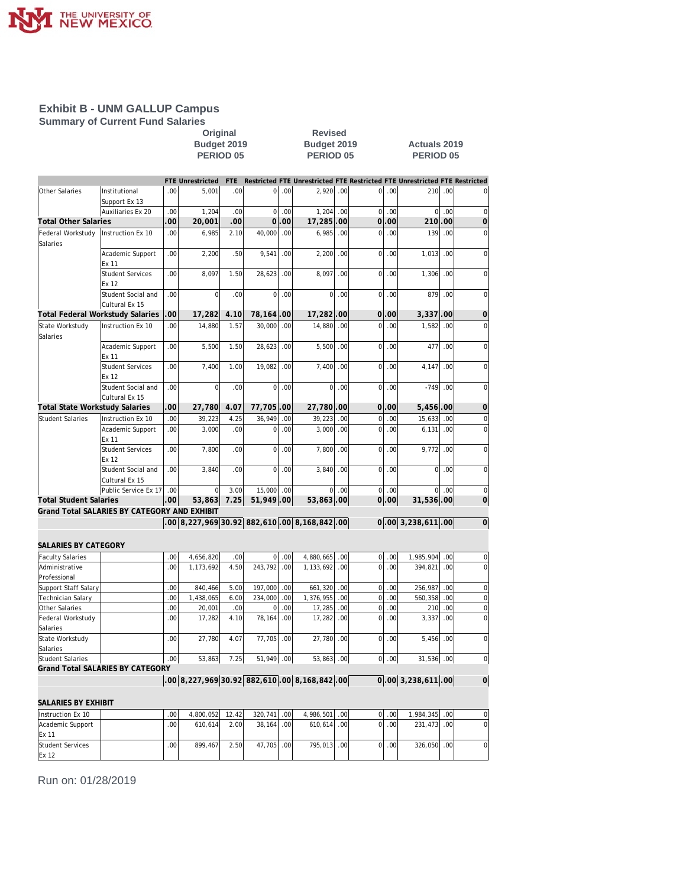

**Summary of Current Fund Salaries**

**COVIDENT:**<br> **Original**<br>
Budget 2019<br>
PERIOD 05<br>
PERIOD 05<br>
PERIOD 0 **Budget 2019 Budget 2019 Actuals 2019**

**PERIOD 05 PERIOD 05 PERIOD 05**

|                                         |                                              |     | <b>FTE Unrestricted</b> | <b>FTE</b> |             |      |                                                  |                  |                |          | Restricted FTE Unrestricted FTE Restricted FTE Unrestricted FTE Restricted |     |                |
|-----------------------------------------|----------------------------------------------|-----|-------------------------|------------|-------------|------|--------------------------------------------------|------------------|----------------|----------|----------------------------------------------------------------------------|-----|----------------|
| Other Salaries                          | Institutional<br>Support Ex 13               | .00 | 5,001                   | .00.       | $\mathbf 0$ | .00  | 2,920                                            | .00              | $\overline{0}$ | .00      | 210                                                                        | .00 | $\mathbf 0$    |
|                                         | Auxiliaries Ex 20                            | .00 | 1,204                   | .00        | $\mathbf 0$ | .00  | 1,204                                            | .00              | $\overline{0}$ | .00      | $\overline{0}$                                                             | .00 | $\mathbf 0$    |
| Total Other Salaries                    |                                              | 00  | 20,001                  | .00        | $\Omega$    | .00  | 17,285                                           | .00              | $\overline{0}$ | .00      | 210                                                                        | 00  | $\overline{0}$ |
| Federal Workstudy<br>Salaries           | Instruction Ex 10                            | .00 | 6.985                   | 2.10       | 40.000      | .00  | 6.985                                            | .00              | $\Omega$       | .00      | 139                                                                        | .00 | $\mathbf 0$    |
|                                         | Academic Support<br>Ex 11                    | .00 | 2,200                   | .50        | 9,541       | .00  | 2,200                                            | .00              | $\overline{0}$ | .00      | 1,013                                                                      | .00 | $\mathbf 0$    |
|                                         | <b>Student Services</b><br>Ex 12             | .00 | 8,097                   | 1.50       | 28,623      | .00  | 8,097                                            | .00.             | $\mathbf 0$    | .00      | 1,306                                                                      | .00 | $\mathbf{0}$   |
|                                         | Student Social and<br>Cultural Ex 15         | .00 | $\Omega$                | .00.       | $\Omega$    | .00  | $\Omega$                                         | .00              | $\overline{0}$ | .00      | 879                                                                        | .00 | $\mathbf 0$    |
| <b>Total Federal Workstudy Salaries</b> |                                              | 00  | 17,282                  | 4.10       | 78,164      | .00  | 17,282.00                                        |                  |                | 01.00    | 3.337                                                                      | .00 | $\overline{0}$ |
| State Workstudy<br>Salaries             | Instruction Ex 10                            | .00 | 14,880                  | 1.57       | 30,000      | .00  | 14,880                                           | .00              | $\mathbf 0$    | .00      | 1,582                                                                      | .00 | $\mathbf 0$    |
|                                         | Academic Support<br>Ex 11                    | .00 | 5,500                   | 1.50       | 28,623      | .00. | 5,500                                            | .00              | $\overline{0}$ | .00      | 477                                                                        | .00 | $\mathbf 0$    |
|                                         | <b>Student Services</b><br>Ex 12             | .00 | 7.400                   | 1.00       | 19.082      | .00  | 7.400                                            | .00              | $\Omega$       | .00      | 4.147                                                                      | .00 | $\mathbf 0$    |
|                                         | Student Social and<br>Cultural Ex 15         | .00 | $\overline{0}$          | .00.       | 0           | .00  | $\overline{0}$                                   | .00              | $\overline{0}$ | .00      | $-749$                                                                     | .00 | $\mathbf 0$    |
| <b>Total State Workstudy Salaries</b>   |                                              | 00  | 27,780                  | 4.07       | 77,705      | .00  | 27,780.00                                        |                  |                | 01.00    | 5,456                                                                      | .00 | $\overline{0}$ |
| <b>Student Salaries</b>                 | Instruction Ex 10                            | .00 | 39,223                  | 4.25       | 36,949      | .00  | 39,223                                           | .00              | $\overline{0}$ | .00      | 15,633                                                                     | .00 | $\mathbf 0$    |
|                                         | Academic Support<br>Ex 11                    | .00 | 3,000                   | .00.       | 0           | .00. | 3,000                                            | .00              | $\overline{0}$ | .00      | 6,131                                                                      | .00 | $\mathbf 0$    |
|                                         | <b>Student Services</b><br>Ex 12             | .00 | 7,800                   | .00.       | 0           | .00  | 7.800                                            | .00              | $\overline{0}$ | .00      | 9,772                                                                      | .00 | $\mathbf 0$    |
|                                         | Student Social and<br>Cultural Ex 15         | .00 | 3,840                   | .00        | $\mathbf 0$ | .00  | 3,840                                            | .00              | $\overline{0}$ | .00      | $\overline{0}$                                                             | .00 | $\overline{0}$ |
|                                         | Public Service Ex 17                         | .00 | $\Omega$                | 3.00       | 15,000      | .00  | $\Omega$                                         | .00              |                | $00$ .00 | $\Omega$                                                                   | .00 | $\mathbf 0$    |
| <b>Total Student Salaries</b>           |                                              | .00 | 53,863                  | 7.25       | 51,949.00   |      | 53,863.00                                        |                  |                | 0 .00    | 31,536.00                                                                  |     | $\overline{0}$ |
|                                         | Grand Total SALARIES BY CATEGORY AND EXHIBIT |     |                         |            |             |      |                                                  |                  |                |          |                                                                            |     |                |
|                                         |                                              |     |                         |            |             |      | $.00 8,227,969 30.92 882,610 .00 8,168,842 .00 $ |                  |                |          | $0.00 \, 3,238,611 \, 00$                                                  |     | $\overline{0}$ |
| SALARIES BY CATEGORY                    |                                              |     |                         |            |             |      |                                                  |                  |                |          |                                                                            |     |                |
| <b>Faculty Salaries</b>                 |                                              | .00 | 4,656,820               | .00        | 0           | .00  | 4,880,665                                        | .00              | $\overline{0}$ | .00      | 1,985,904                                                                  | .00 | 0              |
| Administrative<br>Professional          |                                              | .00 | 1,173,692               | 4.50       | 243.792     | .00  | 1,133,692                                        | .00              | $\overline{0}$ | .00      | 394,821                                                                    | .00 | $\overline{0}$ |
| Support Staff Salary                    |                                              | .00 | 840,466                 | 5.00       | 197,000     | .00  | 661,320                                          | .00              | $\overline{0}$ | .00      | 256,987                                                                    | .00 | $\mathbf 0$    |
| Technician Salary                       |                                              | .00 | 1,438,065               | 6.00       | 234,000     | .00  | 1,376,955                                        | .00              | $\overline{0}$ | .00      | 560,358                                                                    | .00 | $\mathbf 0$    |
| Other Salaries                          |                                              | .00 | 20,001                  | .00        | $\Omega$    | .00  | 17,285                                           | .00.             | $\overline{0}$ | .00      | 210                                                                        | .00 | $\mathbf 0$    |
| Federal Workstudy<br>Salaries           |                                              | .00 | 17,282                  | 4.10       | 78,164      | .00  | 17,282                                           | .00              | $\mathbf 0$    | .00      | 3,337                                                                      | .00 | 0              |
| State Workstudy<br>Salaries             |                                              | .00 | 27,780                  | 4.07       | 77,705      | .00  | 27,780                                           | .00              | $\overline{0}$ | .00      | 5,456                                                                      | .00 | $\mathbf 0$    |
| Student Salaries                        |                                              | .00 | 53,863                  | 7.25       | 51,949 .00  |      | 53,863                                           | .00 <sub>l</sub> |                | $00$ .00 | 31,536 .00                                                                 |     | $\mathbf 0$    |
|                                         | <b>Grand Total SALARIES BY CATEGORY</b>      |     |                         |            |             |      |                                                  |                  |                |          |                                                                            |     |                |
|                                         |                                              |     |                         |            |             |      | $.00 8,227,969 30.92 882,610 .00 8,168,842 .00$  |                  |                |          | $\overline{0}$ .00 3,238,611 .00                                           |     | $\overline{0}$ |

| SALARIES BY EXHIBIT |                  |           |       |             |               |          |                  |               |     |  |
|---------------------|------------------|-----------|-------|-------------|---------------|----------|------------------|---------------|-----|--|
| Instruction Ex 10   | .00 <sub>1</sub> | 4.800.052 | 12.42 | 320.741 .00 | 4.986.501 00  | $\Omega$ | .00 <sub>1</sub> | 1.984.345 .00 |     |  |
| Academic Support    | .00              | 610.614   | 2.00  | 38.164 .00  | $610.614$ .00 | ΩL       | .00 <sub>1</sub> | 231.473 .00   |     |  |
| <b>IEx 11</b>       |                  |           |       |             |               |          |                  |               |     |  |
| Student Services    | .00 <sub>1</sub> | 899.467   | 2.50  | 47.705 .00  | 795.013.00    | ΩI       | .001             | 326.050       | .00 |  |
| Ex <sub>12</sub>    |                  |           |       |             |               |          |                  |               |     |  |